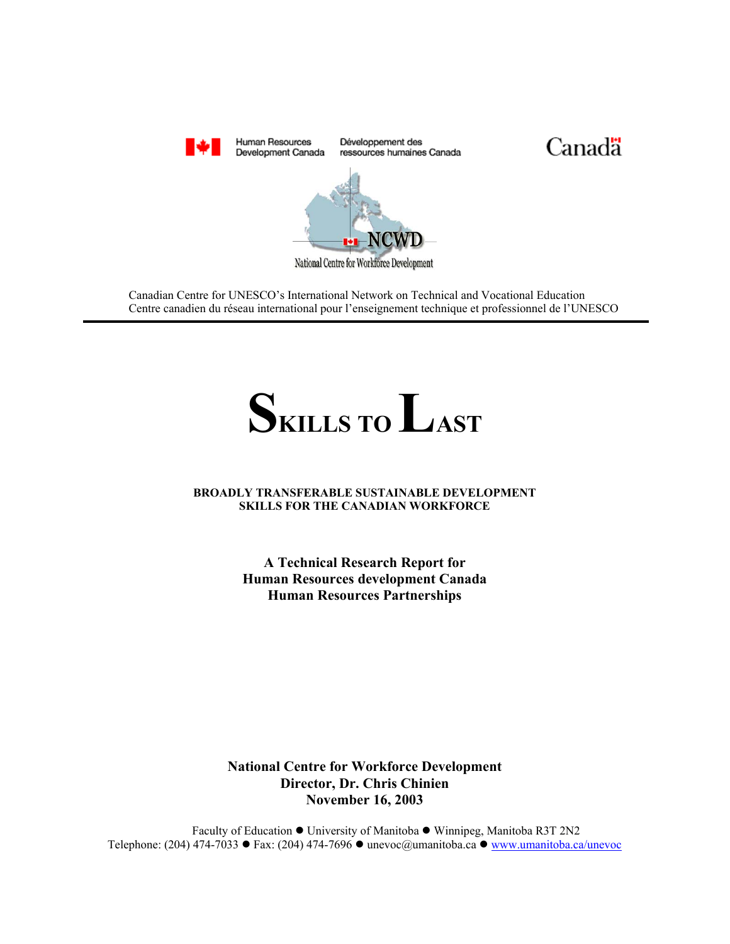

Canadian Centre for UNESCO's International Network on Technical and Vocational Education Centre canadien du réseau international pour l'enseignement technique et professionnel de l'UNESCO

# **SKILLS TO LAST**

#### **BROADLY TRANSFERABLE SUSTAINABLE DEVELOPMENT SKILLS FOR THE CANADIAN WORKFORCE**

**A Technical Research Report for Human Resources development Canada Human Resources Partnerships** 

**National Centre for Workforce Development Director, Dr. Chris Chinien November 16, 2003** 

Faculty of Education  $\bullet$  University of Manitoba  $\bullet$  Winnipeg, Manitoba R3T 2N2 Telephone: (204) 474-7033  $\bullet$  Fax: (204) 474-7696  $\bullet$  unevoc@umanitoba.ca  $\bullet$  www.umanitoba.ca/unevoc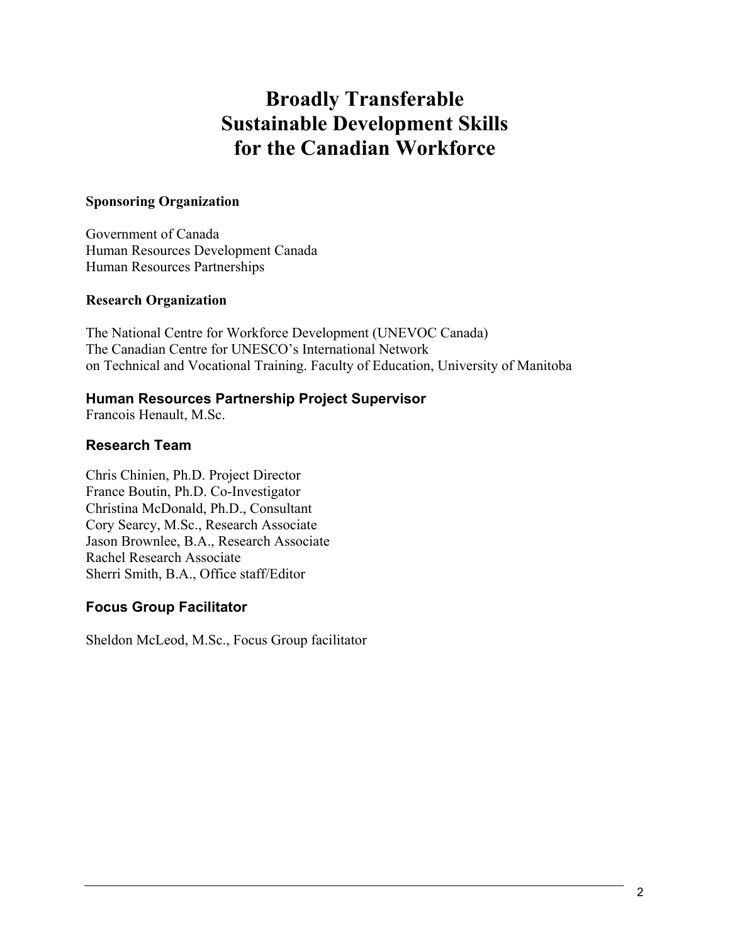# **Broadly Transferable Sustainable Development Skills for the Canadian Workforce**

#### **Sponsoring Organization**

Government of Canada Human Resources Development Canada Human Resources Partnerships

#### **Research Organization**

The National Centre for Workforce Development (UNEVOC Canada) The Canadian Centre for UNESCO's International Network on Technical and Vocational Training. Faculty of Education, University of Manitoba

## **Human Resources Partnership Project Supervisor**

Francois Henault, M.Sc.

#### **Research Team**

Chris Chinien, Ph.D. Project Director France Boutin, Ph.D. Co-Investigator Christina McDonald, Ph.D., Consultant Cory Searcy, M.Sc., Research Associate Jason Brownlee, B.A., Research Associate Rachel Research Associate Sherri Smith, B.A., Office staff/Editor

## **Focus Group Facilitator**

Sheldon McLeod, M.Sc., Focus Group facilitator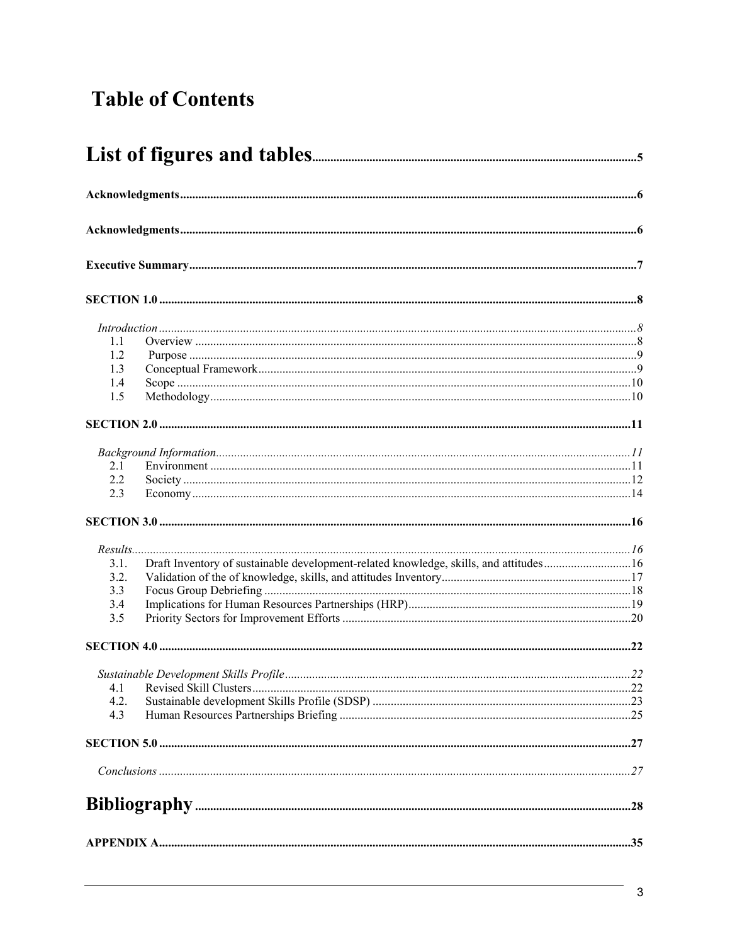# **Table of Contents**

|      | Introduction 38                                                                       |     |
|------|---------------------------------------------------------------------------------------|-----|
| 1.1  |                                                                                       |     |
| 1.2  |                                                                                       |     |
| 1.3  |                                                                                       |     |
| 1.4  |                                                                                       |     |
| 1.5  |                                                                                       |     |
|      |                                                                                       |     |
|      |                                                                                       |     |
| 2.1  |                                                                                       |     |
| 2.2  |                                                                                       |     |
| 2.3  |                                                                                       |     |
|      |                                                                                       |     |
|      |                                                                                       |     |
| 3.1. | Draft Inventory of sustainable development-related knowledge, skills, and attitudes16 |     |
| 3.2. |                                                                                       |     |
| 3.3  |                                                                                       |     |
| 3.4  |                                                                                       |     |
| 3.5  |                                                                                       |     |
|      |                                                                                       |     |
|      |                                                                                       | .22 |
| 4.1  |                                                                                       |     |
| 4.2. |                                                                                       |     |
| 4.3  |                                                                                       |     |
|      |                                                                                       |     |
|      |                                                                                       |     |
|      |                                                                                       |     |
|      |                                                                                       |     |
|      |                                                                                       |     |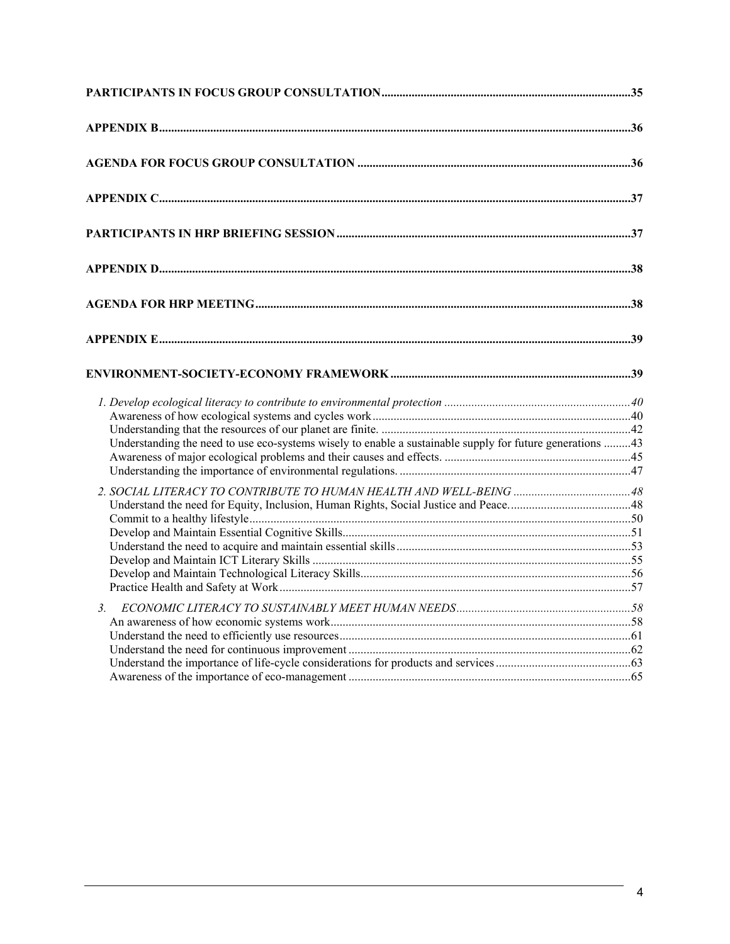| Understanding the need to use eco-systems wisely to enable a sustainable supply for future generations 43 |  |
|-----------------------------------------------------------------------------------------------------------|--|
|                                                                                                           |  |
| $\mathcal{E}$                                                                                             |  |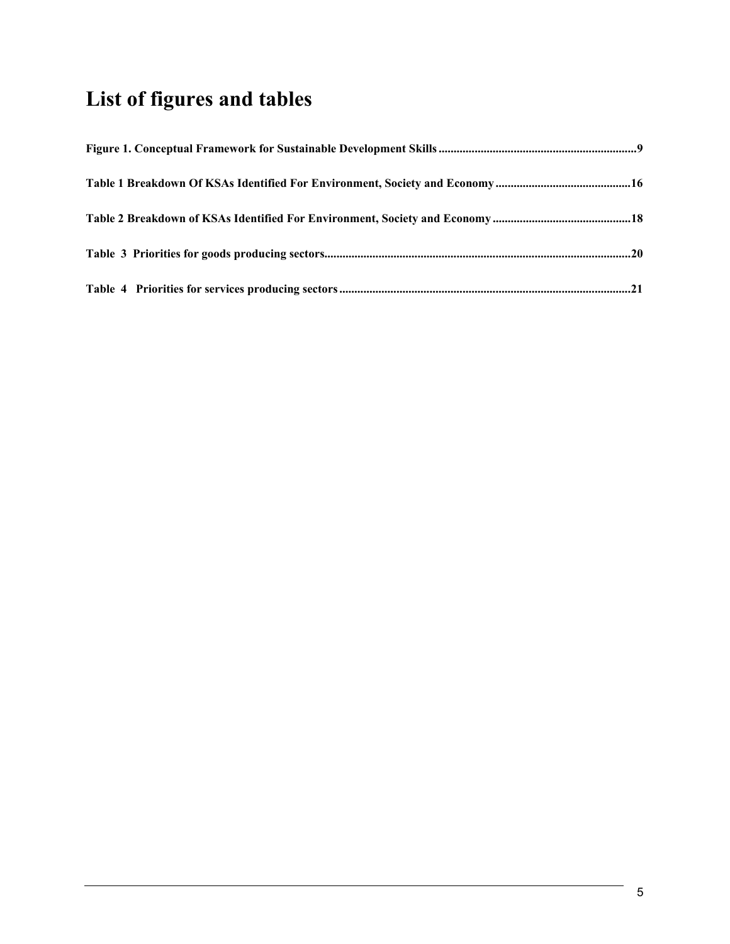# **List of figures and tables**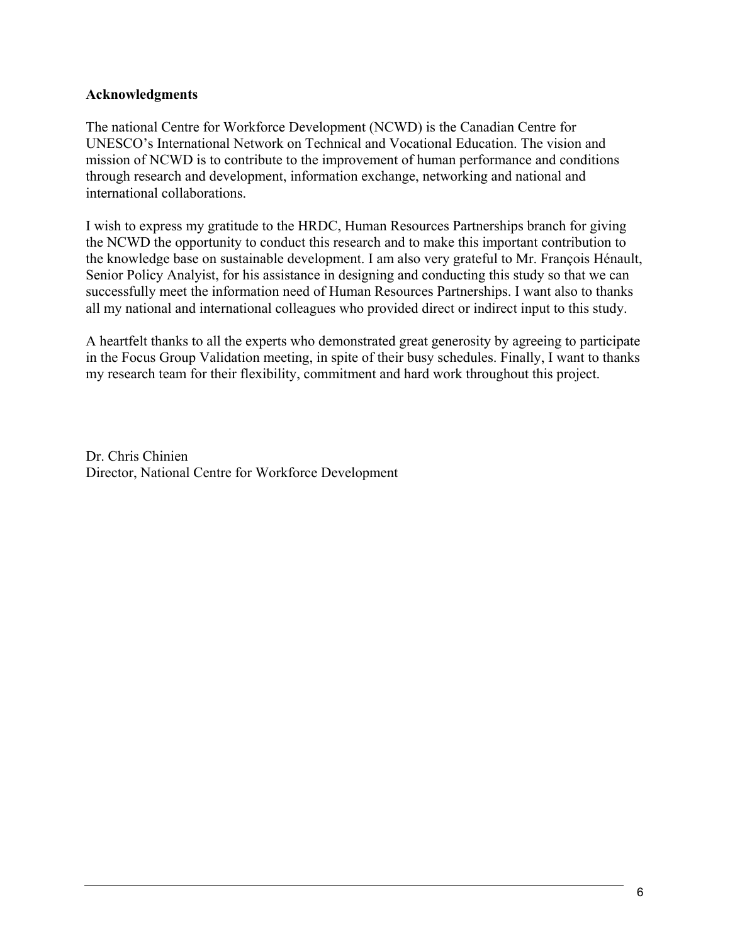#### **Acknowledgments**

The national Centre for Workforce Development (NCWD) is the Canadian Centre for UNESCO's International Network on Technical and Vocational Education. The vision and mission of NCWD is to contribute to the improvement of human performance and conditions through research and development, information exchange, networking and national and international collaborations.

I wish to express my gratitude to the HRDC, Human Resources Partnerships branch for giving the NCWD the opportunity to conduct this research and to make this important contribution to the knowledge base on sustainable development. I am also very grateful to Mr. François Hénault, Senior Policy Analyist, for his assistance in designing and conducting this study so that we can successfully meet the information need of Human Resources Partnerships. I want also to thanks all my national and international colleagues who provided direct or indirect input to this study.

A heartfelt thanks to all the experts who demonstrated great generosity by agreeing to participate in the Focus Group Validation meeting, in spite of their busy schedules. Finally, I want to thanks my research team for their flexibility, commitment and hard work throughout this project.

Dr. Chris Chinien Director, National Centre for Workforce Development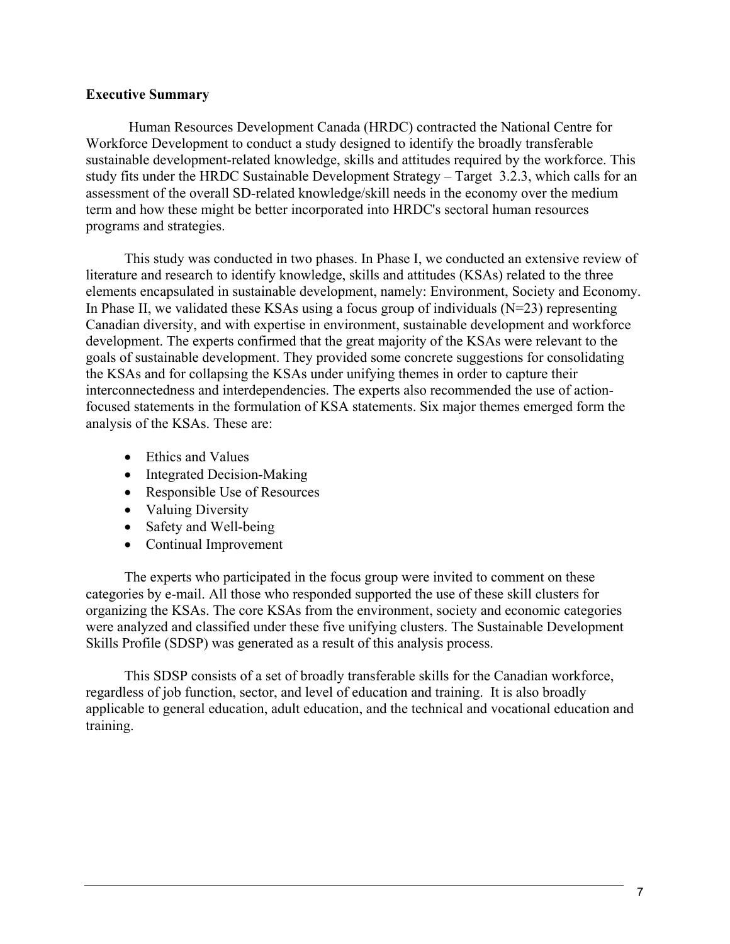#### **Executive Summary**

Human Resources Development Canada (HRDC) contracted the National Centre for Workforce Development to conduct a study designed to identify the broadly transferable sustainable development-related knowledge, skills and attitudes required by the workforce. This study fits under the HRDC Sustainable Development Strategy – Target 3.2.3, which calls for an assessment of the overall SD-related knowledge/skill needs in the economy over the medium term and how these might be better incorporated into HRDC's sectoral human resources programs and strategies.

This study was conducted in two phases. In Phase I, we conducted an extensive review of literature and research to identify knowledge, skills and attitudes (KSAs) related to the three elements encapsulated in sustainable development, namely: Environment, Society and Economy. In Phase II, we validated these KSAs using a focus group of individuals  $(N=23)$  representing Canadian diversity, and with expertise in environment, sustainable development and workforce development. The experts confirmed that the great majority of the KSAs were relevant to the goals of sustainable development. They provided some concrete suggestions for consolidating the KSAs and for collapsing the KSAs under unifying themes in order to capture their interconnectedness and interdependencies. The experts also recommended the use of actionfocused statements in the formulation of KSA statements. Six major themes emerged form the analysis of the KSAs. These are:

- Ethics and Values
- Integrated Decision-Making
- Responsible Use of Resources
- Valuing Diversity
- Safety and Well-being
- Continual Improvement

The experts who participated in the focus group were invited to comment on these categories by e-mail. All those who responded supported the use of these skill clusters for organizing the KSAs. The core KSAs from the environment, society and economic categories were analyzed and classified under these five unifying clusters. The Sustainable Development Skills Profile (SDSP) was generated as a result of this analysis process.

This SDSP consists of a set of broadly transferable skills for the Canadian workforce, regardless of job function, sector, and level of education and training. It is also broadly applicable to general education, adult education, and the technical and vocational education and training.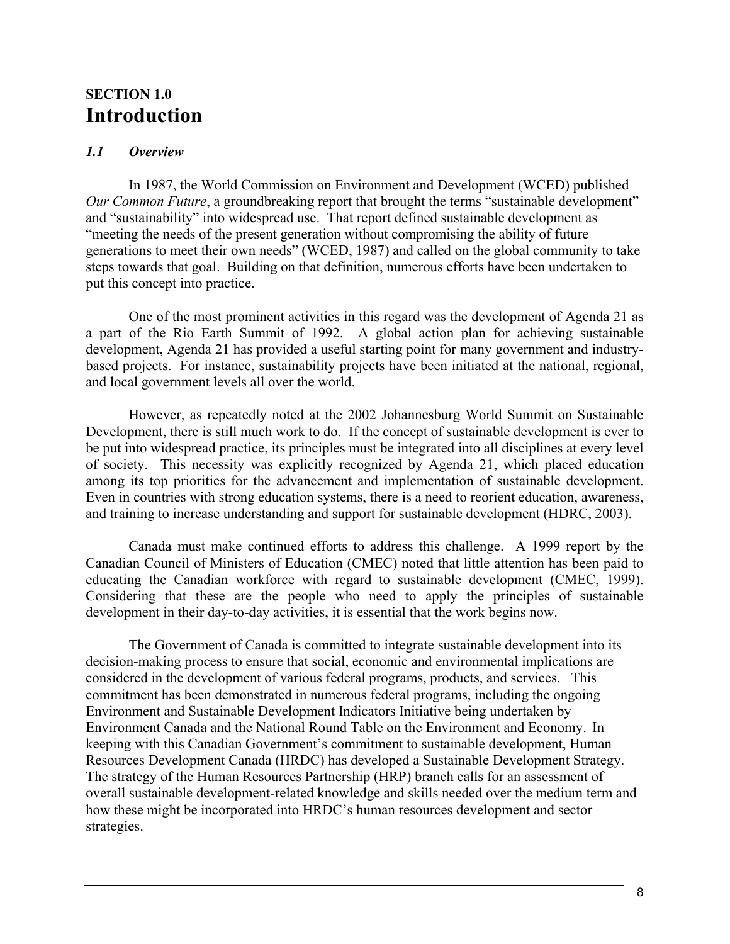# **SECTION 1.0 Introduction**

#### *1.1 Overview*

In 1987, the World Commission on Environment and Development (WCED) published *Our Common Future*, a groundbreaking report that brought the terms "sustainable development" and "sustainability" into widespread use. That report defined sustainable development as "meeting the needs of the present generation without compromising the ability of future generations to meet their own needs" (WCED, 1987) and called on the global community to take steps towards that goal. Building on that definition, numerous efforts have been undertaken to put this concept into practice.

One of the most prominent activities in this regard was the development of Agenda 21 as a part of the Rio Earth Summit of 1992. A global action plan for achieving sustainable development, Agenda 21 has provided a useful starting point for many government and industrybased projects. For instance, sustainability projects have been initiated at the national, regional, and local government levels all over the world.

However, as repeatedly noted at the 2002 Johannesburg World Summit on Sustainable Development, there is still much work to do. If the concept of sustainable development is ever to be put into widespread practice, its principles must be integrated into all disciplines at every level of society. This necessity was explicitly recognized by Agenda 21, which placed education among its top priorities for the advancement and implementation of sustainable development. Even in countries with strong education systems, there is a need to reorient education, awareness, and training to increase understanding and support for sustainable development (HDRC, 2003).

Canada must make continued efforts to address this challenge. A 1999 report by the Canadian Council of Ministers of Education (CMEC) noted that little attention has been paid to educating the Canadian workforce with regard to sustainable development (CMEC, 1999). Considering that these are the people who need to apply the principles of sustainable development in their day-to-day activities, it is essential that the work begins now.

The Government of Canada is committed to integrate sustainable development into its decision-making process to ensure that social, economic and environmental implications are considered in the development of various federal programs, products, and services. This commitment has been demonstrated in numerous federal programs, including the ongoing Environment and Sustainable Development Indicators Initiative being undertaken by Environment Canada and the National Round Table on the Environment and Economy. In keeping with this Canadian Government's commitment to sustainable development, Human Resources Development Canada (HRDC) has developed a Sustainable Development Strategy. The strategy of the Human Resources Partnership (HRP) branch calls for an assessment of overall sustainable development-related knowledge and skills needed over the medium term and how these might be incorporated into HRDC's human resources development and sector strategies.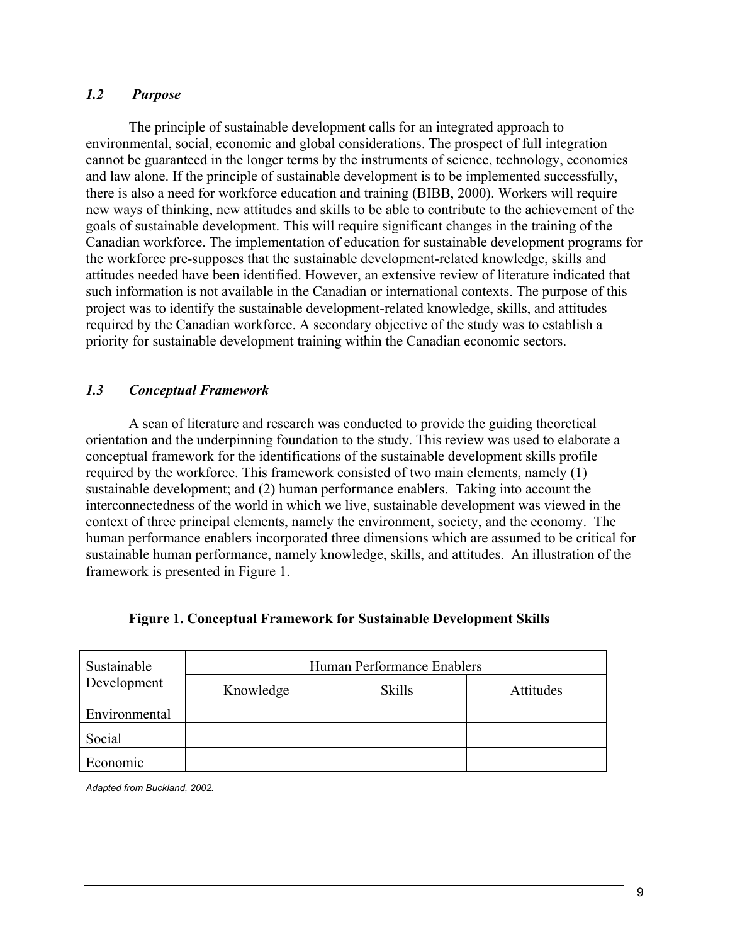#### *1.2 Purpose*

The principle of sustainable development calls for an integrated approach to environmental, social, economic and global considerations. The prospect of full integration cannot be guaranteed in the longer terms by the instruments of science, technology, economics and law alone. If the principle of sustainable development is to be implemented successfully, there is also a need for workforce education and training (BIBB, 2000). Workers will require new ways of thinking, new attitudes and skills to be able to contribute to the achievement of the goals of sustainable development. This will require significant changes in the training of the Canadian workforce. The implementation of education for sustainable development programs for the workforce pre-supposes that the sustainable development-related knowledge, skills and attitudes needed have been identified. However, an extensive review of literature indicated that such information is not available in the Canadian or international contexts. The purpose of this project was to identify the sustainable development-related knowledge, skills, and attitudes required by the Canadian workforce. A secondary objective of the study was to establish a priority for sustainable development training within the Canadian economic sectors.

#### *1.3 Conceptual Framework*

A scan of literature and research was conducted to provide the guiding theoretical orientation and the underpinning foundation to the study. This review was used to elaborate a conceptual framework for the identifications of the sustainable development skills profile required by the workforce. This framework consisted of two main elements, namely (1) sustainable development; and (2) human performance enablers. Taking into account the interconnectedness of the world in which we live, sustainable development was viewed in the context of three principal elements, namely the environment, society, and the economy. The human performance enablers incorporated three dimensions which are assumed to be critical for sustainable human performance, namely knowledge, skills, and attitudes. An illustration of the framework is presented in Figure 1.

| Sustainable   |           | Human Performance Enablers |           |
|---------------|-----------|----------------------------|-----------|
| Development   | Knowledge | <b>Skills</b>              | Attitudes |
| Environmental |           |                            |           |
| Social        |           |                            |           |
| Economic      |           |                            |           |

#### **Figure 1. Conceptual Framework for Sustainable Development Skills**

*Adapted from Buckland, 2002.*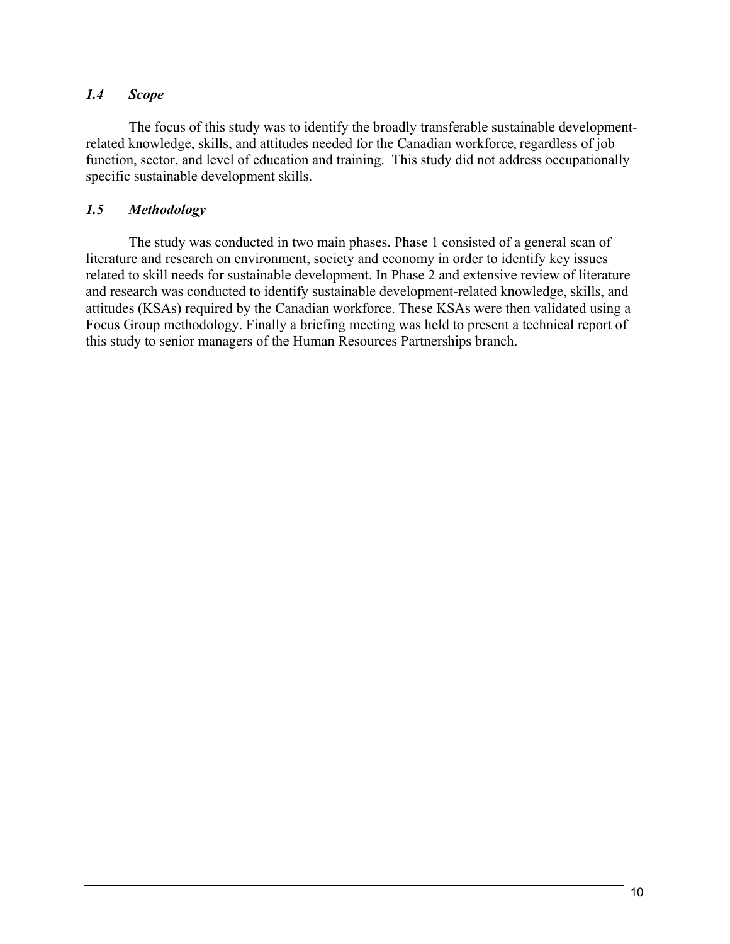#### *1.4 Scope*

The focus of this study was to identify the broadly transferable sustainable developmentrelated knowledge, skills, and attitudes needed for the Canadian workforce, regardless of job function, sector, and level of education and training. This study did not address occupationally specific sustainable development skills.

#### *1.5 Methodology*

The study was conducted in two main phases. Phase 1 consisted of a general scan of literature and research on environment, society and economy in order to identify key issues related to skill needs for sustainable development. In Phase 2 and extensive review of literature and research was conducted to identify sustainable development-related knowledge, skills, and attitudes (KSAs) required by the Canadian workforce. These KSAs were then validated using a Focus Group methodology. Finally a briefing meeting was held to present a technical report of this study to senior managers of the Human Resources Partnerships branch.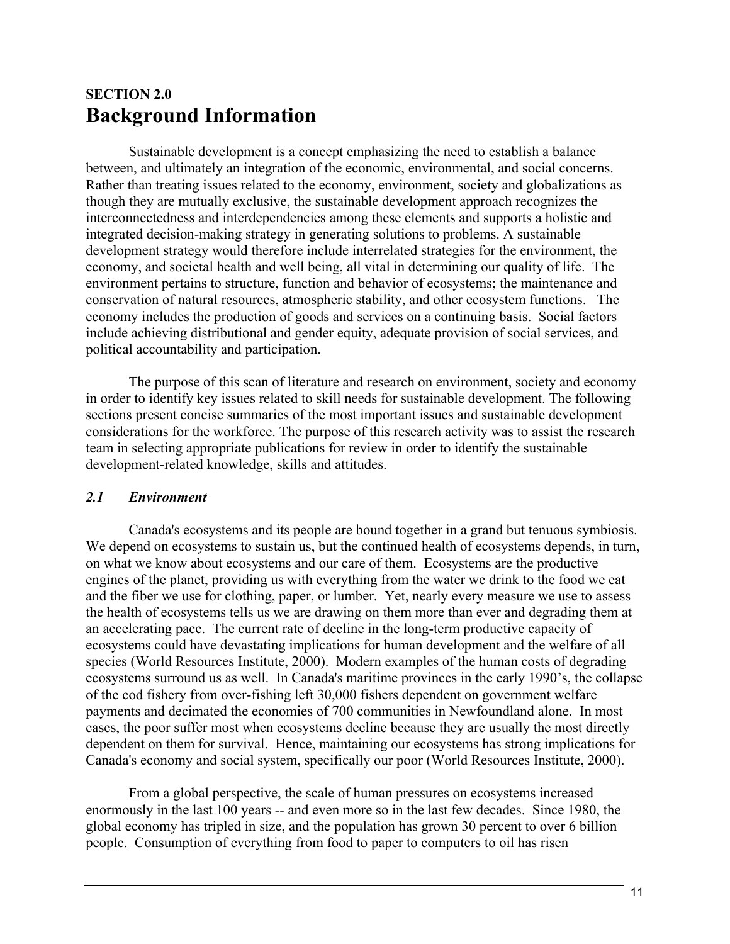# **SECTION 2.0 Background Information**

Sustainable development is a concept emphasizing the need to establish a balance between, and ultimately an integration of the economic, environmental, and social concerns. Rather than treating issues related to the economy, environment, society and globalizations as though they are mutually exclusive, the sustainable development approach recognizes the interconnectedness and interdependencies among these elements and supports a holistic and integrated decision-making strategy in generating solutions to problems. A sustainable development strategy would therefore include interrelated strategies for the environment, the economy, and societal health and well being, all vital in determining our quality of life. The environment pertains to structure, function and behavior of ecosystems; the maintenance and conservation of natural resources, atmospheric stability, and other ecosystem functions. The economy includes the production of goods and services on a continuing basis. Social factors include achieving distributional and gender equity, adequate provision of social services, and political accountability and participation.

The purpose of this scan of literature and research on environment, society and economy in order to identify key issues related to skill needs for sustainable development. The following sections present concise summaries of the most important issues and sustainable development considerations for the workforce. The purpose of this research activity was to assist the research team in selecting appropriate publications for review in order to identify the sustainable development-related knowledge, skills and attitudes.

#### *2.1 Environment*

Canada's ecosystems and its people are bound together in a grand but tenuous symbiosis. We depend on ecosystems to sustain us, but the continued health of ecosystems depends, in turn, on what we know about ecosystems and our care of them. Ecosystems are the productive engines of the planet, providing us with everything from the water we drink to the food we eat and the fiber we use for clothing, paper, or lumber. Yet, nearly every measure we use to assess the health of ecosystems tells us we are drawing on them more than ever and degrading them at an accelerating pace. The current rate of decline in the long-term productive capacity of ecosystems could have devastating implications for human development and the welfare of all species (World Resources Institute, 2000). Modern examples of the human costs of degrading ecosystems surround us as well. In Canada's maritime provinces in the early 1990's, the collapse of the cod fishery from over-fishing left 30,000 fishers dependent on government welfare payments and decimated the economies of 700 communities in Newfoundland alone. In most cases, the poor suffer most when ecosystems decline because they are usually the most directly dependent on them for survival. Hence, maintaining our ecosystems has strong implications for Canada's economy and social system, specifically our poor (World Resources Institute, 2000).

From a global perspective, the scale of human pressures on ecosystems increased enormously in the last 100 years -- and even more so in the last few decades. Since 1980, the global economy has tripled in size, and the population has grown 30 percent to over 6 billion people. Consumption of everything from food to paper to computers to oil has risen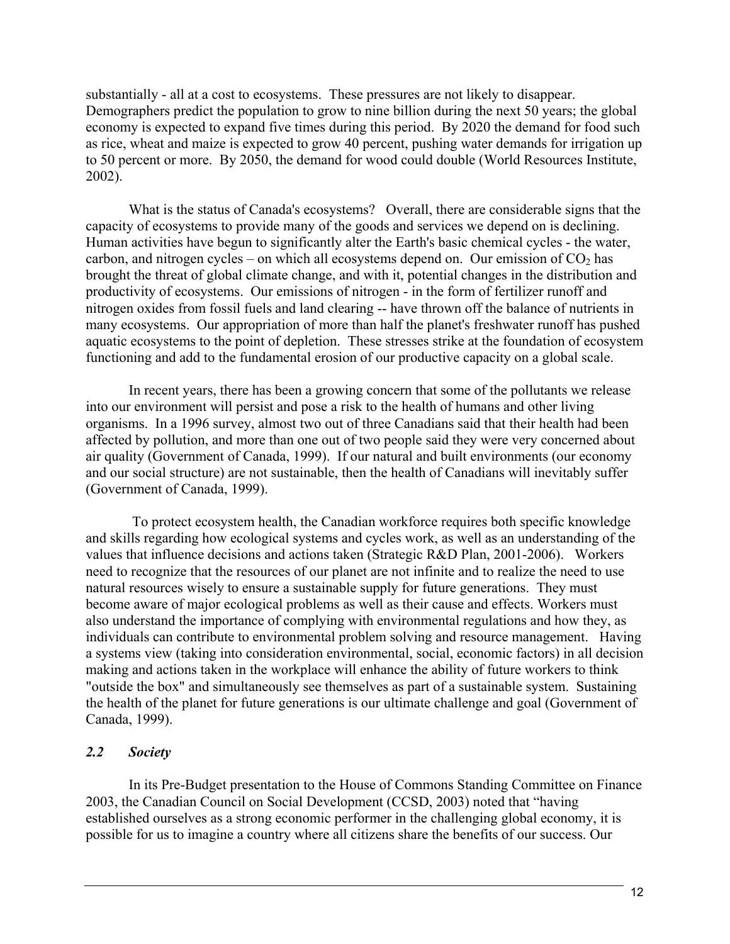substantially - all at a cost to ecosystems. These pressures are not likely to disappear. Demographers predict the population to grow to nine billion during the next 50 years; the global economy is expected to expand five times during this period. By 2020 the demand for food such as rice, wheat and maize is expected to grow 40 percent, pushing water demands for irrigation up to 50 percent or more. By 2050, the demand for wood could double (World Resources Institute, 2002).

What is the status of Canada's ecosystems? Overall, there are considerable signs that the capacity of ecosystems to provide many of the goods and services we depend on is declining. Human activities have begun to significantly alter the Earth's basic chemical cycles - the water, carbon, and nitrogen cycles – on which all ecosystems depend on. Our emission of  $CO<sub>2</sub>$  has brought the threat of global climate change, and with it, potential changes in the distribution and productivity of ecosystems. Our emissions of nitrogen - in the form of fertilizer runoff and nitrogen oxides from fossil fuels and land clearing -- have thrown off the balance of nutrients in many ecosystems. Our appropriation of more than half the planet's freshwater runoff has pushed aquatic ecosystems to the point of depletion. These stresses strike at the foundation of ecosystem functioning and add to the fundamental erosion of our productive capacity on a global scale.

In recent years, there has been a growing concern that some of the pollutants we release into our environment will persist and pose a risk to the health of humans and other living organisms. In a 1996 survey, almost two out of three Canadians said that their health had been affected by pollution, and more than one out of two people said they were very concerned about air quality (Government of Canada, 1999). If our natural and built environments (our economy and our social structure) are not sustainable, then the health of Canadians will inevitably suffer (Government of Canada, 1999).

 To protect ecosystem health, the Canadian workforce requires both specific knowledge and skills regarding how ecological systems and cycles work, as well as an understanding of the values that influence decisions and actions taken (Strategic R&D Plan, 2001-2006). Workers need to recognize that the resources of our planet are not infinite and to realize the need to use natural resources wisely to ensure a sustainable supply for future generations. They must become aware of major ecological problems as well as their cause and effects. Workers must also understand the importance of complying with environmental regulations and how they, as individuals can contribute to environmental problem solving and resource management. Having a systems view (taking into consideration environmental, social, economic factors) in all decision making and actions taken in the workplace will enhance the ability of future workers to think "outside the box" and simultaneously see themselves as part of a sustainable system. Sustaining the health of the planet for future generations is our ultimate challenge and goal (Government of Canada, 1999).

#### *2.2 Society*

In its Pre-Budget presentation to the House of Commons Standing Committee on Finance 2003, the Canadian Council on Social Development (CCSD, 2003) noted that "having established ourselves as a strong economic performer in the challenging global economy, it is possible for us to imagine a country where all citizens share the benefits of our success. Our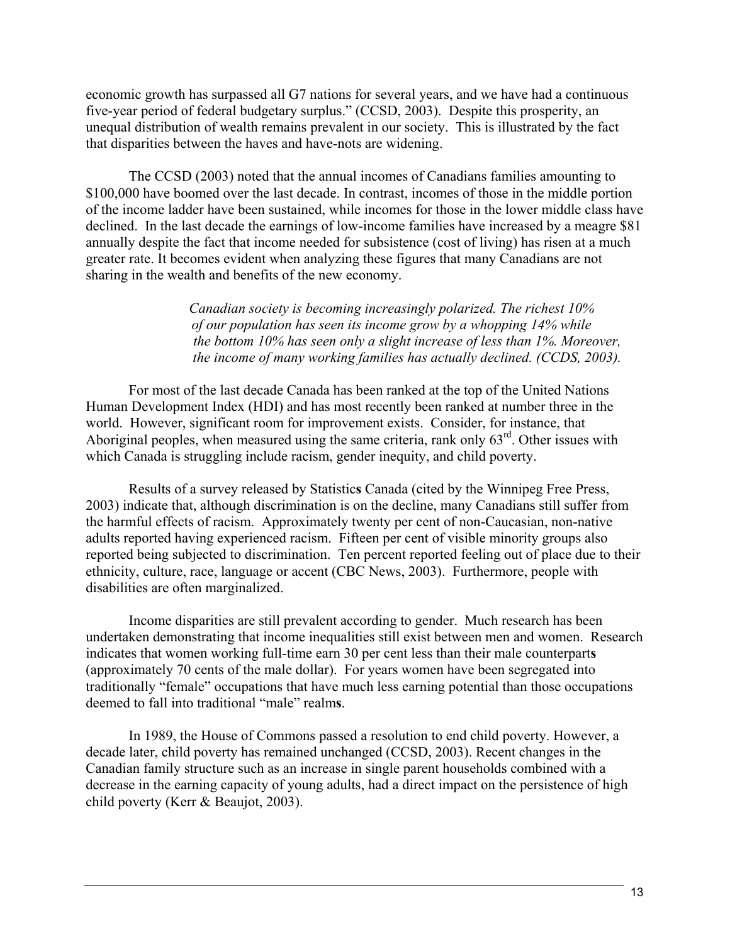economic growth has surpassed all G7 nations for several years, and we have had a continuous five-year period of federal budgetary surplus." (CCSD, 2003). Despite this prosperity, an unequal distribution of wealth remains prevalent in our society. This is illustrated by the fact that disparities between the haves and have-nots are widening.

The CCSD (2003) noted that the annual incomes of Canadians families amounting to \$100,000 have boomed over the last decade. In contrast, incomes of those in the middle portion of the income ladder have been sustained, while incomes for those in the lower middle class have declined. In the last decade the earnings of low-income families have increased by a meagre \$81 annually despite the fact that income needed for subsistence (cost of living) has risen at a much greater rate. It becomes evident when analyzing these figures that many Canadians are not sharing in the wealth and benefits of the new economy.

> *Canadian society is becoming increasingly polarized. The richest 10% of our population has seen its income grow by a whopping 14% while the bottom 10% has seen only a slight increase of less than 1%. Moreover, the income of many working families has actually declined. (CCDS, 2003).*

For most of the last decade Canada has been ranked at the top of the United Nations Human Development Index (HDI) and has most recently been ranked at number three in the world. However, significant room for improvement exists. Consider, for instance, that Aboriginal peoples, when measured using the same criteria, rank only  $63<sup>rd</sup>$ . Other issues with which Canada is struggling include racism, gender inequity, and child poverty.

Results of a survey released by Statistic**s** Canada (cited by the Winnipeg Free Press, 2003) indicate that, although discrimination is on the decline, many Canadians still suffer from the harmful effects of racism. Approximately twenty per cent of non-Caucasian, non-native adults reported having experienced racism. Fifteen per cent of visible minority groups also reported being subjected to discrimination. Ten percent reported feeling out of place due to their ethnicity, culture, race, language or accent (CBC News, 2003). Furthermore, people with disabilities are often marginalized.

Income disparities are still prevalent according to gender. Much research has been undertaken demonstrating that income inequalities still exist between men and women. Research indicates that women working full-time earn 30 per cent less than their male counterpart**s** (approximately 70 cents of the male dollar). For years women have been segregated into traditionally "female" occupations that have much less earning potential than those occupations deemed to fall into traditional "male" realm**s**.

In 1989, the House of Commons passed a resolution to end child poverty. However, a decade later, child poverty has remained unchanged (CCSD, 2003). Recent changes in the Canadian family structure such as an increase in single parent households combined with a decrease in the earning capacity of young adults, had a direct impact on the persistence of high child poverty (Kerr & Beaujot, 2003).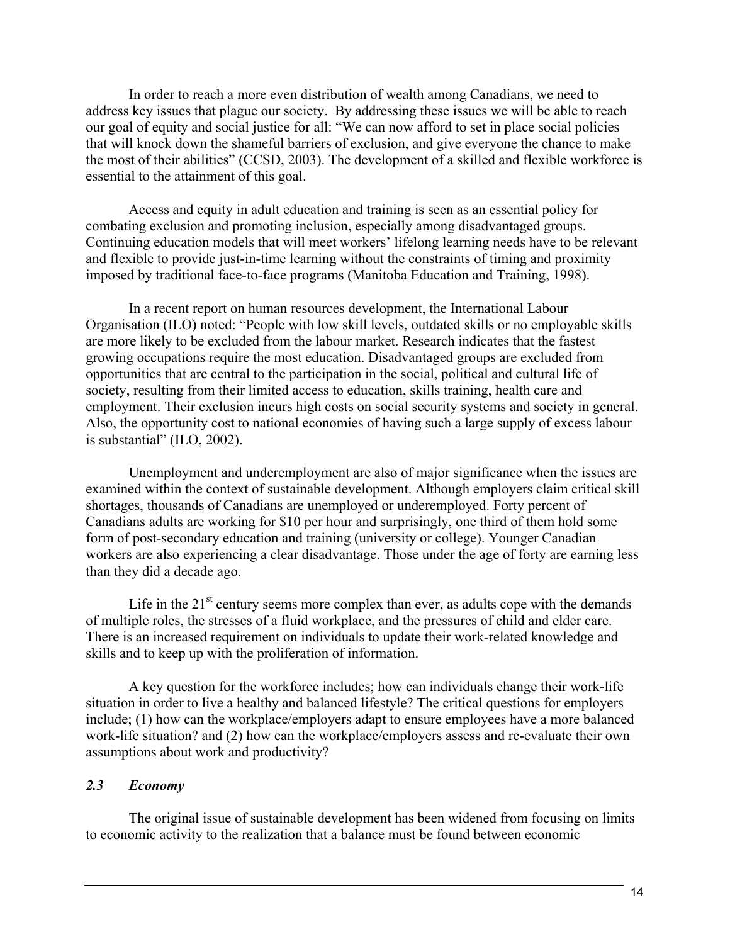In order to reach a more even distribution of wealth among Canadians, we need to address key issues that plague our society. By addressing these issues we will be able to reach our goal of equity and social justice for all: "We can now afford to set in place social policies that will knock down the shameful barriers of exclusion, and give everyone the chance to make the most of their abilities" (CCSD, 2003). The development of a skilled and flexible workforce is essential to the attainment of this goal.

Access and equity in adult education and training is seen as an essential policy for combating exclusion and promoting inclusion, especially among disadvantaged groups. Continuing education models that will meet workers' lifelong learning needs have to be relevant and flexible to provide just-in-time learning without the constraints of timing and proximity imposed by traditional face-to-face programs (Manitoba Education and Training, 1998).

In a recent report on human resources development, the International Labour Organisation (ILO) noted: "People with low skill levels, outdated skills or no employable skills are more likely to be excluded from the labour market. Research indicates that the fastest growing occupations require the most education. Disadvantaged groups are excluded from opportunities that are central to the participation in the social, political and cultural life of society, resulting from their limited access to education, skills training, health care and employment. Their exclusion incurs high costs on social security systems and society in general. Also, the opportunity cost to national economies of having such a large supply of excess labour is substantial" (ILO, 2002).

Unemployment and underemployment are also of major significance when the issues are examined within the context of sustainable development. Although employers claim critical skill shortages, thousands of Canadians are unemployed or underemployed. Forty percent of Canadians adults are working for \$10 per hour and surprisingly, one third of them hold some form of post-secondary education and training (university or college). Younger Canadian workers are also experiencing a clear disadvantage. Those under the age of forty are earning less than they did a decade ago.

Life in the  $21<sup>st</sup>$  century seems more complex than ever, as adults cope with the demands of multiple roles, the stresses of a fluid workplace, and the pressures of child and elder care. There is an increased requirement on individuals to update their work-related knowledge and skills and to keep up with the proliferation of information.

A key question for the workforce includes; how can individuals change their work-life situation in order to live a healthy and balanced lifestyle? The critical questions for employers include; (1) how can the workplace/employers adapt to ensure employees have a more balanced work-life situation? and (2) how can the workplace/employers assess and re-evaluate their own assumptions about work and productivity?

#### *2.3 Economy*

The original issue of sustainable development has been widened from focusing on limits to economic activity to the realization that a balance must be found between economic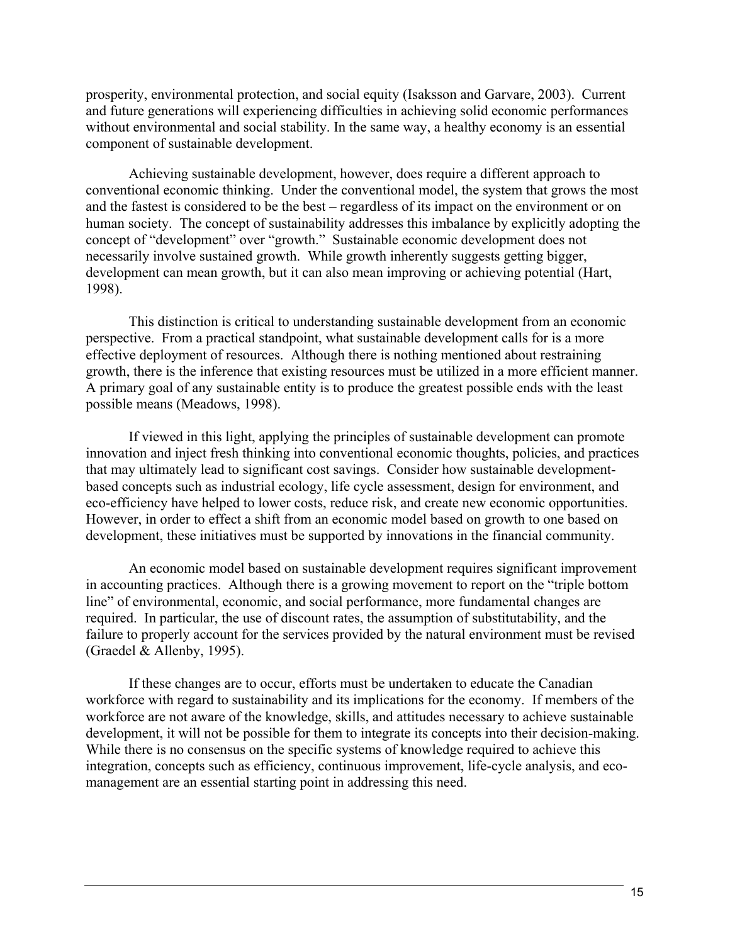prosperity, environmental protection, and social equity (Isaksson and Garvare, 2003). Current and future generations will experiencing difficulties in achieving solid economic performances without environmental and social stability. In the same way, a healthy economy is an essential component of sustainable development.

 Achieving sustainable development, however, does require a different approach to conventional economic thinking. Under the conventional model, the system that grows the most and the fastest is considered to be the best – regardless of its impact on the environment or on human society. The concept of sustainability addresses this imbalance by explicitly adopting the concept of "development" over "growth." Sustainable economic development does not necessarily involve sustained growth. While growth inherently suggests getting bigger, development can mean growth, but it can also mean improving or achieving potential (Hart, 1998).

This distinction is critical to understanding sustainable development from an economic perspective. From a practical standpoint, what sustainable development calls for is a more effective deployment of resources. Although there is nothing mentioned about restraining growth, there is the inference that existing resources must be utilized in a more efficient manner. A primary goal of any sustainable entity is to produce the greatest possible ends with the least possible means (Meadows, 1998).

If viewed in this light, applying the principles of sustainable development can promote innovation and inject fresh thinking into conventional economic thoughts, policies, and practices that may ultimately lead to significant cost savings. Consider how sustainable developmentbased concepts such as industrial ecology, life cycle assessment, design for environment, and eco-efficiency have helped to lower costs, reduce risk, and create new economic opportunities. However, in order to effect a shift from an economic model based on growth to one based on development, these initiatives must be supported by innovations in the financial community.

An economic model based on sustainable development requires significant improvement in accounting practices. Although there is a growing movement to report on the "triple bottom line" of environmental, economic, and social performance, more fundamental changes are required. In particular, the use of discount rates, the assumption of substitutability, and the failure to properly account for the services provided by the natural environment must be revised (Graedel & Allenby, 1995).

If these changes are to occur, efforts must be undertaken to educate the Canadian workforce with regard to sustainability and its implications for the economy. If members of the workforce are not aware of the knowledge, skills, and attitudes necessary to achieve sustainable development, it will not be possible for them to integrate its concepts into their decision-making. While there is no consensus on the specific systems of knowledge required to achieve this integration, concepts such as efficiency, continuous improvement, life-cycle analysis, and ecomanagement are an essential starting point in addressing this need.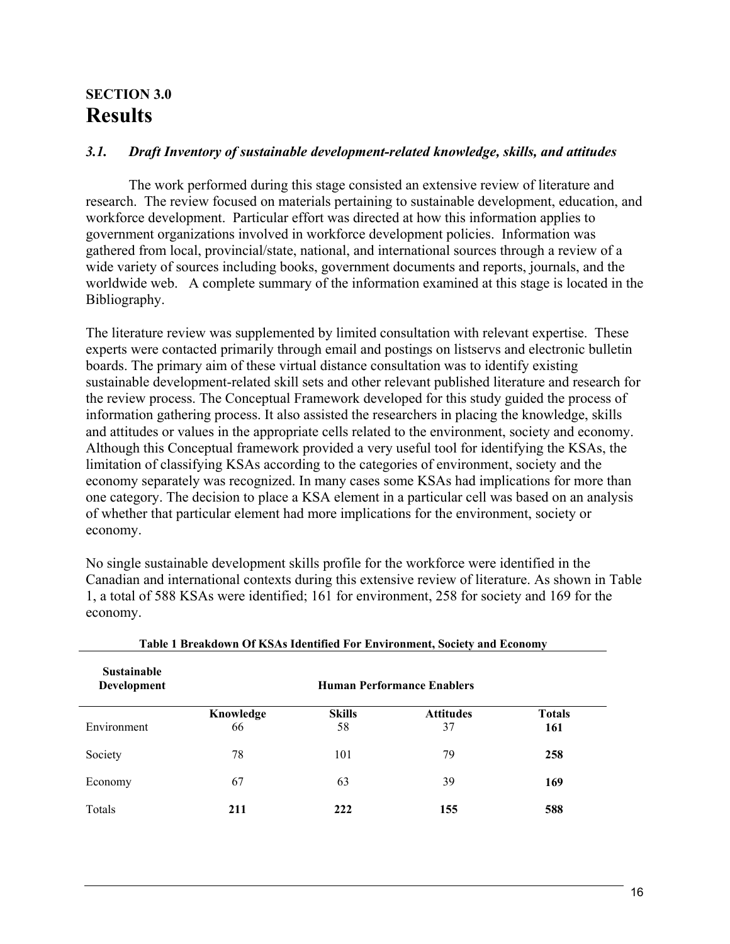# **SECTION 3.0 Results**

#### *3.1. Draft Inventory of sustainable development-related knowledge, skills, and attitudes*

The work performed during this stage consisted an extensive review of literature and research. The review focused on materials pertaining to sustainable development, education, and workforce development. Particular effort was directed at how this information applies to government organizations involved in workforce development policies. Information was gathered from local, provincial/state, national, and international sources through a review of a wide variety of sources including books, government documents and reports, journals, and the worldwide web. A complete summary of the information examined at this stage is located in the Bibliography.

The literature review was supplemented by limited consultation with relevant expertise. These experts were contacted primarily through email and postings on listservs and electronic bulletin boards. The primary aim of these virtual distance consultation was to identify existing sustainable development-related skill sets and other relevant published literature and research for the review process. The Conceptual Framework developed for this study guided the process of information gathering process. It also assisted the researchers in placing the knowledge, skills and attitudes or values in the appropriate cells related to the environment, society and economy. Although this Conceptual framework provided a very useful tool for identifying the KSAs, the limitation of classifying KSAs according to the categories of environment, society and the economy separately was recognized. In many cases some KSAs had implications for more than one category. The decision to place a KSA element in a particular cell was based on an analysis of whether that particular element had more implications for the environment, society or economy.

No single sustainable development skills profile for the workforce were identified in the Canadian and international contexts during this extensive review of literature. As shown in Table 1, a total of 588 KSAs were identified; 161 for environment, 258 for society and 169 for the economy.

| Table 1 Breakdown Of KSAs Identified For Environment, Society and Economy |                 |                     |                                   |                      |
|---------------------------------------------------------------------------|-----------------|---------------------|-----------------------------------|----------------------|
| <b>Sustainable</b><br><b>Development</b>                                  |                 |                     | <b>Human Performance Enablers</b> |                      |
| Environment                                                               | Knowledge<br>66 | <b>Skills</b><br>58 | <b>Attitudes</b><br>37            | <b>Totals</b><br>161 |
| Society                                                                   | 78              | 101                 | 79                                | 258                  |
| Economy                                                                   | 67              | 63                  | 39                                | 169                  |
| Totals                                                                    | 211             | 222                 | 155                               | 588                  |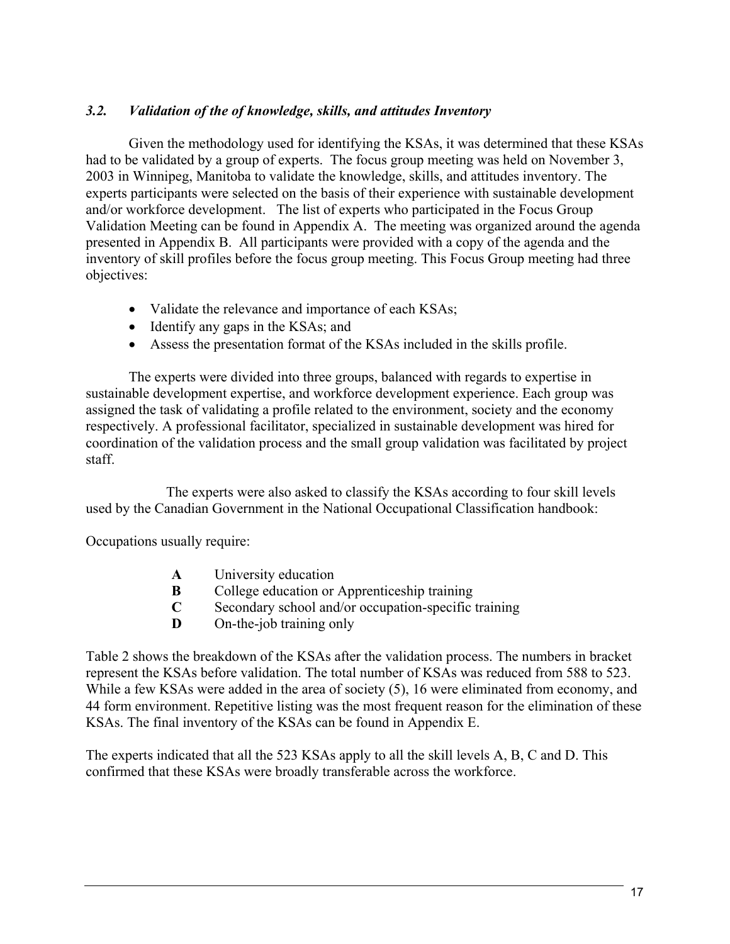#### *3.2. Validation of the of knowledge, skills, and attitudes Inventory*

Given the methodology used for identifying the KSAs, it was determined that these KSAs had to be validated by a group of experts. The focus group meeting was held on November 3, 2003 in Winnipeg, Manitoba to validate the knowledge, skills, and attitudes inventory. The experts participants were selected on the basis of their experience with sustainable development and/or workforce development. The list of experts who participated in the Focus Group Validation Meeting can be found in Appendix A. The meeting was organized around the agenda presented in Appendix B. All participants were provided with a copy of the agenda and the inventory of skill profiles before the focus group meeting. This Focus Group meeting had three objectives:

- Validate the relevance and importance of each KSAs;
- Identify any gaps in the KSAs; and
- Assess the presentation format of the KSAs included in the skills profile.

The experts were divided into three groups, balanced with regards to expertise in sustainable development expertise, and workforce development experience. Each group was assigned the task of validating a profile related to the environment, society and the economy respectively. A professional facilitator, specialized in sustainable development was hired for coordination of the validation process and the small group validation was facilitated by project staff.

 The experts were also asked to classify the KSAs according to four skill levels used by the Canadian Government in the National Occupational Classification handbook:

Occupations usually require:

- **A** University education
- **B** College education or Apprenticeship training
- **C** Secondary school and/or occupation-specific training
- **D** On-the-job training only

Table 2 shows the breakdown of the KSAs after the validation process. The numbers in bracket represent the KSAs before validation. The total number of KSAs was reduced from 588 to 523. While a few KSAs were added in the area of society (5), 16 were eliminated from economy, and 44 form environment. Repetitive listing was the most frequent reason for the elimination of these KSAs. The final inventory of the KSAs can be found in Appendix E.

 The experts indicated that all the 523 KSAs apply to all the skill levels A, B, C and D. This confirmed that these KSAs were broadly transferable across the workforce.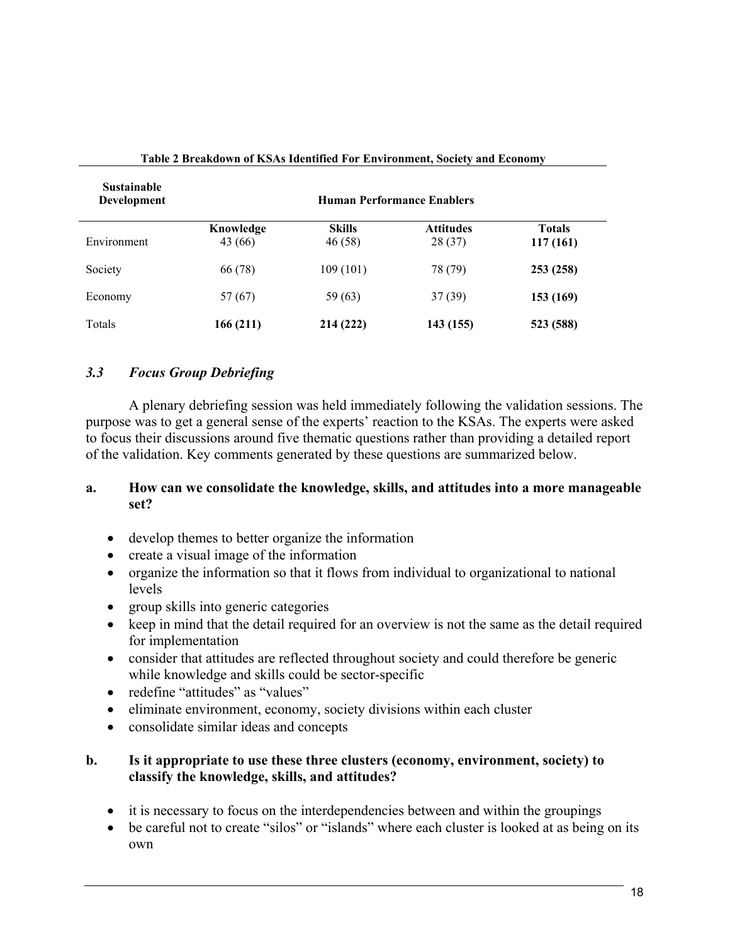| <b>Sustainable</b><br>Development | Human Performance Enablers |                          |                             |                           |  |
|-----------------------------------|----------------------------|--------------------------|-----------------------------|---------------------------|--|
| Environment                       | Knowledge<br>43 (66)       | <b>Skills</b><br>46 (58) | <b>Attitudes</b><br>28 (37) | <b>Totals</b><br>117(161) |  |
| Society                           | 66 (78)                    | 109(101)                 | 78 (79)                     | 253 (258)                 |  |
| Economy                           | 57(67)                     | 59 (63)                  | 37(39)                      | 153 (169)                 |  |
| Totals                            | 166(211)                   | 214 (222)                | 143 (155)                   | 523 (588)                 |  |

#### **Table 2 Breakdown of KSAs Identified For Environment, Society and Economy**

#### *3.3 Focus Group Debriefing*

A plenary debriefing session was held immediately following the validation sessions. The purpose was to get a general sense of the experts' reaction to the KSAs. The experts were asked to focus their discussions around five thematic questions rather than providing a detailed report of the validation. Key comments generated by these questions are summarized below.

#### **a. How can we consolidate the knowledge, skills, and attitudes into a more manageable set?**

- develop themes to better organize the information
- create a visual image of the information
- organize the information so that it flows from individual to organizational to national levels
- group skills into generic categories
- keep in mind that the detail required for an overview is not the same as the detail required for implementation
- consider that attitudes are reflected throughout society and could therefore be generic while knowledge and skills could be sector-specific
- redefine "attitudes" as "values"
- eliminate environment, economy, society divisions within each cluster
- consolidate similar ideas and concepts

#### **b. Is it appropriate to use these three clusters (economy, environment, society) to classify the knowledge, skills, and attitudes?**

- it is necessary to focus on the interdependencies between and within the groupings
- be careful not to create "silos" or "islands" where each cluster is looked at as being on its own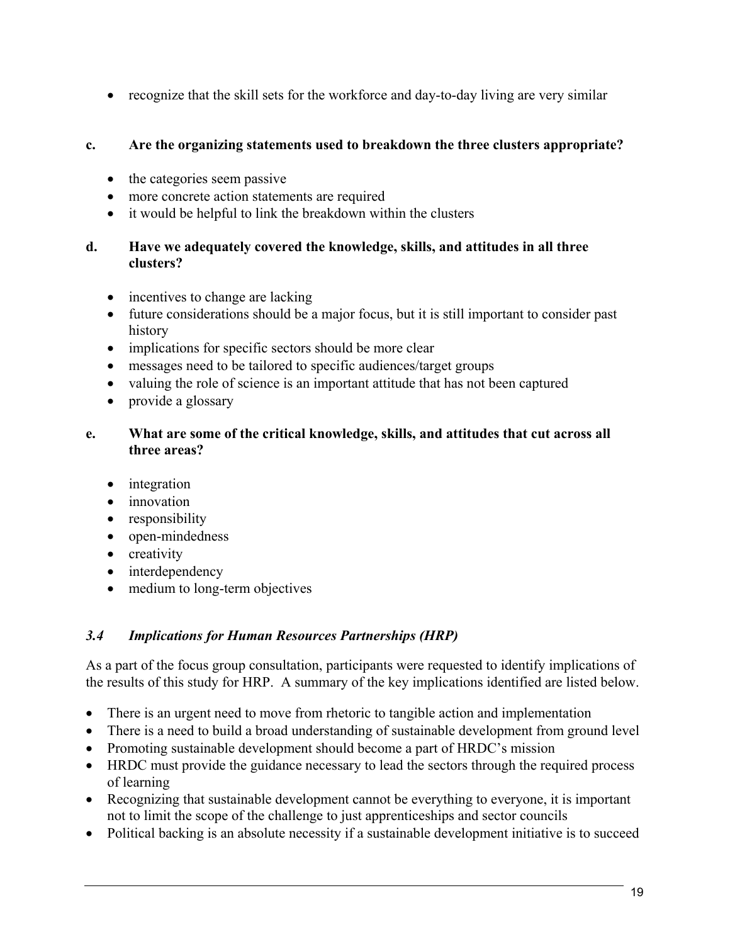• recognize that the skill sets for the workforce and day-to-day living are very similar

## **c. Are the organizing statements used to breakdown the three clusters appropriate?**

- the categories seem passive
- more concrete action statements are required
- it would be helpful to link the breakdown within the clusters

#### **d. Have we adequately covered the knowledge, skills, and attitudes in all three clusters?**

- incentives to change are lacking
- future considerations should be a major focus, but it is still important to consider past history
- implications for specific sectors should be more clear
- messages need to be tailored to specific audiences/target groups
- valuing the role of science is an important attitude that has not been captured
- provide a glossary

### **e. What are some of the critical knowledge, skills, and attitudes that cut across all three areas?**

- integration
- innovation
- responsibility
- open-mindedness
- creativity
- interdependency
- medium to long-term objectives

## *3.4 Implications for Human Resources Partnerships (HRP)*

As a part of the focus group consultation, participants were requested to identify implications of the results of this study for HRP. A summary of the key implications identified are listed below.

- There is an urgent need to move from rhetoric to tangible action and implementation
- There is a need to build a broad understanding of sustainable development from ground level
- Promoting sustainable development should become a part of HRDC's mission
- HRDC must provide the guidance necessary to lead the sectors through the required process of learning
- Recognizing that sustainable development cannot be everything to everyone, it is important not to limit the scope of the challenge to just apprenticeships and sector councils
- Political backing is an absolute necessity if a sustainable development initiative is to succeed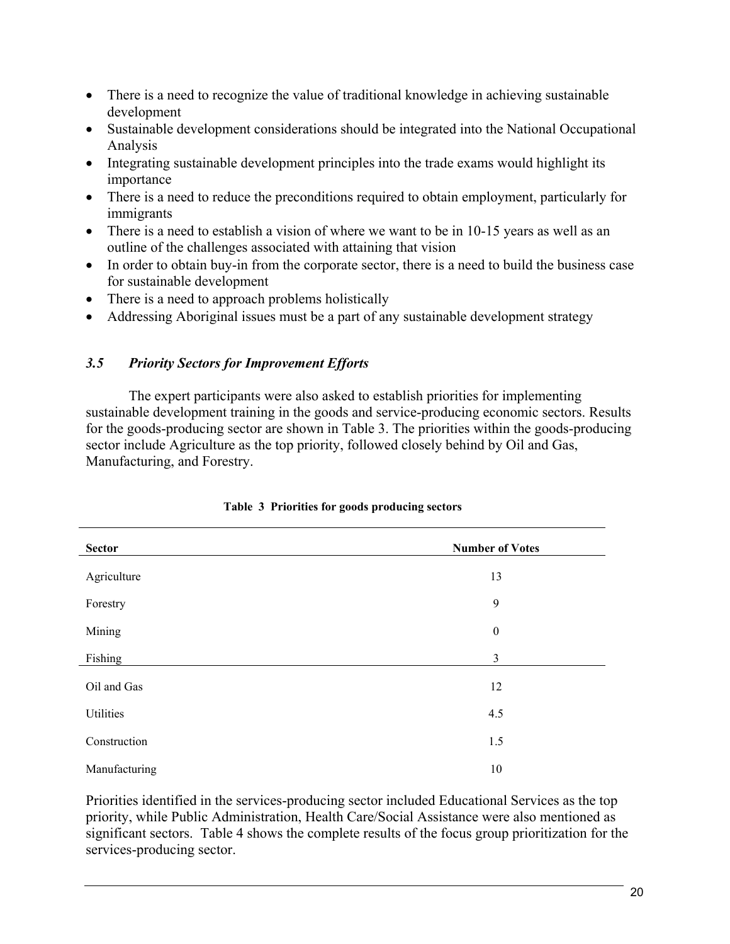- There is a need to recognize the value of traditional knowledge in achieving sustainable development
- Sustainable development considerations should be integrated into the National Occupational Analysis
- Integrating sustainable development principles into the trade exams would highlight its importance
- There is a need to reduce the preconditions required to obtain employment, particularly for immigrants
- There is a need to establish a vision of where we want to be in 10-15 years as well as an outline of the challenges associated with attaining that vision
- In order to obtain buy-in from the corporate sector, there is a need to build the business case for sustainable development
- There is a need to approach problems holistically
- Addressing Aboriginal issues must be a part of any sustainable development strategy

#### *3.5 Priority Sectors for Improvement Efforts*

The expert participants were also asked to establish priorities for implementing sustainable development training in the goods and service-producing economic sectors. Results for the goods-producing sector are shown in Table 3. The priorities within the goods-producing sector include Agriculture as the top priority, followed closely behind by Oil and Gas, Manufacturing, and Forestry.

| <b>Sector</b> | <b>Number of Votes</b> |
|---------------|------------------------|
| Agriculture   | 13                     |
| Forestry      | $\boldsymbol{9}$       |
| Mining        | $\boldsymbol{0}$       |
| Fishing       | 3                      |
| Oil and Gas   | 12                     |
| Utilities     | 4.5                    |
| Construction  | 1.5                    |
| Manufacturing | 10                     |

|  |  |  |  |  | Table 3 Priorities for goods producing sectors |  |
|--|--|--|--|--|------------------------------------------------|--|
|--|--|--|--|--|------------------------------------------------|--|

Priorities identified in the services-producing sector included Educational Services as the top priority, while Public Administration, Health Care/Social Assistance were also mentioned as significant sectors. Table 4 shows the complete results of the focus group prioritization for the services-producing sector.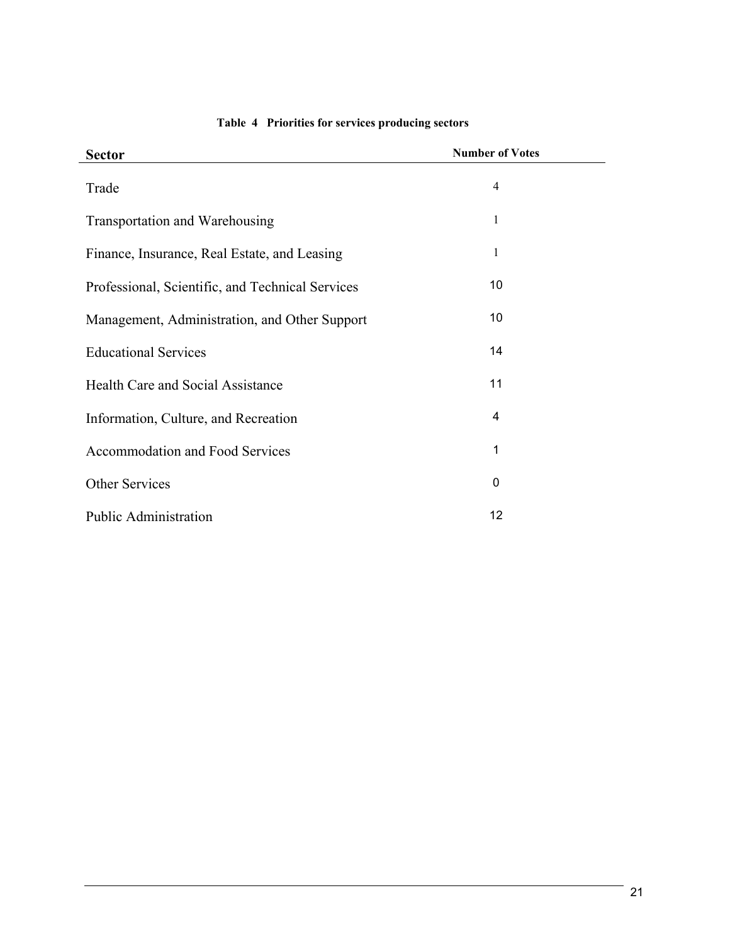| <b>Sector</b>                                    | <b>Number of Votes</b> |  |
|--------------------------------------------------|------------------------|--|
| Trade                                            | 4                      |  |
| Transportation and Warehousing                   | 1                      |  |
| Finance, Insurance, Real Estate, and Leasing     | 1                      |  |
| Professional, Scientific, and Technical Services | 10                     |  |
| Management, Administration, and Other Support    | 10                     |  |
| <b>Educational Services</b>                      | 14                     |  |
| Health Care and Social Assistance                | 11                     |  |
| Information, Culture, and Recreation             | 4                      |  |
| Accommodation and Food Services                  | 1                      |  |
| <b>Other Services</b>                            | 0                      |  |
| <b>Public Administration</b>                     | 12                     |  |

#### **Table 4 Priorities for services producing sectors**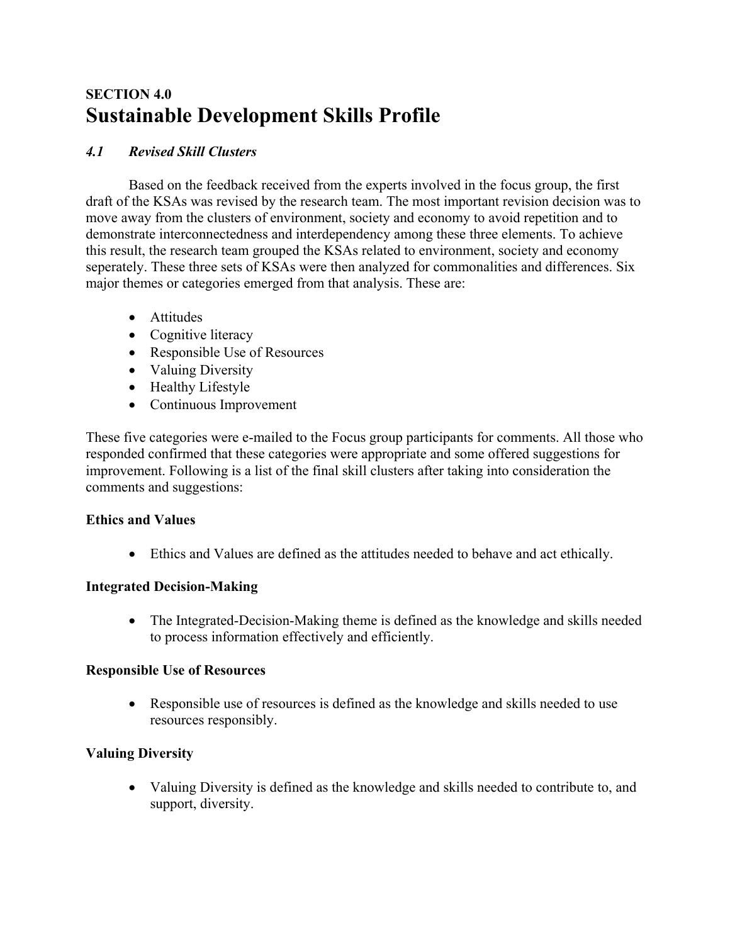# **SECTION 4.0 Sustainable Development Skills Profile**

#### *4.1 Revised Skill Clusters*

Based on the feedback received from the experts involved in the focus group, the first draft of the KSAs was revised by the research team. The most important revision decision was to move away from the clusters of environment, society and economy to avoid repetition and to demonstrate interconnectedness and interdependency among these three elements. To achieve this result, the research team grouped the KSAs related to environment, society and economy seperately. These three sets of KSAs were then analyzed for commonalities and differences. Six major themes or categories emerged from that analysis. These are:

- Attitudes
- Cognitive literacy
- Responsible Use of Resources
- Valuing Diversity
- Healthy Lifestyle
- Continuous Improvement

These five categories were e-mailed to the Focus group participants for comments. All those who responded confirmed that these categories were appropriate and some offered suggestions for improvement. Following is a list of the final skill clusters after taking into consideration the comments and suggestions:

#### **Ethics and Values**

• Ethics and Values are defined as the attitudes needed to behave and act ethically.

#### **Integrated Decision-Making**

• The Integrated-Decision-Making theme is defined as the knowledge and skills needed to process information effectively and efficiently.

#### **Responsible Use of Resources**

• Responsible use of resources is defined as the knowledge and skills needed to use resources responsibly.

#### **Valuing Diversity**

• Valuing Diversity is defined as the knowledge and skills needed to contribute to, and support, diversity.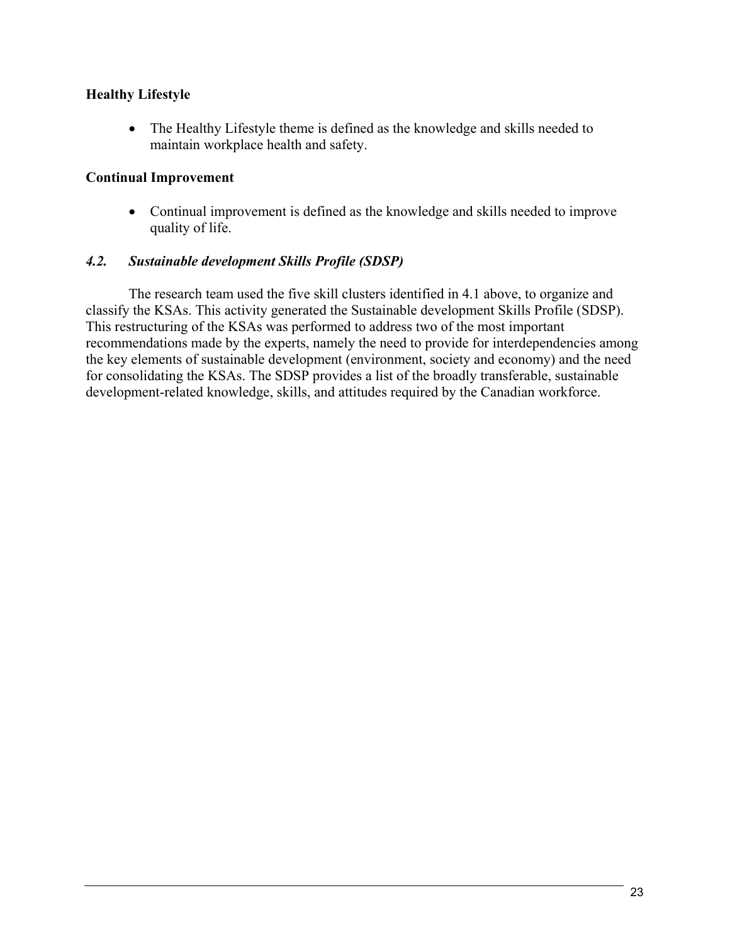#### **Healthy Lifestyle**

• The Healthy Lifestyle theme is defined as the knowledge and skills needed to maintain workplace health and safety.

#### **Continual Improvement**

• Continual improvement is defined as the knowledge and skills needed to improve quality of life.

#### *4.2. Sustainable development Skills Profile (SDSP)*

The research team used the five skill clusters identified in 4.1 above, to organize and classify the KSAs. This activity generated the Sustainable development Skills Profile (SDSP). This restructuring of the KSAs was performed to address two of the most important recommendations made by the experts, namely the need to provide for interdependencies among the key elements of sustainable development (environment, society and economy) and the need for consolidating the KSAs. The SDSP provides a list of the broadly transferable, sustainable development-related knowledge, skills, and attitudes required by the Canadian workforce.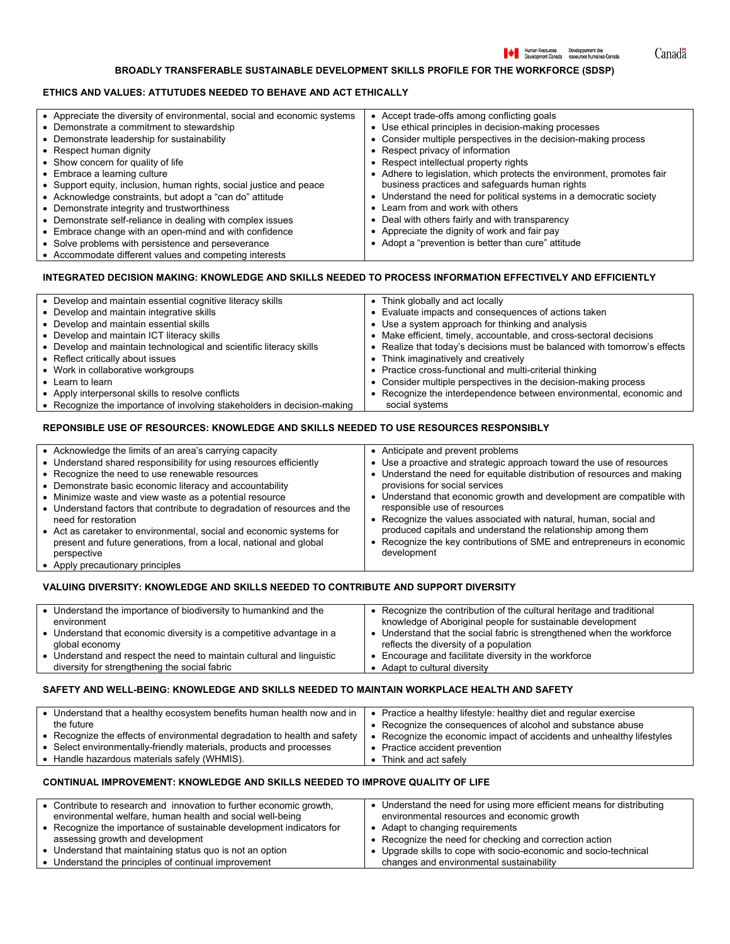Human Resources Développement des<br>Development Canada ressources humaines Canada

• Realize that today's decisions must be balanced with tomorrow's effects

• Think imaginatively and creatively

social systems

• Practice cross-functional and multi-criterial thinking

• Consider multiple perspectives in the decision-making process • Recognize the interdependence between environmental, economic and

#### **ETHICS AND VALUES: ATTUTUDES NEEDED TO BEHAVE AND ACT ETHICALLY**

| • Appreciate the diversity of environmental, social and economic systems<br>• Demonstrate a commitment to stewardship<br>• Demonstrate leadership for sustainability<br>• Respect human dignity<br>• Show concern for quality of life<br>• Embrace a learning culture<br>• Support equity, inclusion, human rights, social justice and peace<br>• Acknowledge constraints, but adopt a "can do" attitude<br>• Demonstrate integrity and trustworthiness<br>• Demonstrate self-reliance in dealing with complex issues<br>• Embrace change with an open-mind and with confidence<br>• Solve problems with persistence and perseverance<br>• Accommodate different values and competing interests | • Accept trade-offs among conflicting goals<br>• Use ethical principles in decision-making processes<br>Consider multiple perspectives in the decision-making process<br>• Respect privacy of information<br>• Respect intellectual property rights<br>• Adhere to legislation, which protects the environment, promotes fair<br>business practices and safeguards human rights<br>• Understand the need for political systems in a democratic society<br>• Learn from and work with others<br>Deal with others fairly and with transparency<br>• Appreciate the dignity of work and fair pay<br>• Adopt a "prevention is better than cure" attitude |
|-------------------------------------------------------------------------------------------------------------------------------------------------------------------------------------------------------------------------------------------------------------------------------------------------------------------------------------------------------------------------------------------------------------------------------------------------------------------------------------------------------------------------------------------------------------------------------------------------------------------------------------------------------------------------------------------------|------------------------------------------------------------------------------------------------------------------------------------------------------------------------------------------------------------------------------------------------------------------------------------------------------------------------------------------------------------------------------------------------------------------------------------------------------------------------------------------------------------------------------------------------------------------------------------------------------------------------------------------------------|
| INTEGRATED DECISION MAKING: KNOWLEDGE AND SKILLS NEEDED TO PROCESS INFORMATION EFFECTIVELY AND EFFICIENTLY                                                                                                                                                                                                                                                                                                                                                                                                                                                                                                                                                                                      |                                                                                                                                                                                                                                                                                                                                                                                                                                                                                                                                                                                                                                                      |
| • Develop and maintain essential cognitive literacy skills<br>• Develop and maintain integrative skills<br>• Develop and maintain essential skills<br>• Develop and maintain ICT literacy skills                                                                                                                                                                                                                                                                                                                                                                                                                                                                                                | • Think globally and act locally<br>Evaluate impacts and consequences of actions taken<br>• Use a system approach for thinking and analysis<br>• Make efficient, timely, accountable, and cross-sectoral decisions                                                                                                                                                                                                                                                                                                                                                                                                                                   |

- Develop and maintain ICT literacy skills
- Develop and maintain technological and scientific literacy skills
- Reflect critically about issues
- Work in collaborative workgroups
- Learn to learn
- Apply interpersonal skills to resolve conflicts
- Recognize the importance of involving stakeholders in decision-making

#### **REPONSIBLE USE OF RESOURCES: KNOWLEDGE AND SKILLS NEEDED TO USE RESOURCES RESPONSIBLY**

| • Acknowledge the limits of an area's carrying capacity                  | Anticipate and prevent problems                                        |
|--------------------------------------------------------------------------|------------------------------------------------------------------------|
| • Understand shared responsibility for using resources efficiently       | • Use a proactive and strategic approach toward the use of resources   |
| • Recognize the need to use renewable resources                          | Understand the need for equitable distribution of resources and making |
| • Demonstrate basic economic literacy and accountability                 | provisions for social services                                         |
| • Minimize waste and view waste as a potential resource                  | Understand that economic growth and development are compatible with    |
| • Understand factors that contribute to degradation of resources and the | responsible use of resources                                           |
| need for restoration                                                     | • Recognize the values associated with natural, human, social and      |
| • Act as caretaker to environmental, social and economic systems for     | produced capitals and understand the relationship among them           |
| present and future generations, from a local, national and global        | Recognize the key contributions of SME and entrepreneurs in economic   |
| perspective                                                              | development                                                            |
| • Apply precautionary principles                                         |                                                                        |

#### **VALUING DIVERSITY: KNOWLEDGE AND SKILLS NEEDED TO CONTRIBUTE AND SUPPORT DIVERSITY**

| • Understand the importance of biodiversity to humankind and the<br>environment                                        | Recognize the contribution of the cultural heritage and traditional<br>knowledge of Aboriginal people for sustainable development |
|------------------------------------------------------------------------------------------------------------------------|-----------------------------------------------------------------------------------------------------------------------------------|
| • Understand that economic diversity is a competitive advantage in a<br>global economy                                 | Understand that the social fabric is strengthened when the workforce<br>reflects the diversity of a population                    |
| • Understand and respect the need to maintain cultural and linguistic<br>diversity for strengthening the social fabric | Encourage and facilitate diversity in the workforce<br>Adapt to cultural diversity                                                |

#### **SAFETY AND WELL-BEING: KNOWLEDGE AND SKILLS NEEDED TO MAINTAIN WORKPLACE HEALTH AND SAFETY**

| • Understand that a healthy ecosystem benefits human health now and in    | Practice a healthy lifestyle: healthy diet and regular exercise     |
|---------------------------------------------------------------------------|---------------------------------------------------------------------|
| the future                                                                | • Recognize the consequences of alcohol and substance abuse         |
| • Recognize the effects of environmental degradation to health and safety | Recognize the economic impact of accidents and unhealthy lifestyles |
| • Select environmentally-friendly materials, products and processes       | • Practice accident prevention                                      |
| • Handle hazardous materials safely (WHMIS).                              | Think and act safely                                                |
|                                                                           |                                                                     |

#### **CONTINUAL IMPROVEMENT: KNOWLEDGE AND SKILLS NEEDED TO IMPROVE QUALITY OF LIFE**

| • Contribute to research and innovation to further economic growth,  | • Understand the need for using more efficient means for distributing |
|----------------------------------------------------------------------|-----------------------------------------------------------------------|
| environmental welfare, human health and social well-being            | environmental resources and economic growth                           |
| • Recognize the importance of sustainable development indicators for | • Adapt to changing requirements                                      |
| assessing growth and development                                     | • Recognize the need for checking and correction action               |
| • Understand that maintaining status quo is not an option            | • Upgrade skills to cope with socio-economic and socio-technical      |
| • Understand the principles of continual improvement                 | changes and environmental sustainability                              |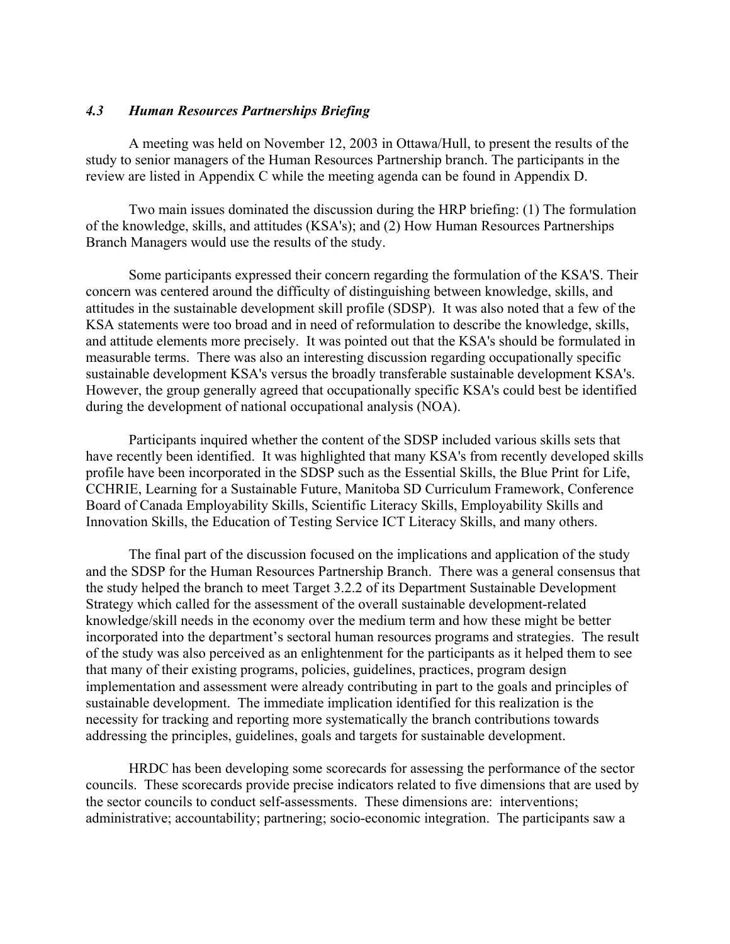#### *4.3 Human Resources Partnerships Briefing*

A meeting was held on November 12, 2003 in Ottawa/Hull, to present the results of the study to senior managers of the Human Resources Partnership branch. The participants in the review are listed in Appendix C while the meeting agenda can be found in Appendix D.

Two main issues dominated the discussion during the HRP briefing: (1) The formulation of the knowledge, skills, and attitudes (KSA's); and (2) How Human Resources Partnerships Branch Managers would use the results of the study.

 Some participants expressed their concern regarding the formulation of the KSA'S. Their concern was centered around the difficulty of distinguishing between knowledge, skills, and attitudes in the sustainable development skill profile (SDSP). It was also noted that a few of the KSA statements were too broad and in need of reformulation to describe the knowledge, skills, and attitude elements more precisely. It was pointed out that the KSA's should be formulated in measurable terms. There was also an interesting discussion regarding occupationally specific sustainable development KSA's versus the broadly transferable sustainable development KSA's. However, the group generally agreed that occupationally specific KSA's could best be identified during the development of national occupational analysis (NOA).

 Participants inquired whether the content of the SDSP included various skills sets that have recently been identified. It was highlighted that many KSA's from recently developed skills profile have been incorporated in the SDSP such as the Essential Skills, the Blue Print for Life, CCHRIE, Learning for a Sustainable Future, Manitoba SD Curriculum Framework, Conference Board of Canada Employability Skills, Scientific Literacy Skills, Employability Skills and Innovation Skills, the Education of Testing Service ICT Literacy Skills, and many others.

 The final part of the discussion focused on the implications and application of the study and the SDSP for the Human Resources Partnership Branch. There was a general consensus that the study helped the branch to meet Target 3.2.2 of its Department Sustainable Development Strategy which called for the assessment of the overall sustainable development-related knowledge/skill needs in the economy over the medium term and how these might be better incorporated into the department's sectoral human resources programs and strategies. The result of the study was also perceived as an enlightenment for the participants as it helped them to see that many of their existing programs, policies, guidelines, practices, program design implementation and assessment were already contributing in part to the goals and principles of sustainable development. The immediate implication identified for this realization is the necessity for tracking and reporting more systematically the branch contributions towards addressing the principles, guidelines, goals and targets for sustainable development.

 HRDC has been developing some scorecards for assessing the performance of the sector councils. These scorecards provide precise indicators related to five dimensions that are used by the sector councils to conduct self-assessments. These dimensions are: interventions; administrative; accountability; partnering; socio-economic integration. The participants saw a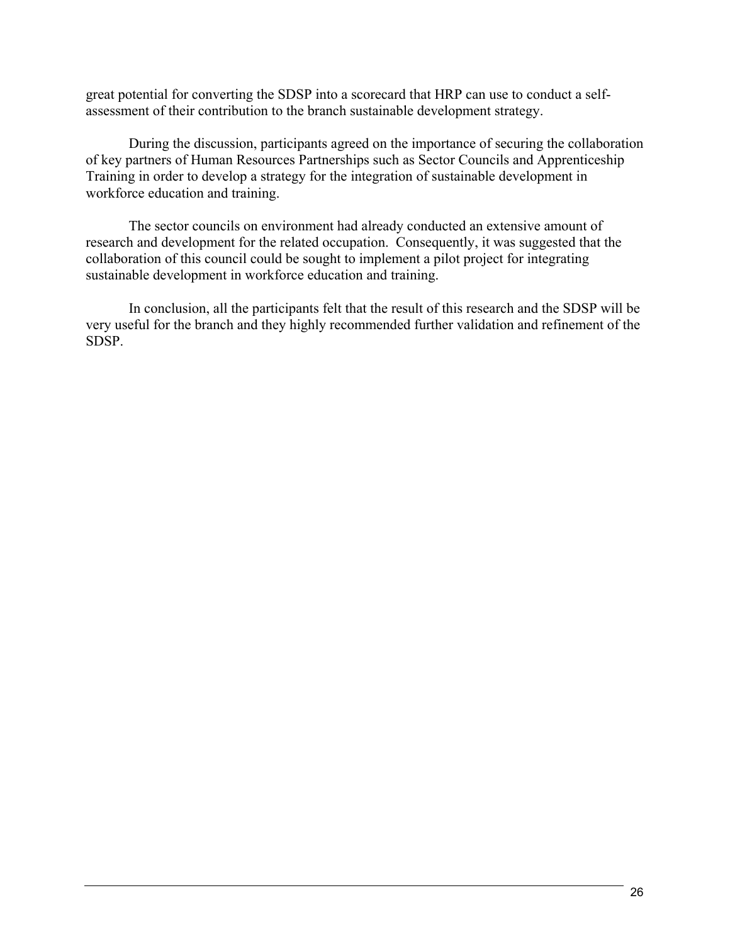great potential for converting the SDSP into a scorecard that HRP can use to conduct a selfassessment of their contribution to the branch sustainable development strategy.

 During the discussion, participants agreed on the importance of securing the collaboration of key partners of Human Resources Partnerships such as Sector Councils and Apprenticeship Training in order to develop a strategy for the integration of sustainable development in workforce education and training.

The sector councils on environment had already conducted an extensive amount of research and development for the related occupation. Consequently, it was suggested that the collaboration of this council could be sought to implement a pilot project for integrating sustainable development in workforce education and training.

In conclusion, all the participants felt that the result of this research and the SDSP will be very useful for the branch and they highly recommended further validation and refinement of the SDSP.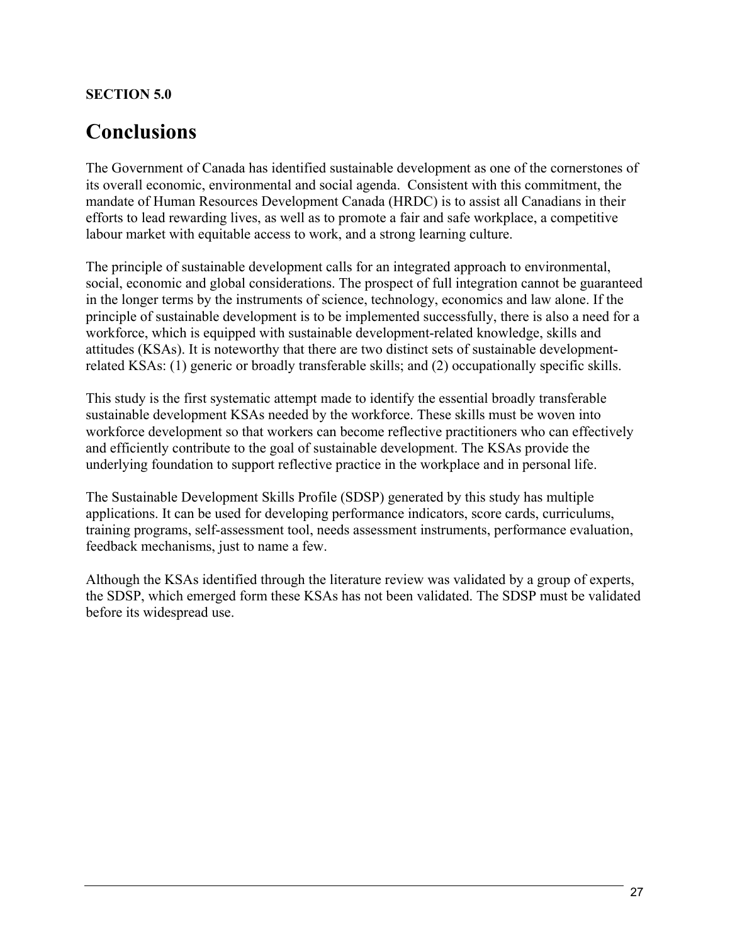## **SECTION 5.0**

# **Conclusions**

The Government of Canada has identified sustainable development as one of the cornerstones of its overall economic, environmental and social agenda. Consistent with this commitment, the mandate of Human Resources Development Canada (HRDC) is to assist all Canadians in their efforts to lead rewarding lives, as well as to promote a fair and safe workplace, a competitive labour market with equitable access to work, and a strong learning culture.

The principle of sustainable development calls for an integrated approach to environmental, social, economic and global considerations. The prospect of full integration cannot be guaranteed in the longer terms by the instruments of science, technology, economics and law alone. If the principle of sustainable development is to be implemented successfully, there is also a need for a workforce, which is equipped with sustainable development-related knowledge, skills and attitudes (KSAs). It is noteworthy that there are two distinct sets of sustainable developmentrelated KSAs: (1) generic or broadly transferable skills; and (2) occupationally specific skills.

This study is the first systematic attempt made to identify the essential broadly transferable sustainable development KSAs needed by the workforce. These skills must be woven into workforce development so that workers can become reflective practitioners who can effectively and efficiently contribute to the goal of sustainable development. The KSAs provide the underlying foundation to support reflective practice in the workplace and in personal life.

The Sustainable Development Skills Profile (SDSP) generated by this study has multiple applications. It can be used for developing performance indicators, score cards, curriculums, training programs, self-assessment tool, needs assessment instruments, performance evaluation, feedback mechanisms, just to name a few.

Although the KSAs identified through the literature review was validated by a group of experts, the SDSP, which emerged form these KSAs has not been validated. The SDSP must be validated before its widespread use.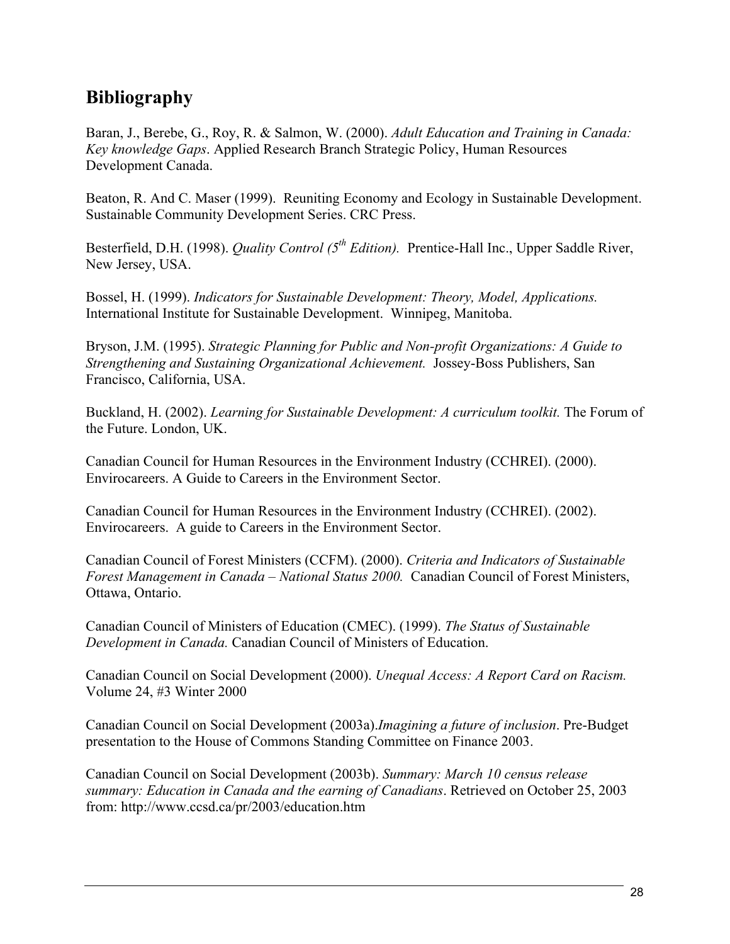# **Bibliography**

Baran, J., Berebe, G., Roy, R. & Salmon, W. (2000). *Adult Education and Training in Canada: Key knowledge Gaps*. Applied Research Branch Strategic Policy, Human Resources Development Canada.

Beaton, R. And C. Maser (1999). Reuniting Economy and Ecology in Sustainable Development. Sustainable Community Development Series. CRC Press.

Besterfield, D.H. (1998). *Quality Control (5th Edition).* Prentice-Hall Inc., Upper Saddle River, New Jersey, USA.

Bossel, H. (1999). *Indicators for Sustainable Development: Theory, Model, Applications.* International Institute for Sustainable Development. Winnipeg, Manitoba.

Bryson, J.M. (1995). *Strategic Planning for Public and Non-profit Organizations: A Guide to Strengthening and Sustaining Organizational Achievement.* Jossey-Boss Publishers, San Francisco, California, USA.

Buckland, H. (2002). *Learning for Sustainable Development: A curriculum toolkit.* The Forum of the Future. London, UK.

Canadian Council for Human Resources in the Environment Industry (CCHREI). (2000). Envirocareers. A Guide to Careers in the Environment Sector.

Canadian Council for Human Resources in the Environment Industry (CCHREI). (2002). Envirocareers. A guide to Careers in the Environment Sector.

Canadian Council of Forest Ministers (CCFM). (2000). *Criteria and Indicators of Sustainable Forest Management in Canada – National Status 2000.* Canadian Council of Forest Ministers, Ottawa, Ontario.

Canadian Council of Ministers of Education (CMEC). (1999). *The Status of Sustainable Development in Canada.* Canadian Council of Ministers of Education.

Canadian Council on Social Development (2000). *Unequal Access: A Report Card on Racism.* Volume 24, #3 Winter 2000

Canadian Council on Social Development (2003a).*Imagining a future of inclusion*. Pre-Budget presentation to the House of Commons Standing Committee on Finance 2003.

Canadian Council on Social Development (2003b). *Summary: March 10 census release summary: Education in Canada and the earning of Canadians*. Retrieved on October 25, 2003 from: http://www.ccsd.ca/pr/2003/education.htm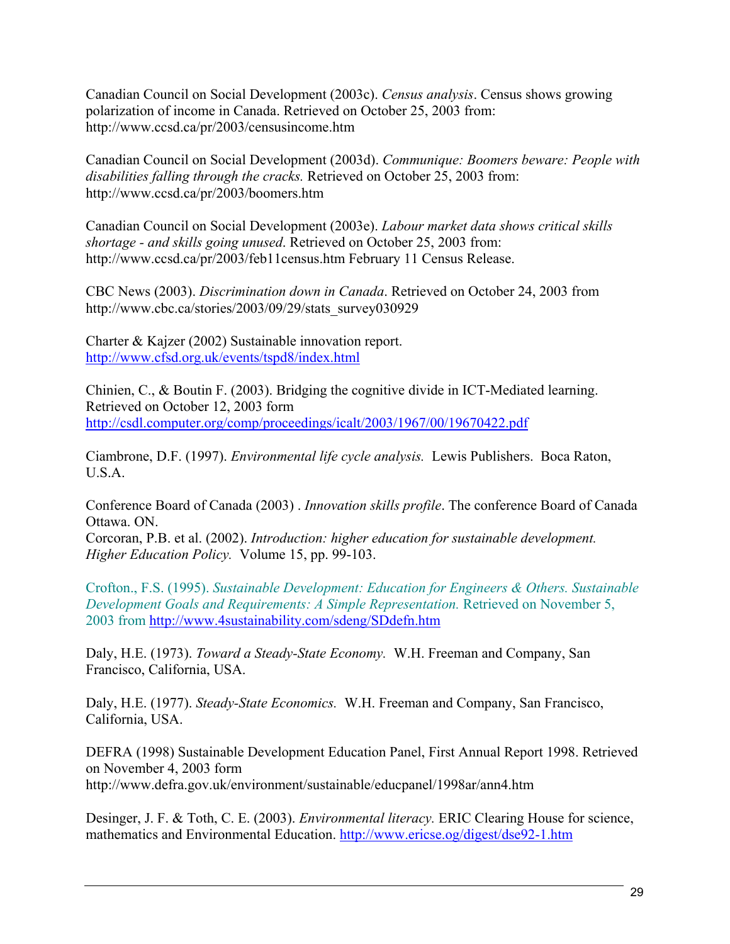Canadian Council on Social Development (2003c). *Census analysis*. Census shows growing polarization of income in Canada. Retrieved on October 25, 2003 from: http://www.ccsd.ca/pr/2003/censusincome.htm

Canadian Council on Social Development (2003d). *Communique: Boomers beware: People with disabilities falling through the cracks.* Retrieved on October 25, 2003 from: http://www.ccsd.ca/pr/2003/boomers.htm

Canadian Council on Social Development (2003e). *Labour market data shows critical skills shortage - and skills going unused*. Retrieved on October 25, 2003 from: http://www.ccsd.ca/pr/2003/feb11census.htm February 11 Census Release.

CBC News (2003). *Discrimination down in Canada*. Retrieved on October 24, 2003 from http://www.cbc.ca/stories/2003/09/29/stats\_survey030929

Charter & Kajzer (2002) Sustainable innovation report. http://www.cfsd.org.uk/events/tspd8/index.html

Chinien, C., & Boutin F. (2003). Bridging the cognitive divide in ICT-Mediated learning. Retrieved on October 12, 2003 form http://csdl.computer.org/comp/proceedings/icalt/2003/1967/00/19670422.pdf

Ciambrone, D.F. (1997). *Environmental life cycle analysis.* Lewis Publishers. Boca Raton, U.S.A.

Conference Board of Canada (2003) . *Innovation skills profile*. The conference Board of Canada Ottawa. ON.

Corcoran, P.B. et al. (2002). *Introduction: higher education for sustainable development. Higher Education Policy.* Volume 15, pp. 99-103.

Crofton., F.S. (1995). *Sustainable Development: Education for Engineers & Others. Sustainable Development Goals and Requirements: A Simple Representation.* Retrieved on November 5, 2003 from http://www.4sustainability.com/sdeng/SDdefn.htm

Daly, H.E. (1973). *Toward a Steady-State Economy.* W.H. Freeman and Company, San Francisco, California, USA.

Daly, H.E. (1977). *Steady-State Economics.* W.H. Freeman and Company, San Francisco, California, USA.

DEFRA (1998) Sustainable Development Education Panel, First Annual Report 1998. Retrieved on November 4, 2003 form http://www.defra.gov.uk/environment/sustainable/educpanel/1998ar/ann4.htm

Desinger, J. F. & Toth, C. E. (2003). *Environmental literacy.* ERIC Clearing House for science, mathematics and Environmental Education. http://www.ericse.og/digest/dse92-1.htm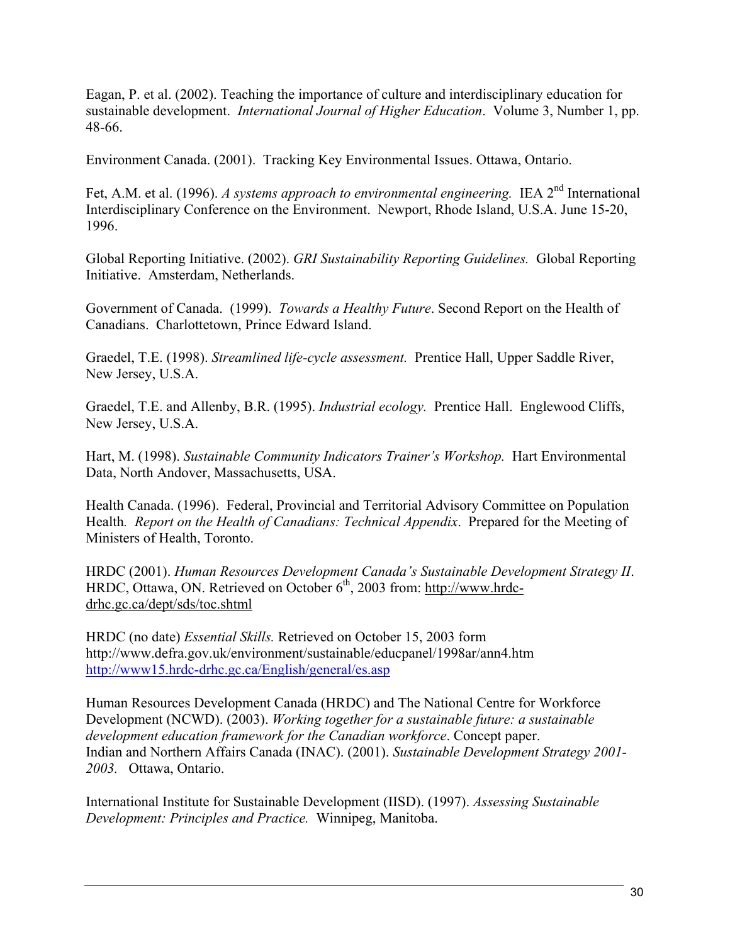Eagan, P. et al. (2002). Teaching the importance of culture and interdisciplinary education for sustainable development. *International Journal of Higher Education*. Volume 3, Number 1, pp. 48-66.

Environment Canada. (2001). Tracking Key Environmental Issues. Ottawa, Ontario.

Fet, A.M. et al. (1996). *A systems approach to environmental engineering.* IEA 2<sup>nd</sup> International Interdisciplinary Conference on the Environment. Newport, Rhode Island, U.S.A. June 15-20, 1996.

Global Reporting Initiative. (2002). *GRI Sustainability Reporting Guidelines.* Global Reporting Initiative. Amsterdam, Netherlands.

Government of Canada. (1999). *Towards a Healthy Future*. Second Report on the Health of Canadians. Charlottetown, Prince Edward Island.

Graedel, T.E. (1998). *Streamlined life-cycle assessment.* Prentice Hall, Upper Saddle River, New Jersey, U.S.A.

Graedel, T.E. and Allenby, B.R. (1995). *Industrial ecology.* Prentice Hall. Englewood Cliffs, New Jersey, U.S.A.

Hart, M. (1998). *Sustainable Community Indicators Trainer's Workshop.* Hart Environmental Data, North Andover, Massachusetts, USA.

Health Canada. (1996). Federal, Provincial and Territorial Advisory Committee on Population Health*. Report on the Health of Canadians: Technical Appendix*. Prepared for the Meeting of Ministers of Health, Toronto.

HRDC (2001). *Human Resources Development Canada's Sustainable Development Strategy II*. HRDC, Ottawa, ON. Retrieved on October  $6<sup>th</sup>$ , 2003 from: http://www.hrdcdrhc.gc.ca/dept/sds/toc.shtml

HRDC (no date) *Essential Skills.* Retrieved on October 15, 2003 form http://www.defra.gov.uk/environment/sustainable/educpanel/1998ar/ann4.htm http://www15.hrdc-drhc.gc.ca/English/general/es.asp

Human Resources Development Canada (HRDC) and The National Centre for Workforce Development (NCWD). (2003). *Working together for a sustainable future: a sustainable development education framework for the Canadian workforce*. Concept paper. Indian and Northern Affairs Canada (INAC). (2001). *Sustainable Development Strategy 2001- 2003.* Ottawa, Ontario.

International Institute for Sustainable Development (IISD). (1997). *Assessing Sustainable Development: Principles and Practice.* Winnipeg, Manitoba.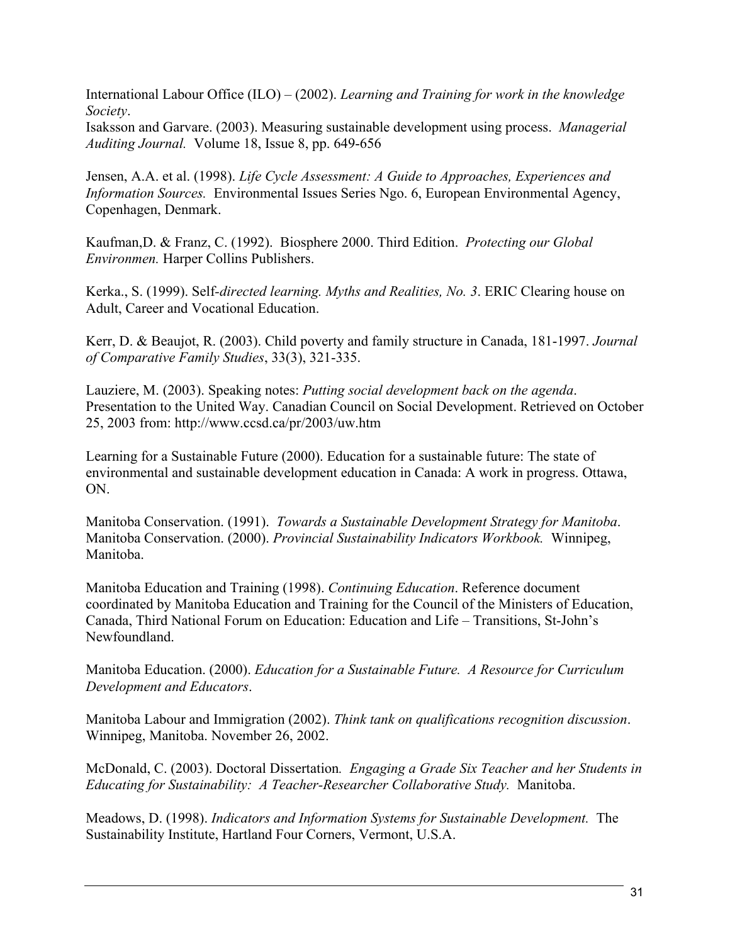International Labour Office (ILO) – (2002). *Learning and Training for work in the knowledge Society*.

Isaksson and Garvare. (2003). Measuring sustainable development using process. *Managerial Auditing Journal.* Volume 18, Issue 8, pp. 649-656

Jensen, A.A. et al. (1998). *Life Cycle Assessment: A Guide to Approaches, Experiences and Information Sources.* Environmental Issues Series Ngo. 6, European Environmental Agency, Copenhagen, Denmark.

Kaufman,D. & Franz, C. (1992). Biosphere 2000. Third Edition. *Protecting our Global Environmen.* Harper Collins Publishers.

Kerka., S. (1999). Self*-directed learning. Myths and Realities, No. 3*. ERIC Clearing house on Adult, Career and Vocational Education.

Kerr, D. & Beaujot, R. (2003). Child poverty and family structure in Canada, 181-1997. *Journal of Comparative Family Studies*, 33(3), 321-335.

Lauziere, M. (2003). Speaking notes: *Putting social development back on the agenda*. Presentation to the United Way. Canadian Council on Social Development. Retrieved on October 25, 2003 from: http://www.ccsd.ca/pr/2003/uw.htm

Learning for a Sustainable Future (2000). Education for a sustainable future: The state of environmental and sustainable development education in Canada: A work in progress. Ottawa, ON.

Manitoba Conservation. (1991). *Towards a Sustainable Development Strategy for Manitoba*. Manitoba Conservation. (2000). *Provincial Sustainability Indicators Workbook.* Winnipeg, Manitoba.

Manitoba Education and Training (1998). *Continuing Education*. Reference document coordinated by Manitoba Education and Training for the Council of the Ministers of Education, Canada, Third National Forum on Education: Education and Life – Transitions, St-John's Newfoundland.

Manitoba Education. (2000). *Education for a Sustainable Future. A Resource for Curriculum Development and Educators*.

Manitoba Labour and Immigration (2002). *Think tank on qualifications recognition discussion*. Winnipeg, Manitoba. November 26, 2002.

McDonald, C. (2003). Doctoral Dissertation*. Engaging a Grade Six Teacher and her Students in Educating for Sustainability: A Teacher-Researcher Collaborative Study.* Manitoba.

Meadows, D. (1998). *Indicators and Information Systems for Sustainable Development.* The Sustainability Institute, Hartland Four Corners, Vermont, U.S.A.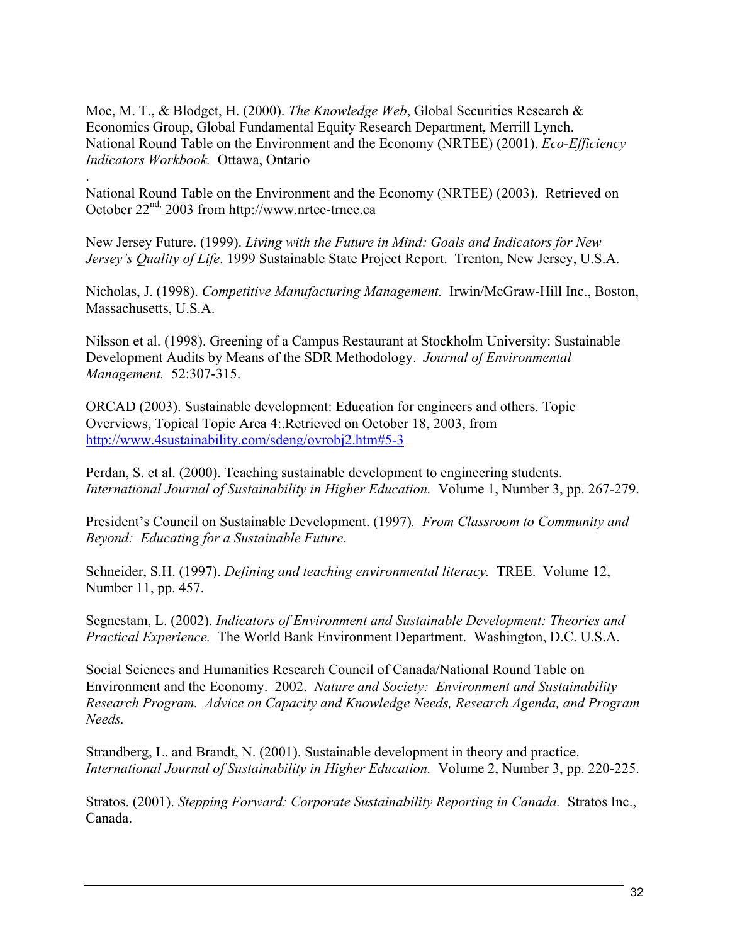Moe, M. T., & Blodget, H. (2000). *The Knowledge Web*, Global Securities Research & Economics Group, Global Fundamental Equity Research Department, Merrill Lynch. National Round Table on the Environment and the Economy (NRTEE) (2001). *Eco-Efficiency Indicators Workbook.* Ottawa, Ontario

. National Round Table on the Environment and the Economy (NRTEE) (2003). Retrieved on October 22nd, 2003 from http://www.nrtee-trnee.ca

New Jersey Future. (1999). *Living with the Future in Mind: Goals and Indicators for New Jersey's Quality of Life*. 1999 Sustainable State Project Report. Trenton, New Jersey, U.S.A.

Nicholas, J. (1998). *Competitive Manufacturing Management.* Irwin/McGraw-Hill Inc., Boston, Massachusetts, U.S.A.

Nilsson et al. (1998). Greening of a Campus Restaurant at Stockholm University: Sustainable Development Audits by Means of the SDR Methodology. *Journal of Environmental Management.* 52:307-315.

ORCAD (2003). Sustainable development: Education for engineers and others. Topic Overviews, Topical Topic Area 4:.Retrieved on October 18, 2003, from http://www.4sustainability.com/sdeng/ovrobj2.htm#5-3

Perdan, S. et al. (2000). Teaching sustainable development to engineering students. *International Journal of Sustainability in Higher Education.* Volume 1, Number 3, pp. 267-279.

President's Council on Sustainable Development. (1997)*. From Classroom to Community and Beyond: Educating for a Sustainable Future*.

Schneider, S.H. (1997). *Defining and teaching environmental literacy.* TREE. Volume 12, Number 11, pp. 457.

Segnestam, L. (2002). *Indicators of Environment and Sustainable Development: Theories and Practical Experience.* The World Bank Environment Department. Washington, D.C. U.S.A.

Social Sciences and Humanities Research Council of Canada/National Round Table on Environment and the Economy. 2002. *Nature and Society: Environment and Sustainability Research Program. Advice on Capacity and Knowledge Needs, Research Agenda, and Program Needs.* 

Strandberg, L. and Brandt, N. (2001). Sustainable development in theory and practice. *International Journal of Sustainability in Higher Education.* Volume 2, Number 3, pp. 220-225.

Stratos. (2001). *Stepping Forward: Corporate Sustainability Reporting in Canada.* Stratos Inc., Canada.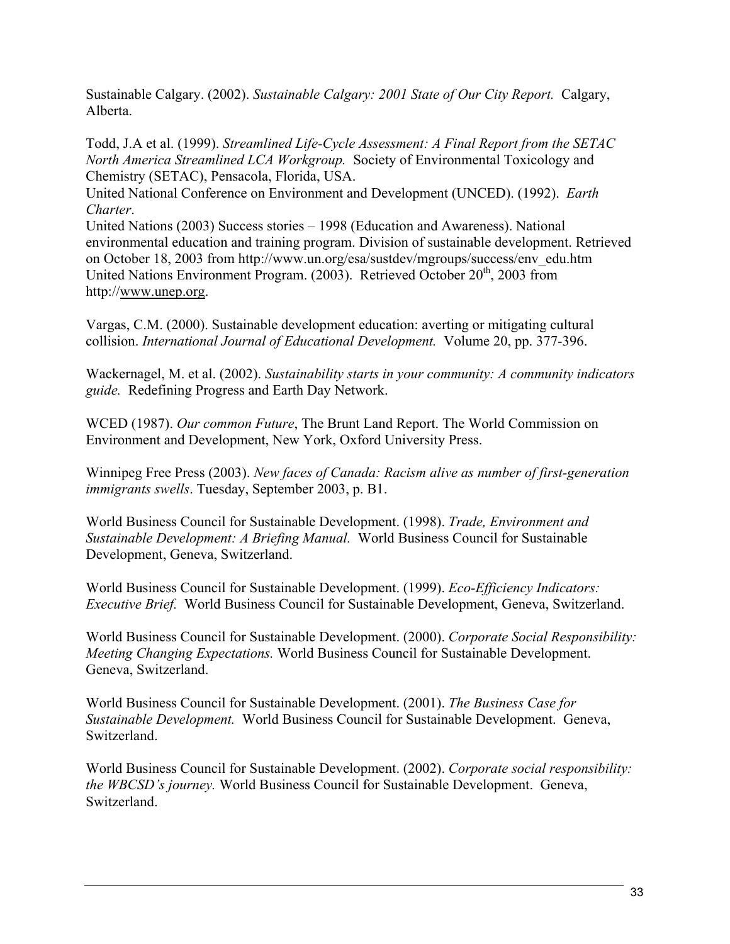Sustainable Calgary. (2002). *Sustainable Calgary: 2001 State of Our City Report.* Calgary, Alberta.

Todd, J.A et al. (1999). *Streamlined Life-Cycle Assessment: A Final Report from the SETAC North America Streamlined LCA Workgroup.* Society of Environmental Toxicology and Chemistry (SETAC), Pensacola, Florida, USA.

United National Conference on Environment and Development (UNCED). (1992). *Earth Charter*.

United Nations (2003) Success stories – 1998 (Education and Awareness). National environmental education and training program. Division of sustainable development. Retrieved on October 18, 2003 from http://www.un.org/esa/sustdev/mgroups/success/env\_edu.htm United Nations Environment Program.  $(2003)$ . Retrieved October  $20<sup>th</sup>$ , 2003 from http://www.unep.org.

Vargas, C.M. (2000). Sustainable development education: averting or mitigating cultural collision. *International Journal of Educational Development.* Volume 20, pp. 377-396.

Wackernagel, M. et al. (2002). *Sustainability starts in your community: A community indicators guide.* Redefining Progress and Earth Day Network.

WCED (1987). *Our common Future*, The Brunt Land Report. The World Commission on Environment and Development, New York, Oxford University Press.

Winnipeg Free Press (2003). *New faces of Canada: Racism alive as number of first-generation immigrants swells*. Tuesday, September 2003, p. B1.

World Business Council for Sustainable Development. (1998). *Trade, Environment and Sustainable Development: A Briefing Manual.* World Business Council for Sustainable Development, Geneva, Switzerland.

World Business Council for Sustainable Development. (1999). *Eco-Efficiency Indicators: Executive Brief.* World Business Council for Sustainable Development, Geneva, Switzerland.

World Business Council for Sustainable Development. (2000). *Corporate Social Responsibility: Meeting Changing Expectations.* World Business Council for Sustainable Development. Geneva, Switzerland.

World Business Council for Sustainable Development. (2001). *The Business Case for Sustainable Development.* World Business Council for Sustainable Development. Geneva, Switzerland.

World Business Council for Sustainable Development. (2002). *Corporate social responsibility: the WBCSD's journey.* World Business Council for Sustainable Development. Geneva, Switzerland.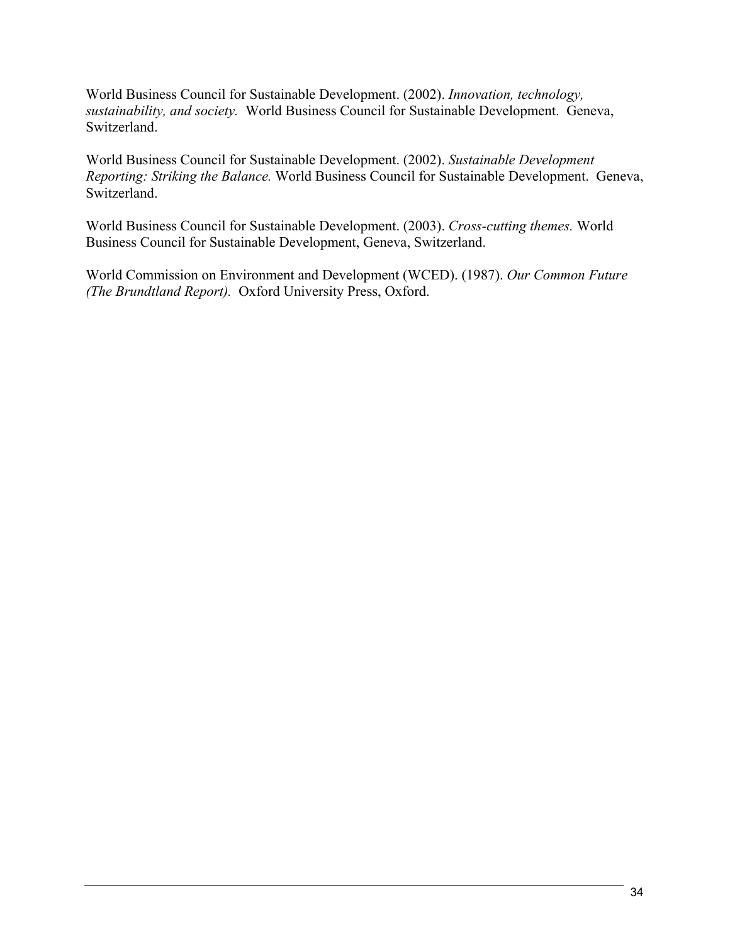World Business Council for Sustainable Development. (2002). *Innovation, technology, sustainability, and society.* World Business Council for Sustainable Development. Geneva, Switzerland.

World Business Council for Sustainable Development. (2002). *Sustainable Development Reporting: Striking the Balance.* World Business Council for Sustainable Development. Geneva, Switzerland.

World Business Council for Sustainable Development. (2003). *Cross-cutting themes.* World Business Council for Sustainable Development, Geneva, Switzerland.

World Commission on Environment and Development (WCED). (1987). *Our Common Future (The Brundtland Report).* Oxford University Press, Oxford.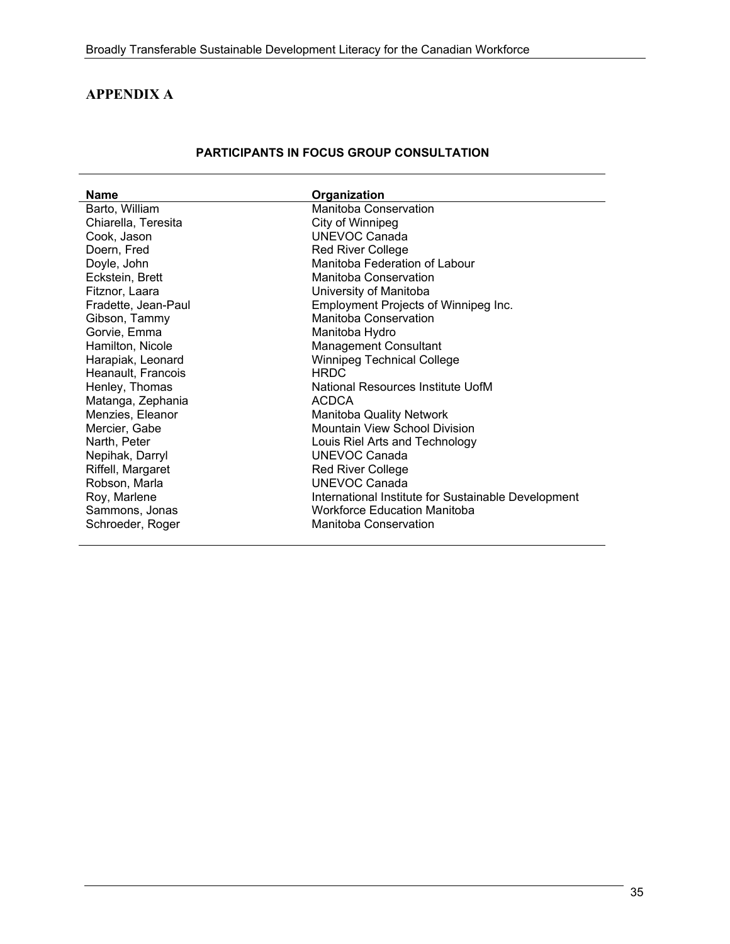# **APPENDIX A**

| <b>Name</b>         | Organization                                        |
|---------------------|-----------------------------------------------------|
| Barto, William      | Manitoba Conservation                               |
| Chiarella, Teresita | City of Winnipeg                                    |
| Cook, Jason         | <b>UNEVOC Canada</b>                                |
| Doern, Fred         | <b>Red River College</b>                            |
| Doyle, John         | Manitoba Federation of Labour                       |
| Eckstein, Brett     | <b>Manitoba Conservation</b>                        |
| Fitznor, Laara      | University of Manitoba                              |
| Fradette, Jean-Paul | Employment Projects of Winnipeg Inc.                |
| Gibson, Tammy       | Manitoba Conservation                               |
| Gorvie, Emma        | Manitoba Hydro                                      |
| Hamilton, Nicole    | <b>Management Consultant</b>                        |
| Harapiak, Leonard   | <b>Winnipeg Technical College</b>                   |
| Heanault, Francois  | <b>HRDC</b>                                         |
| Henley, Thomas      | National Resources Institute UofM                   |
| Matanga, Zephania   | <b>ACDCA</b>                                        |
| Menzies, Eleanor    | <b>Manitoba Quality Network</b>                     |
| Mercier, Gabe       | <b>Mountain View School Division</b>                |
| Narth, Peter        | Louis Riel Arts and Technology                      |
| Nepihak, Darryl     | UNEVOC Canada                                       |
| Riffell, Margaret   | <b>Red River College</b>                            |
| Robson, Marla       | <b>UNEVOC Canada</b>                                |
| Roy, Marlene        | International Institute for Sustainable Development |
| Sammons, Jonas      | <b>Workforce Education Manitoba</b>                 |
| Schroeder, Roger    | <b>Manitoba Conservation</b>                        |

### **PARTICIPANTS IN FOCUS GROUP CONSULTATION**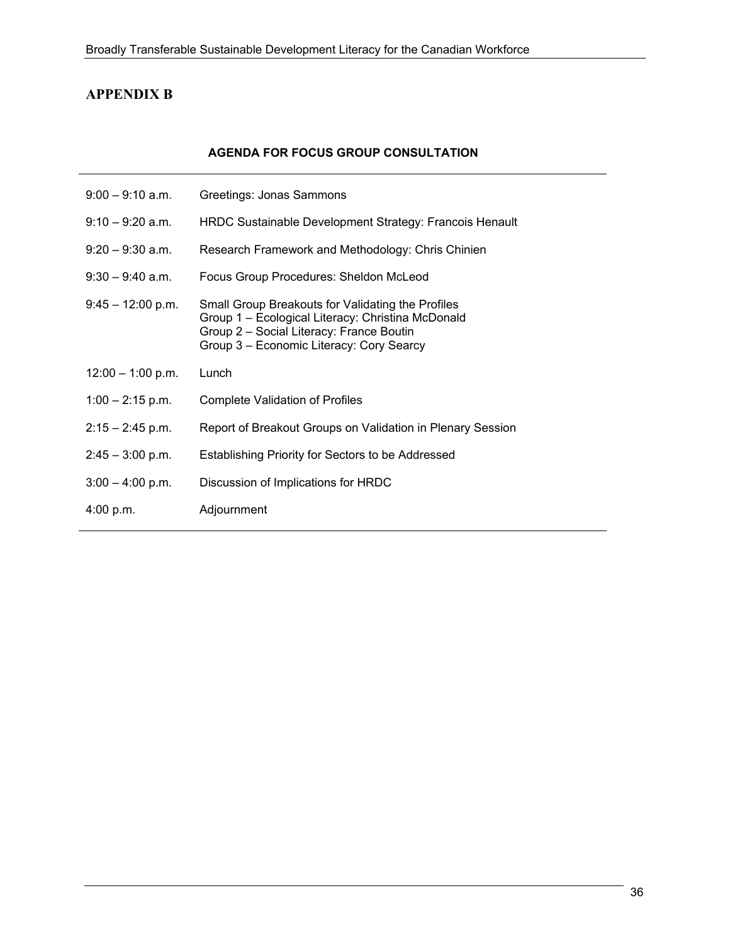# **APPENDIX B**

## **AGENDA FOR FOCUS GROUP CONSULTATION**

| $9:00 - 9:10$ a.m.  | Greetings: Jonas Sammons                                                                                                                                                                       |
|---------------------|------------------------------------------------------------------------------------------------------------------------------------------------------------------------------------------------|
| $9:10 - 9:20$ a.m.  | HRDC Sustainable Development Strategy: Francois Henault                                                                                                                                        |
| $9:20 - 9:30$ a.m.  | Research Framework and Methodology: Chris Chinien                                                                                                                                              |
| $9:30 - 9:40$ a.m.  | Focus Group Procedures: Sheldon McLeod                                                                                                                                                         |
| $9:45 - 12:00$ p.m. | Small Group Breakouts for Validating the Profiles<br>Group 1 - Ecological Literacy: Christina McDonald<br>Group 2 - Social Literacy: France Boutin<br>Group 3 - Economic Literacy: Cory Searcy |
| $12:00 - 1:00$ p.m. | Lunch                                                                                                                                                                                          |
| $1:00 - 2:15$ p.m.  | <b>Complete Validation of Profiles</b>                                                                                                                                                         |
| $2:15 - 2:45$ p.m.  | Report of Breakout Groups on Validation in Plenary Session                                                                                                                                     |
| $2:45 - 3:00$ p.m.  | Establishing Priority for Sectors to be Addressed                                                                                                                                              |
| $3:00 - 4:00$ p.m.  | Discussion of Implications for HRDC                                                                                                                                                            |
| 4:00 p.m.           | Adjournment                                                                                                                                                                                    |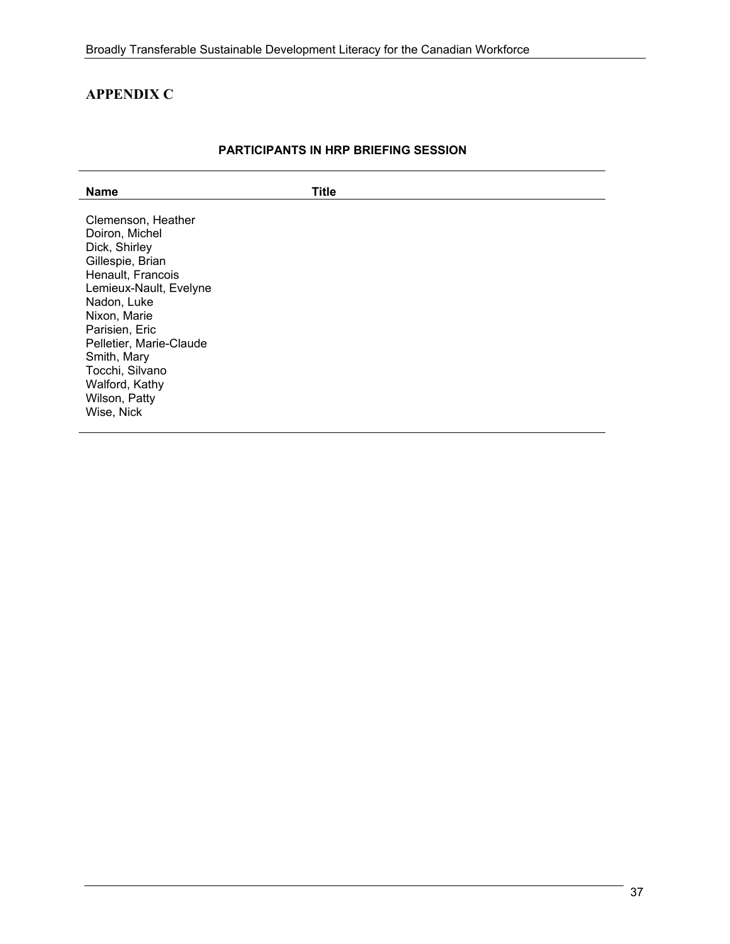## **APPENDIX C**

#### **PARTICIPANTS IN HRP BRIEFING SESSION**

**Name** Title

Clemenson, Heather Doiron, Michel Dick, Shirley Gillespie, Brian Henault, Francois Lemieux-Nault, Evelyne Nadon, Luke Nixon, Marie Parisien, Eric Pelletier, Marie-Claude Smith, Mary Tocchi, Silvano Walford, Kathy Wilson, Patty Wise, Nick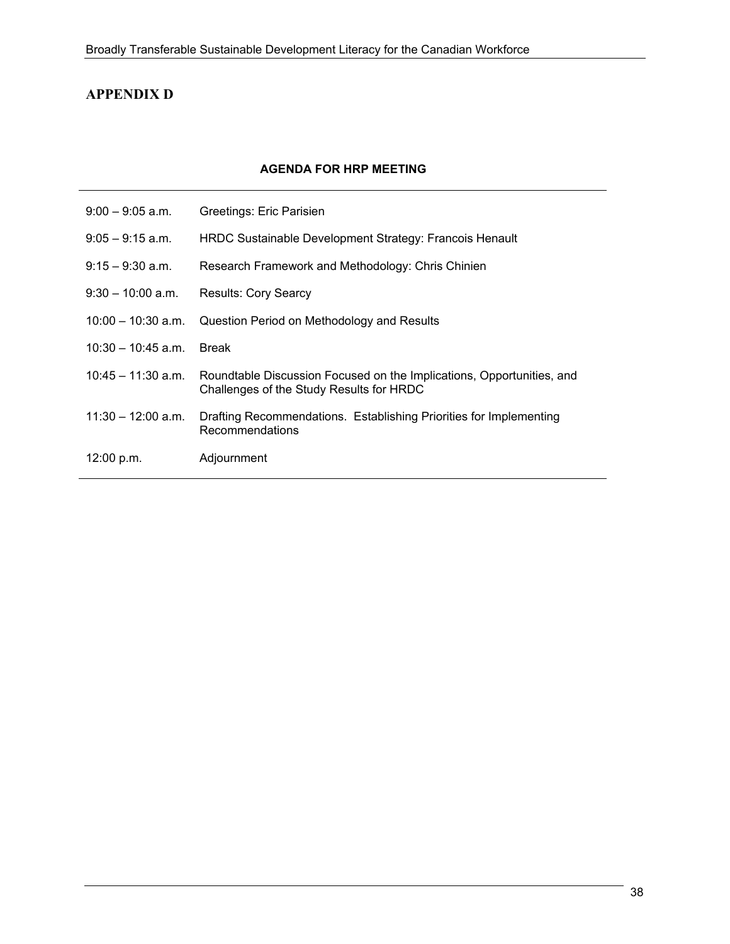## **APPENDIX D**

#### **AGENDA FOR HRP MEETING**

| $9:00 - 9:05$ a.m.   | Greetings: Eric Parisien                                                                                          |
|----------------------|-------------------------------------------------------------------------------------------------------------------|
| $9:05 - 9:15$ a.m.   | HRDC Sustainable Development Strategy: Francois Henault                                                           |
| $9:15 - 9:30$ a.m.   | Research Framework and Methodology: Chris Chinien                                                                 |
| $9:30 - 10:00$ a.m.  | <b>Results: Cory Searcy</b>                                                                                       |
| $10:00 - 10:30$ a.m. | Question Period on Methodology and Results                                                                        |
| $10:30 - 10:45$ a.m. | <b>Break</b>                                                                                                      |
| $10:45 - 11:30$ a.m. | Roundtable Discussion Focused on the Implications, Opportunities, and<br>Challenges of the Study Results for HRDC |
| $11:30 - 12:00$ a.m. | Drafting Recommendations. Establishing Priorities for Implementing<br>Recommendations                             |
| 12:00 p.m.           | Adjournment                                                                                                       |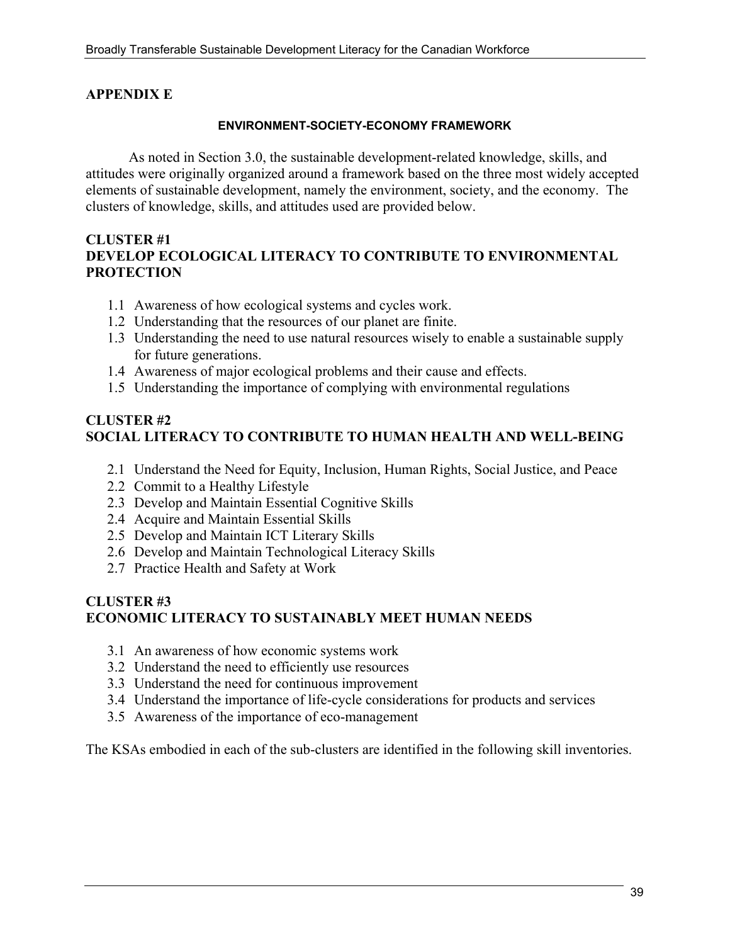### **APPENDIX E**

#### **ENVIRONMENT-SOCIETY-ECONOMY FRAMEWORK**

As noted in Section 3.0, the sustainable development-related knowledge, skills, and attitudes were originally organized around a framework based on the three most widely accepted elements of sustainable development, namely the environment, society, and the economy. The clusters of knowledge, skills, and attitudes used are provided below.

#### **CLUSTER #1 DEVELOP ECOLOGICAL LITERACY TO CONTRIBUTE TO ENVIRONMENTAL PROTECTION**

- 1.1 Awareness of how ecological systems and cycles work.
- 1.2 Understanding that the resources of our planet are finite.
- 1.3 Understanding the need to use natural resources wisely to enable a sustainable supply for future generations.
- 1.4 Awareness of major ecological problems and their cause and effects.
- 1.5 Understanding the importance of complying with environmental regulations

#### **CLUSTER #2 SOCIAL LITERACY TO CONTRIBUTE TO HUMAN HEALTH AND WELL-BEING**

- 2.1 Understand the Need for Equity, Inclusion, Human Rights, Social Justice, and Peace
	- 2.2 Commit to a Healthy Lifestyle
	- 2.3 Develop and Maintain Essential Cognitive Skills
	- 2.4 Acquire and Maintain Essential Skills
	- 2.5 Develop and Maintain ICT Literary Skills
	- 2.6 Develop and Maintain Technological Literacy Skills
	- 2.7 Practice Health and Safety at Work

#### **CLUSTER #3 ECONOMIC LITERACY TO SUSTAINABLY MEET HUMAN NEEDS**

- 3.1 An awareness of how economic systems work
- 3.2 Understand the need to efficiently use resources
- 3.3 Understand the need for continuous improvement
- 3.4 Understand the importance of life-cycle considerations for products and services
- 3.5 Awareness of the importance of eco-management

The KSAs embodied in each of the sub-clusters are identified in the following skill inventories.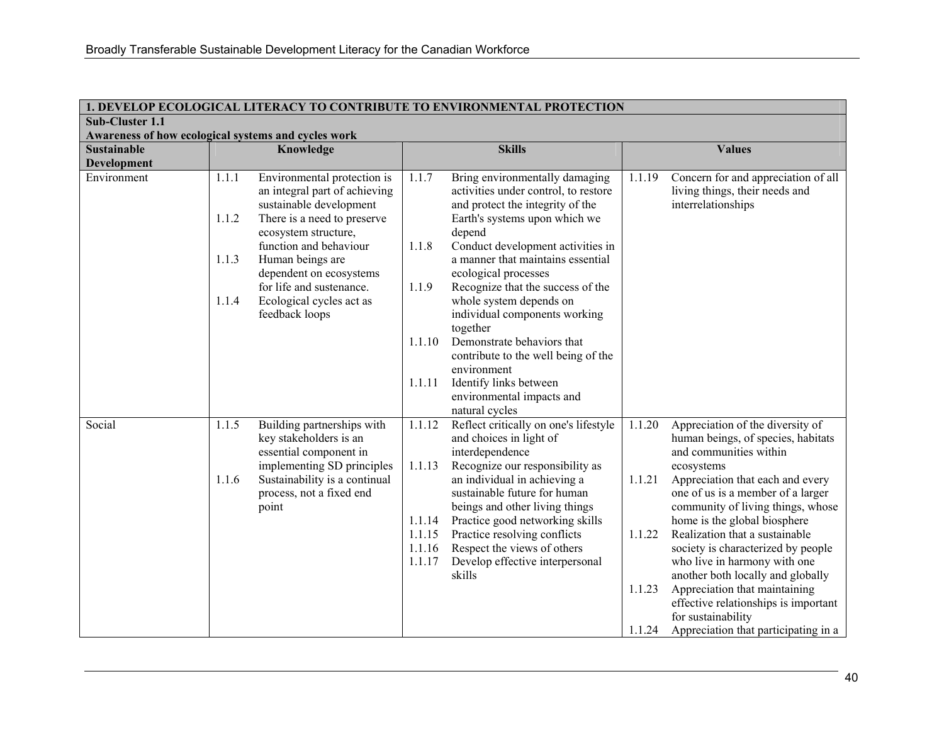| <b>1. DEVELOP ECOLOGICAL LITERACY TO CONTRIBUTE TO ENVIRONMENTAL PROTECTION</b> |                |                                                                                                                        |                               |                                                                                                                                             |                  |                                                                                                                                            |  |  |
|---------------------------------------------------------------------------------|----------------|------------------------------------------------------------------------------------------------------------------------|-------------------------------|---------------------------------------------------------------------------------------------------------------------------------------------|------------------|--------------------------------------------------------------------------------------------------------------------------------------------|--|--|
| Sub-Cluster 1.1                                                                 |                |                                                                                                                        |                               |                                                                                                                                             |                  |                                                                                                                                            |  |  |
| Awareness of how ecological systems and cycles work                             |                |                                                                                                                        |                               |                                                                                                                                             |                  |                                                                                                                                            |  |  |
| <b>Sustainable</b>                                                              |                | Knowledge                                                                                                              |                               | <b>Skills</b>                                                                                                                               |                  | <b>Values</b>                                                                                                                              |  |  |
| Development                                                                     |                |                                                                                                                        |                               |                                                                                                                                             |                  |                                                                                                                                            |  |  |
| Environment                                                                     | 1.1.1<br>1.1.2 | Environmental protection is<br>an integral part of achieving<br>sustainable development<br>There is a need to preserve | 1.1.7                         | Bring environmentally damaging<br>activities under control, to restore<br>and protect the integrity of the<br>Earth's systems upon which we | 1.1.19           | Concern for and appreciation of all<br>living things, their needs and<br>interrelationships                                                |  |  |
|                                                                                 |                | ecosystem structure,<br>function and behaviour                                                                         | 1.1.8                         | depend<br>Conduct development activities in                                                                                                 |                  |                                                                                                                                            |  |  |
|                                                                                 | 1.1.3          | Human beings are<br>dependent on ecosystems<br>for life and sustenance.                                                | 1.1.9                         | a manner that maintains essential<br>ecological processes<br>Recognize that the success of the                                              |                  |                                                                                                                                            |  |  |
|                                                                                 | 1.1.4          | Ecological cycles act as<br>feedback loops                                                                             |                               | whole system depends on<br>individual components working<br>together                                                                        |                  |                                                                                                                                            |  |  |
|                                                                                 |                |                                                                                                                        | 1.1.10                        | Demonstrate behaviors that<br>contribute to the well being of the<br>environment                                                            |                  |                                                                                                                                            |  |  |
|                                                                                 |                |                                                                                                                        | 1.1.11                        | Identify links between<br>environmental impacts and<br>natural cycles                                                                       |                  |                                                                                                                                            |  |  |
| Social                                                                          | 1.1.5          | Building partnerships with<br>key stakeholders is an<br>essential component in<br>implementing SD principles           | $\overline{1.1.12}$<br>1.1.13 | Reflect critically on one's lifestyle<br>and choices in light of<br>interdependence<br>Recognize our responsibility as                      | 1.1.20           | Appreciation of the diversity of<br>human beings, of species, habitats<br>and communities within<br>ecosystems                             |  |  |
|                                                                                 | 1.1.6          | Sustainability is a continual<br>process, not a fixed end<br>point                                                     | 1.1.14                        | an individual in achieving a<br>sustainable future for human<br>beings and other living things<br>Practice good networking skills           | 1.1.21           | Appreciation that each and every<br>one of us is a member of a larger<br>community of living things, whose<br>home is the global biosphere |  |  |
|                                                                                 |                |                                                                                                                        | 1.1.15<br>1.1.16<br>1.1.17    | Practice resolving conflicts<br>Respect the views of others<br>Develop effective interpersonal                                              | 1.1.22           | Realization that a sustainable<br>society is characterized by people<br>who live in harmony with one                                       |  |  |
|                                                                                 |                |                                                                                                                        |                               | skills                                                                                                                                      | 1.1.23<br>1.1.24 | another both locally and globally<br>Appreciation that maintaining<br>effective relationships is important<br>for sustainability           |  |  |
|                                                                                 |                |                                                                                                                        |                               |                                                                                                                                             |                  | Appreciation that participating in a                                                                                                       |  |  |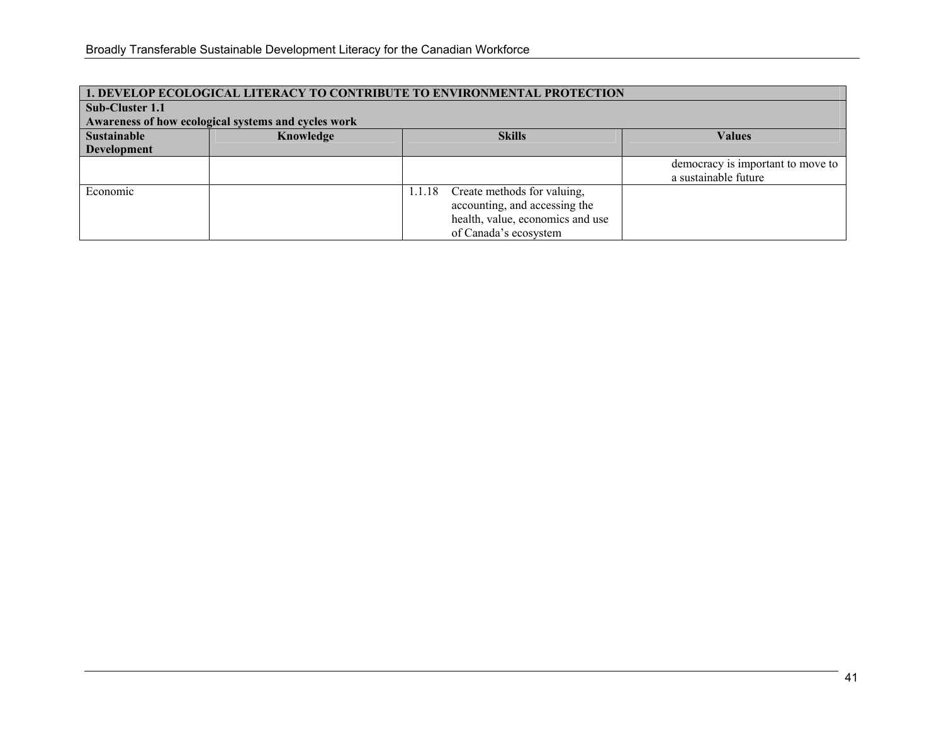#### **1. DEVELOP ECOLOGICAL LITERACY TO CONTRIBUTE TO ENVIRONMENTAL PROTECTION**

**Sub-Cluster 1.1** 

#### **Awareness of how ecological systems and cycles work**

|                    | $\overline{a}$ awareness of now ecological systems and everes work |                                       |                                   |  |  |  |  |
|--------------------|--------------------------------------------------------------------|---------------------------------------|-----------------------------------|--|--|--|--|
| <b>Sustainable</b> | Knowledge                                                          | <b>Skills</b>                         | <b>Values</b>                     |  |  |  |  |
| <b>Development</b> |                                                                    |                                       |                                   |  |  |  |  |
|                    |                                                                    |                                       | democracy is important to move to |  |  |  |  |
|                    |                                                                    |                                       | a sustainable future              |  |  |  |  |
| Economic           |                                                                    | Create methods for valuing,<br>1.1.18 |                                   |  |  |  |  |
|                    |                                                                    | accounting, and accessing the         |                                   |  |  |  |  |
|                    |                                                                    | health, value, economics and use      |                                   |  |  |  |  |
|                    |                                                                    | of Canada's ecosystem                 |                                   |  |  |  |  |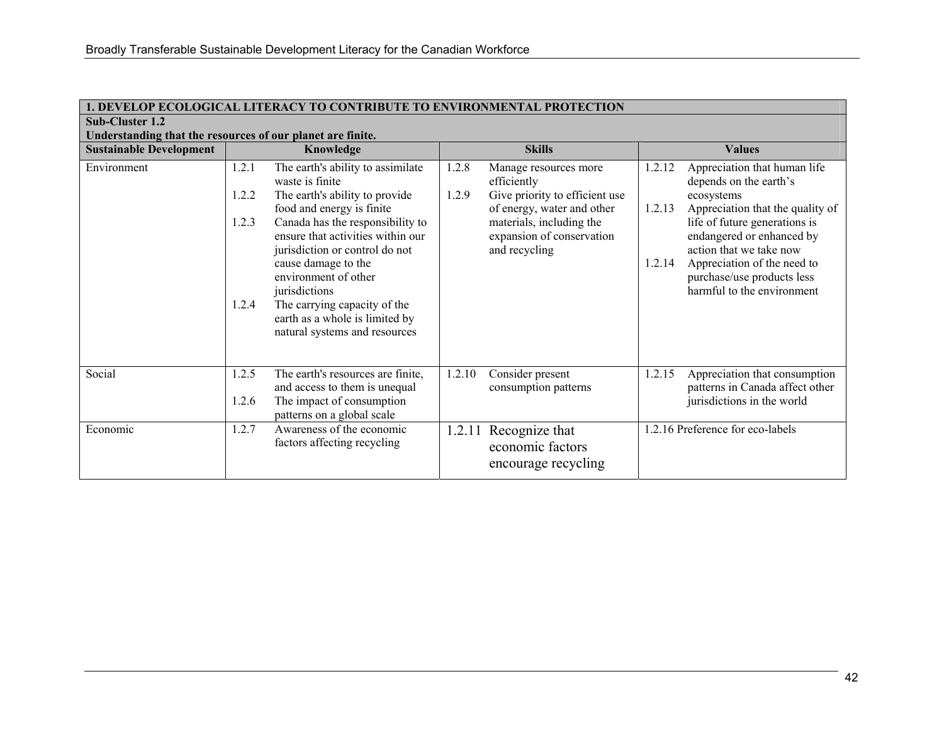| <u>1. DEVELOP ECOLOGICAL LITERACY TO CONTRIBUTE TO ENVIRONMENTAL PROTECTION</u> |                                  |                                                                                                                                                                                                                                                                                                                                                                                                   |                |                                                                                                                                                                                |                            |                                                                                                                                                                                                                                                                                              |  |
|---------------------------------------------------------------------------------|----------------------------------|---------------------------------------------------------------------------------------------------------------------------------------------------------------------------------------------------------------------------------------------------------------------------------------------------------------------------------------------------------------------------------------------------|----------------|--------------------------------------------------------------------------------------------------------------------------------------------------------------------------------|----------------------------|----------------------------------------------------------------------------------------------------------------------------------------------------------------------------------------------------------------------------------------------------------------------------------------------|--|
| Sub-Cluster 1.2                                                                 |                                  |                                                                                                                                                                                                                                                                                                                                                                                                   |                |                                                                                                                                                                                |                            |                                                                                                                                                                                                                                                                                              |  |
| Understanding that the resources of our planet are finite.                      |                                  |                                                                                                                                                                                                                                                                                                                                                                                                   |                |                                                                                                                                                                                |                            |                                                                                                                                                                                                                                                                                              |  |
| <b>Sustainable Development</b>                                                  |                                  | Knowledge                                                                                                                                                                                                                                                                                                                                                                                         |                | <b>Skills</b>                                                                                                                                                                  |                            | <b>Values</b>                                                                                                                                                                                                                                                                                |  |
| Environment                                                                     | 1.2.1<br>1.2.2<br>1.2.3<br>1.2.4 | The earth's ability to assimilate<br>waste is finite<br>The earth's ability to provide<br>food and energy is finite<br>Canada has the responsibility to<br>ensure that activities within our<br>jurisdiction or control do not<br>cause damage to the<br>environment of other<br>jurisdictions<br>The carrying capacity of the<br>earth as a whole is limited by<br>natural systems and resources | 1.2.8<br>1.2.9 | Manage resources more<br>efficiently<br>Give priority to efficient use<br>of energy, water and other<br>materials, including the<br>expansion of conservation<br>and recycling | 1.2.12<br>1.2.13<br>1.2.14 | Appreciation that human life<br>depends on the earth's<br>ecosystems<br>Appreciation that the quality of<br>life of future generations is<br>endangered or enhanced by<br>action that we take now<br>Appreciation of the need to<br>purchase/use products less<br>harmful to the environment |  |
| Social                                                                          | 1.2.5<br>1.2.6                   | The earth's resources are finite,<br>and access to them is unequal<br>The impact of consumption<br>patterns on a global scale                                                                                                                                                                                                                                                                     | 1.2.10         | Consider present<br>consumption patterns                                                                                                                                       | 1.2.15                     | Appreciation that consumption<br>patterns in Canada affect other<br>jurisdictions in the world                                                                                                                                                                                               |  |
| Economic                                                                        | 1.2.7                            | Awareness of the economic<br>factors affecting recycling                                                                                                                                                                                                                                                                                                                                          |                | 1.2.11 Recognize that<br>economic factors<br>encourage recycling                                                                                                               |                            | 1.2.16 Preference for eco-labels                                                                                                                                                                                                                                                             |  |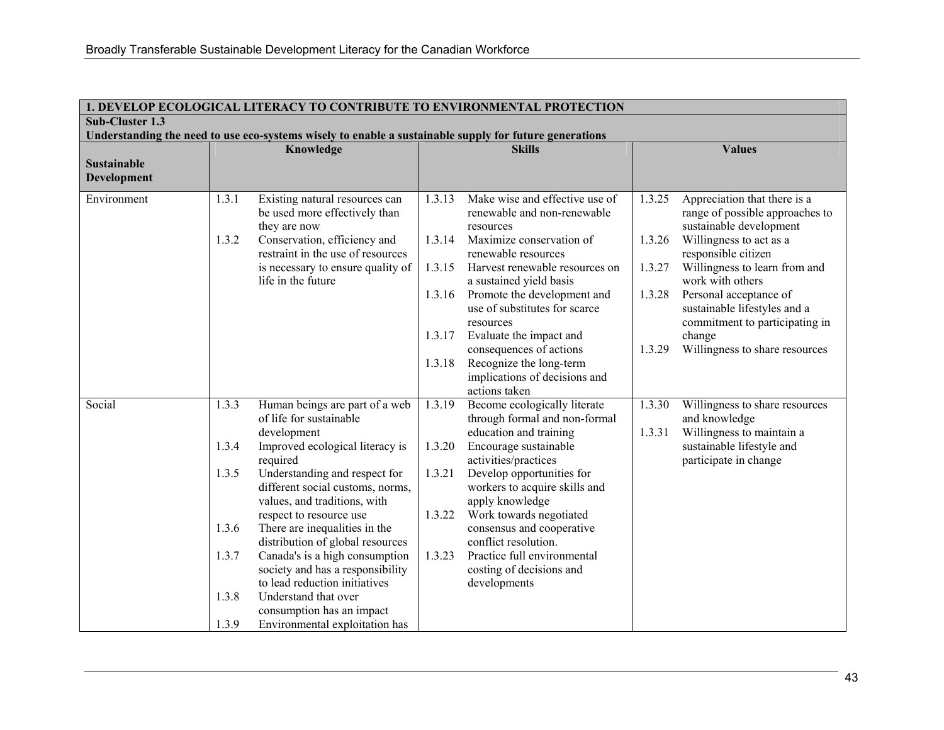| <b>1. DEVELOP ECOLOGICAL LITERACY TO CONTRIBUTE TO ENVIRONMENTAL PROTECTION</b> |                                                                                                                                                                                                                                                                                                                                                                                                                                                                                                                                                                                           |                                                                                                                                                                                                                                                                                                                                                                                                                                                                        |                                                                                                                                                                                                                                                                                                                                                                                             |  |  |  |  |
|---------------------------------------------------------------------------------|-------------------------------------------------------------------------------------------------------------------------------------------------------------------------------------------------------------------------------------------------------------------------------------------------------------------------------------------------------------------------------------------------------------------------------------------------------------------------------------------------------------------------------------------------------------------------------------------|------------------------------------------------------------------------------------------------------------------------------------------------------------------------------------------------------------------------------------------------------------------------------------------------------------------------------------------------------------------------------------------------------------------------------------------------------------------------|---------------------------------------------------------------------------------------------------------------------------------------------------------------------------------------------------------------------------------------------------------------------------------------------------------------------------------------------------------------------------------------------|--|--|--|--|
| Sub-Cluster 1.3                                                                 | Understanding the need to use eco-systems wisely to enable a sustainable supply for future generations                                                                                                                                                                                                                                                                                                                                                                                                                                                                                    |                                                                                                                                                                                                                                                                                                                                                                                                                                                                        |                                                                                                                                                                                                                                                                                                                                                                                             |  |  |  |  |
|                                                                                 | <b>Skills</b><br>Knowledge                                                                                                                                                                                                                                                                                                                                                                                                                                                                                                                                                                |                                                                                                                                                                                                                                                                                                                                                                                                                                                                        | <b>Values</b>                                                                                                                                                                                                                                                                                                                                                                               |  |  |  |  |
| <b>Sustainable</b><br><b>Development</b>                                        |                                                                                                                                                                                                                                                                                                                                                                                                                                                                                                                                                                                           |                                                                                                                                                                                                                                                                                                                                                                                                                                                                        |                                                                                                                                                                                                                                                                                                                                                                                             |  |  |  |  |
| Environment                                                                     | 1.3.1<br>Existing natural resources can<br>be used more effectively than<br>they are now<br>Conservation, efficiency and<br>1.3.2<br>restraint in the use of resources<br>is necessary to ensure quality of<br>life in the future                                                                                                                                                                                                                                                                                                                                                         | Make wise and effective use of<br>1.3.13<br>renewable and non-renewable<br>resources<br>Maximize conservation of<br>1.3.14<br>renewable resources<br>1.3.15<br>Harvest renewable resources on<br>a sustained yield basis<br>Promote the development and<br>1.3.16<br>use of substitutes for scarce<br>resources<br>1.3.17<br>Evaluate the impact and<br>consequences of actions<br>Recognize the long-term<br>1.3.18<br>implications of decisions and<br>actions taken | 1.3.25<br>Appreciation that there is a<br>range of possible approaches to<br>sustainable development<br>Willingness to act as a<br>1.3.26<br>responsible citizen<br>Willingness to learn from and<br>1.3.27<br>work with others<br>1.3.28<br>Personal acceptance of<br>sustainable lifestyles and a<br>commitment to participating in<br>change<br>1.3.29<br>Willingness to share resources |  |  |  |  |
| Social                                                                          | 1.3.3<br>Human beings are part of a web<br>of life for sustainable<br>development<br>1.3.4<br>Improved ecological literacy is<br>required<br>Understanding and respect for<br>1.3.5<br>different social customs, norms,<br>values, and traditions, with<br>respect to resource use<br>1.3.6<br>There are inequalities in the<br>distribution of global resources<br>Canada's is a high consumption<br>1.3.7<br>society and has a responsibility<br>to lead reduction initiatives<br>1.3.8<br>Understand that over<br>consumption has an impact<br>1.3.9<br>Environmental exploitation has | Become ecologically literate<br>1.3.19<br>through formal and non-formal<br>education and training<br>Encourage sustainable<br>1.3.20<br>activities/practices<br>1.3.21<br>Develop opportunities for<br>workers to acquire skills and<br>apply knowledge<br>1.3.22<br>Work towards negotiated<br>consensus and cooperative<br>conflict resolution.<br>Practice full environmental<br>1.3.23<br>costing of decisions and<br>developments                                 | 1.3.30<br>Willingness to share resources<br>and knowledge<br>Willingness to maintain a<br>1.3.31<br>sustainable lifestyle and<br>participate in change                                                                                                                                                                                                                                      |  |  |  |  |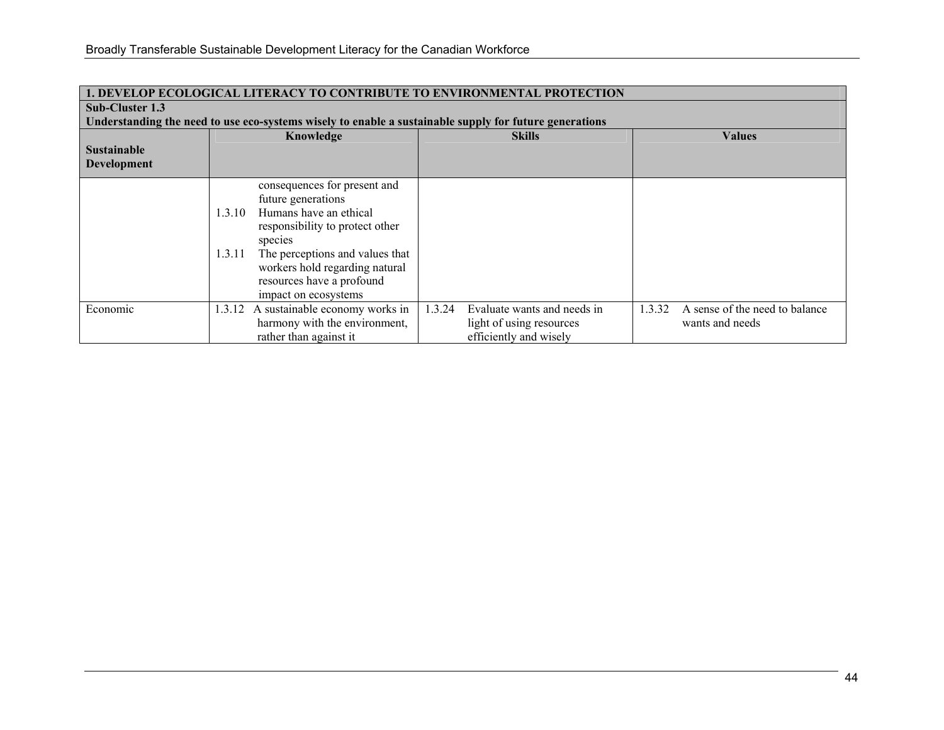| <b>1. DEVELOP ECOLOGICAL LITERACY TO CONTRIBUTE TO ENVIRONMENTAL PROTECTION</b> |                                                                                                                                                                                                                                                                          |                                                                                             |                                                             |  |  |  |  |  |  |
|---------------------------------------------------------------------------------|--------------------------------------------------------------------------------------------------------------------------------------------------------------------------------------------------------------------------------------------------------------------------|---------------------------------------------------------------------------------------------|-------------------------------------------------------------|--|--|--|--|--|--|
| Sub-Cluster 1.3                                                                 |                                                                                                                                                                                                                                                                          |                                                                                             |                                                             |  |  |  |  |  |  |
|                                                                                 | Understanding the need to use eco-systems wisely to enable a sustainable supply for future generations                                                                                                                                                                   |                                                                                             |                                                             |  |  |  |  |  |  |
|                                                                                 | Knowledge                                                                                                                                                                                                                                                                | <b>Skills</b>                                                                               | <b>Values</b>                                               |  |  |  |  |  |  |
| <b>Sustainable</b>                                                              |                                                                                                                                                                                                                                                                          |                                                                                             |                                                             |  |  |  |  |  |  |
| <b>Development</b>                                                              |                                                                                                                                                                                                                                                                          |                                                                                             |                                                             |  |  |  |  |  |  |
|                                                                                 | consequences for present and<br>future generations<br>Humans have an ethical<br>1.3.10<br>responsibility to protect other<br>species<br>The perceptions and values that<br>1.3.11<br>workers hold regarding natural<br>resources have a profound<br>impact on ecosystems |                                                                                             |                                                             |  |  |  |  |  |  |
| Economic                                                                        | A sustainable economy works in<br>1.3.12<br>harmony with the environment,<br>rather than against it                                                                                                                                                                      | 1.3.24<br>Evaluate wants and needs in<br>light of using resources<br>efficiently and wisely | A sense of the need to balance<br>1.3.32<br>wants and needs |  |  |  |  |  |  |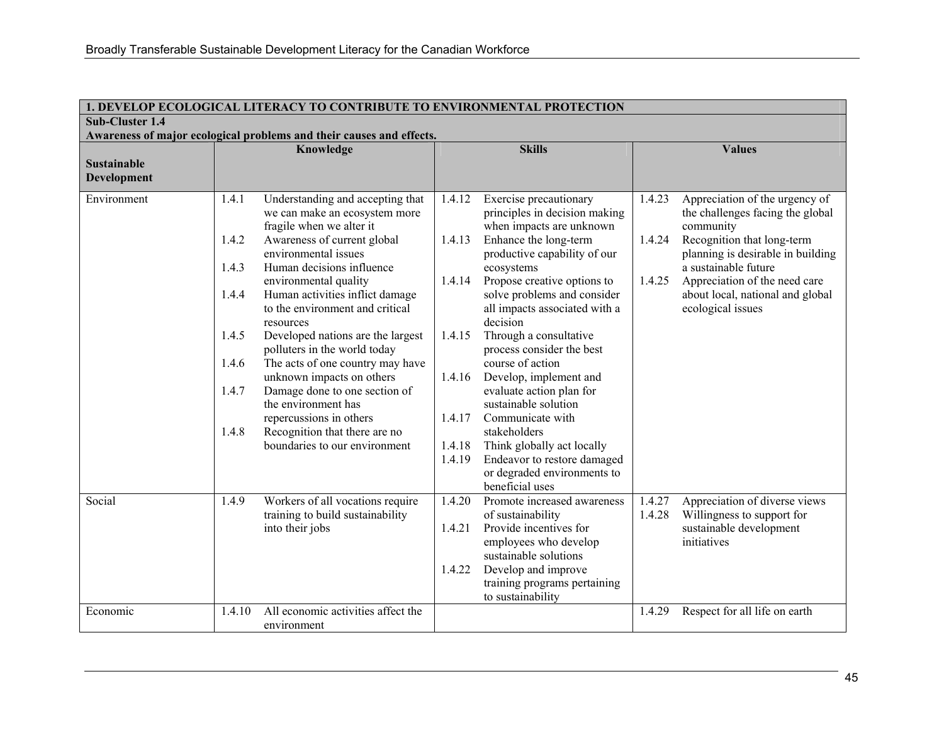| <b>1. DEVELOP ECOLOGICAL LITERACY TO CONTRIBUTE TO ENVIRONMENTAL PROTECTION</b>                |                                                                                                                                                                                                                                                                                                                                                                                                                                                                                                                                                                                                                                                                  |                                                                                                                                                                                                                                                                                                                                                                                                                                                                                                                                                                                                                                                |                                                                                                                                                                                                                                                                                                    |  |  |  |
|------------------------------------------------------------------------------------------------|------------------------------------------------------------------------------------------------------------------------------------------------------------------------------------------------------------------------------------------------------------------------------------------------------------------------------------------------------------------------------------------------------------------------------------------------------------------------------------------------------------------------------------------------------------------------------------------------------------------------------------------------------------------|------------------------------------------------------------------------------------------------------------------------------------------------------------------------------------------------------------------------------------------------------------------------------------------------------------------------------------------------------------------------------------------------------------------------------------------------------------------------------------------------------------------------------------------------------------------------------------------------------------------------------------------------|----------------------------------------------------------------------------------------------------------------------------------------------------------------------------------------------------------------------------------------------------------------------------------------------------|--|--|--|
| <b>Sub-Cluster 1.4</b><br>Awareness of major ecological problems and their causes and effects. |                                                                                                                                                                                                                                                                                                                                                                                                                                                                                                                                                                                                                                                                  |                                                                                                                                                                                                                                                                                                                                                                                                                                                                                                                                                                                                                                                |                                                                                                                                                                                                                                                                                                    |  |  |  |
|                                                                                                | Knowledge                                                                                                                                                                                                                                                                                                                                                                                                                                                                                                                                                                                                                                                        | <b>Skills</b>                                                                                                                                                                                                                                                                                                                                                                                                                                                                                                                                                                                                                                  | <b>Values</b>                                                                                                                                                                                                                                                                                      |  |  |  |
| <b>Sustainable</b><br>Development                                                              |                                                                                                                                                                                                                                                                                                                                                                                                                                                                                                                                                                                                                                                                  |                                                                                                                                                                                                                                                                                                                                                                                                                                                                                                                                                                                                                                                |                                                                                                                                                                                                                                                                                                    |  |  |  |
| Environment                                                                                    | Understanding and accepting that<br>1.4.1<br>we can make an ecosystem more<br>fragile when we alter it<br>Awareness of current global<br>1.4.2<br>environmental issues<br>1.4.3<br>Human decisions influence<br>environmental quality<br>Human activities inflict damage<br>1.4.4<br>to the environment and critical<br>resources<br>1.4.5<br>Developed nations are the largest<br>polluters in the world today<br>The acts of one country may have<br>1.4.6<br>unknown impacts on others<br>1.4.7<br>Damage done to one section of<br>the environment has<br>repercussions in others<br>Recognition that there are no<br>1.4.8<br>boundaries to our environment | 1.4.12<br>Exercise precautionary<br>principles in decision making<br>when impacts are unknown<br>Enhance the long-term<br>1.4.13<br>productive capability of our<br>ecosystems<br>1.4.14<br>Propose creative options to<br>solve problems and consider<br>all impacts associated with a<br>decision<br>1.4.15<br>Through a consultative<br>process consider the best<br>course of action<br>1.4.16<br>Develop, implement and<br>evaluate action plan for<br>sustainable solution<br>1.4.17<br>Communicate with<br>stakeholders<br>Think globally act locally<br>1.4.18<br>Endeavor to restore damaged<br>1.4.19<br>or degraded environments to | Appreciation of the urgency of<br>1.4.23<br>the challenges facing the global<br>community<br>Recognition that long-term<br>1.4.24<br>planning is desirable in building<br>a sustainable future<br>1.4.25<br>Appreciation of the need care<br>about local, national and global<br>ecological issues |  |  |  |
| Social                                                                                         | Workers of all vocations require<br>1.4.9<br>training to build sustainability<br>into their jobs                                                                                                                                                                                                                                                                                                                                                                                                                                                                                                                                                                 | beneficial uses<br>1.4.20<br>Promote increased awareness<br>of sustainability<br>1.4.21<br>Provide incentives for<br>employees who develop<br>sustainable solutions<br>1.4.22<br>Develop and improve<br>training programs pertaining<br>to sustainability                                                                                                                                                                                                                                                                                                                                                                                      | 1.4.27<br>Appreciation of diverse views<br>Willingness to support for<br>1.4.28<br>sustainable development<br>initiatives                                                                                                                                                                          |  |  |  |
| Economic                                                                                       | All economic activities affect the<br>1.4.10<br>environment                                                                                                                                                                                                                                                                                                                                                                                                                                                                                                                                                                                                      |                                                                                                                                                                                                                                                                                                                                                                                                                                                                                                                                                                                                                                                | Respect for all life on earth<br>1.4.29                                                                                                                                                                                                                                                            |  |  |  |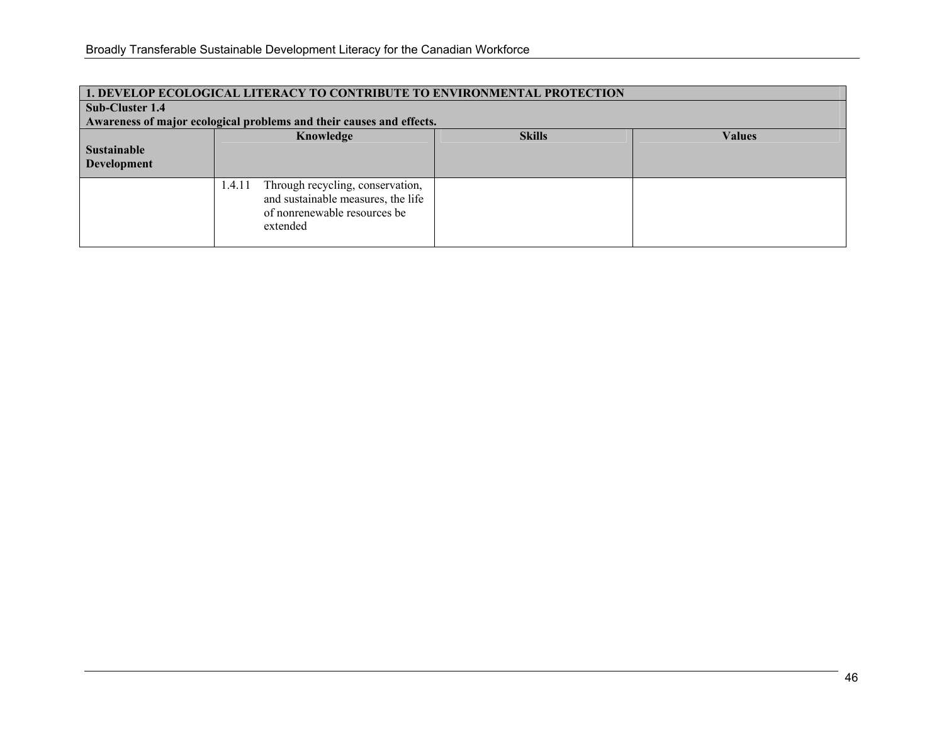| 1. DEVELOP ECOLOGICAL LITERACY TO CONTRIBUTE TO ENVIRONMENTAL PROTECTION |                                                                                                                              |  |  |  |  |  |  |  |
|--------------------------------------------------------------------------|------------------------------------------------------------------------------------------------------------------------------|--|--|--|--|--|--|--|
| <b>Sub-Cluster 1.4</b>                                                   |                                                                                                                              |  |  |  |  |  |  |  |
|                                                                          | Awareness of major ecological problems and their causes and effects.                                                         |  |  |  |  |  |  |  |
|                                                                          | Knowledge<br><b>Skills</b><br><b>Values</b>                                                                                  |  |  |  |  |  |  |  |
| <b>Sustainable</b><br><b>Development</b>                                 |                                                                                                                              |  |  |  |  |  |  |  |
|                                                                          | Through recycling, conservation,<br>1.4.11<br>and sustainable measures, the life<br>of nonrenewable resources be<br>extended |  |  |  |  |  |  |  |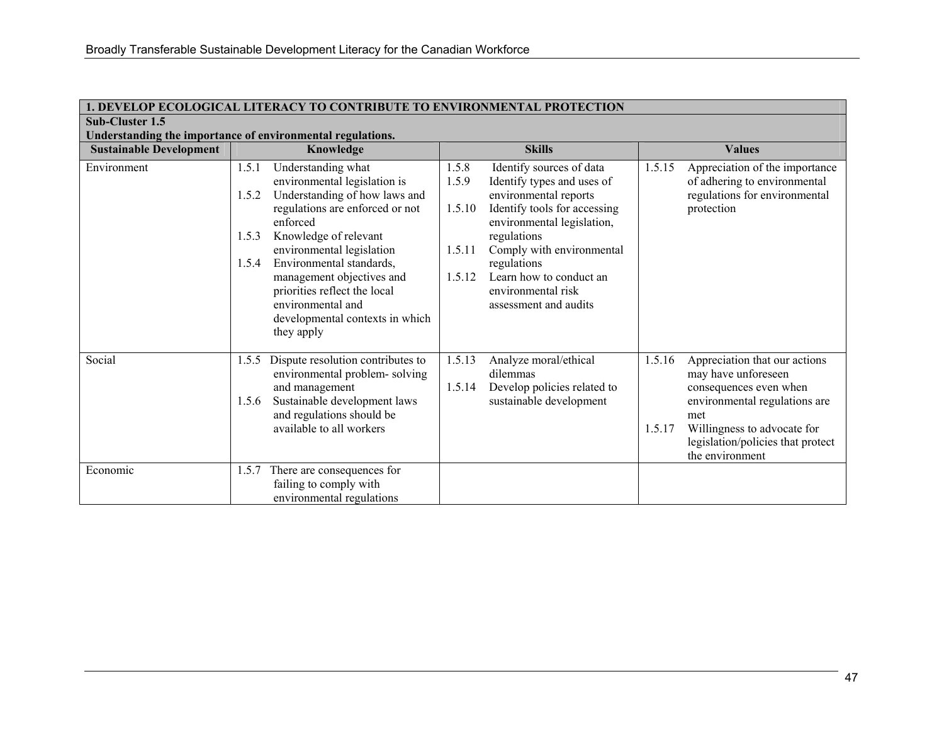| 1. DEVELOP ECOLOGICAL LITERACY TO CONTRIBUTE TO ENVIRONMENTAL PROTECTION |                                                                                                                                                                                                                                                                                                                                                                                             |                                                                                                                                                                                                                                                                                                                                    |                                                                                                                                                                                                                                   |  |  |  |  |  |
|--------------------------------------------------------------------------|---------------------------------------------------------------------------------------------------------------------------------------------------------------------------------------------------------------------------------------------------------------------------------------------------------------------------------------------------------------------------------------------|------------------------------------------------------------------------------------------------------------------------------------------------------------------------------------------------------------------------------------------------------------------------------------------------------------------------------------|-----------------------------------------------------------------------------------------------------------------------------------------------------------------------------------------------------------------------------------|--|--|--|--|--|
| <b>Sub-Cluster 1.5</b>                                                   |                                                                                                                                                                                                                                                                                                                                                                                             |                                                                                                                                                                                                                                                                                                                                    |                                                                                                                                                                                                                                   |  |  |  |  |  |
|                                                                          | Understanding the importance of environmental regulations.                                                                                                                                                                                                                                                                                                                                  |                                                                                                                                                                                                                                                                                                                                    |                                                                                                                                                                                                                                   |  |  |  |  |  |
| <b>Sustainable Development</b>                                           | Knowledge                                                                                                                                                                                                                                                                                                                                                                                   | <b>Skills</b>                                                                                                                                                                                                                                                                                                                      | <b>Values</b>                                                                                                                                                                                                                     |  |  |  |  |  |
| Environment                                                              | Understanding what<br>1.5.1<br>environmental legislation is<br>Understanding of how laws and<br>1.5.2<br>regulations are enforced or not<br>enforced<br>Knowledge of relevant<br>1.5.3<br>environmental legislation<br>Environmental standards,<br>1.5.4<br>management objectives and<br>priorities reflect the local<br>environmental and<br>developmental contexts in which<br>they apply | 1.5.8<br>Identify sources of data<br>1.5.9<br>Identify types and uses of<br>environmental reports<br>Identify tools for accessing<br>1.5.10<br>environmental legislation,<br>regulations<br>Comply with environmental<br>1.5.11<br>regulations<br>1.5.12<br>Learn how to conduct an<br>environmental risk<br>assessment and audits | 1.5.15<br>Appreciation of the importance<br>of adhering to environmental<br>regulations for environmental<br>protection                                                                                                           |  |  |  |  |  |
| Social                                                                   | Dispute resolution contributes to<br>1.5.5<br>environmental problem-solving<br>and management<br>Sustainable development laws<br>1.5.6<br>and regulations should be<br>available to all workers                                                                                                                                                                                             | 1.5.13<br>Analyze moral/ethical<br>dilemmas<br>Develop policies related to<br>1.5.14<br>sustainable development                                                                                                                                                                                                                    | Appreciation that our actions<br>1.5.16<br>may have unforeseen<br>consequences even when<br>environmental regulations are<br>met<br>Willingness to advocate for<br>1.5.17<br>legislation/policies that protect<br>the environment |  |  |  |  |  |
| Economic                                                                 | There are consequences for<br>1.5.7<br>failing to comply with<br>environmental regulations                                                                                                                                                                                                                                                                                                  |                                                                                                                                                                                                                                                                                                                                    |                                                                                                                                                                                                                                   |  |  |  |  |  |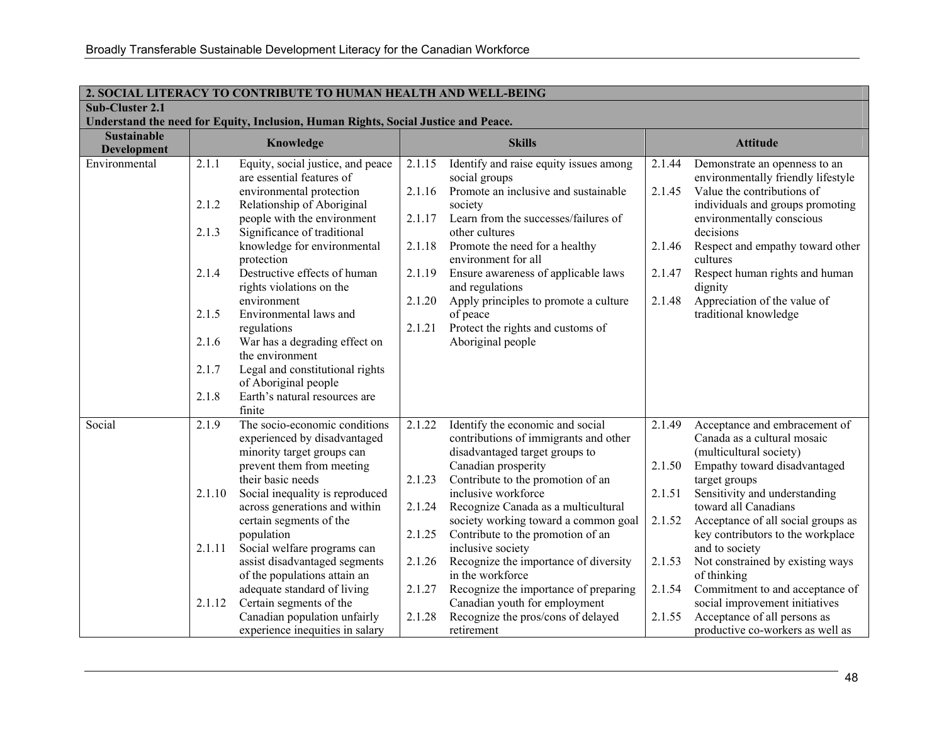| 2. SOCIAL LITERACY TO CONTRIBUTE TO HUMAN HEALTH AND WELL-BEING |        |                                                                                    |        |                                                                             |        |                                                       |  |  |  |
|-----------------------------------------------------------------|--------|------------------------------------------------------------------------------------|--------|-----------------------------------------------------------------------------|--------|-------------------------------------------------------|--|--|--|
| <b>Sub-Cluster 2.1</b>                                          |        |                                                                                    |        |                                                                             |        |                                                       |  |  |  |
|                                                                 |        | Understand the need for Equity, Inclusion, Human Rights, Social Justice and Peace. |        |                                                                             |        |                                                       |  |  |  |
| <b>Sustainable</b><br><b>Development</b>                        |        | Knowledge                                                                          |        | <b>Skills</b>                                                               |        | <b>Attitude</b>                                       |  |  |  |
| Environmental                                                   | 2.1.1  | Equity, social justice, and peace                                                  | 2.1.15 | Identify and raise equity issues among                                      | 2.1.44 | Demonstrate an openness to an                         |  |  |  |
|                                                                 |        | are essential features of                                                          |        | social groups                                                               |        | environmentally friendly lifestyle                    |  |  |  |
|                                                                 |        | environmental protection                                                           | 2.1.16 | Promote an inclusive and sustainable                                        | 2.1.45 | Value the contributions of                            |  |  |  |
|                                                                 | 2.1.2  | Relationship of Aboriginal                                                         |        | society                                                                     |        | individuals and groups promoting                      |  |  |  |
|                                                                 |        | people with the environment                                                        | 2.1.17 | Learn from the successes/failures of                                        |        | environmentally conscious                             |  |  |  |
|                                                                 | 2.1.3  | Significance of traditional                                                        |        | other cultures                                                              |        | decisions                                             |  |  |  |
|                                                                 |        | knowledge for environmental                                                        | 2.1.18 | Promote the need for a healthy                                              | 2.1.46 | Respect and empathy toward other                      |  |  |  |
|                                                                 |        | protection                                                                         |        | environment for all                                                         |        | cultures                                              |  |  |  |
|                                                                 | 2.1.4  | Destructive effects of human                                                       | 2.1.19 | Ensure awareness of applicable laws                                         | 2.1.47 | Respect human rights and human                        |  |  |  |
|                                                                 |        | rights violations on the                                                           |        | and regulations                                                             |        | dignity                                               |  |  |  |
|                                                                 |        | environment                                                                        | 2.1.20 | Apply principles to promote a culture                                       | 2.1.48 | Appreciation of the value of                          |  |  |  |
|                                                                 | 2.1.5  | Environmental laws and                                                             |        | of peace                                                                    |        | traditional knowledge                                 |  |  |  |
|                                                                 |        | regulations                                                                        | 2.1.21 | Protect the rights and customs of                                           |        |                                                       |  |  |  |
|                                                                 | 2.1.6  | War has a degrading effect on<br>the environment                                   |        | Aboriginal people                                                           |        |                                                       |  |  |  |
|                                                                 | 2.1.7  | Legal and constitutional rights                                                    |        |                                                                             |        |                                                       |  |  |  |
|                                                                 |        | of Aboriginal people                                                               |        |                                                                             |        |                                                       |  |  |  |
|                                                                 | 2.1.8  | Earth's natural resources are                                                      |        |                                                                             |        |                                                       |  |  |  |
|                                                                 |        | finite                                                                             |        |                                                                             |        |                                                       |  |  |  |
| Social                                                          | 2.1.9  | The socio-economic conditions                                                      | 2.1.22 | Identify the economic and social                                            | 2.1.49 | Acceptance and embracement of                         |  |  |  |
|                                                                 |        | experienced by disadvantaged                                                       |        | contributions of immigrants and other                                       |        | Canada as a cultural mosaic                           |  |  |  |
|                                                                 |        | minority target groups can                                                         |        | disadvantaged target groups to                                              |        | (multicultural society)                               |  |  |  |
|                                                                 |        | prevent them from meeting                                                          |        | Canadian prosperity                                                         | 2.1.50 | Empathy toward disadvantaged                          |  |  |  |
|                                                                 |        | their basic needs                                                                  | 2.1.23 | Contribute to the promotion of an                                           |        | target groups                                         |  |  |  |
|                                                                 | 2.1.10 | Social inequality is reproduced<br>across generations and within                   | 2.1.24 | inclusive workforce                                                         | 2.1.51 | Sensitivity and understanding<br>toward all Canadians |  |  |  |
|                                                                 |        | certain segments of the                                                            |        | Recognize Canada as a multicultural<br>society working toward a common goal | 2.1.52 | Acceptance of all social groups as                    |  |  |  |
|                                                                 |        | population                                                                         | 2.1.25 | Contribute to the promotion of an                                           |        | key contributors to the workplace                     |  |  |  |
|                                                                 | 2.1.11 | Social welfare programs can                                                        |        | inclusive society                                                           |        | and to society                                        |  |  |  |
|                                                                 |        | assist disadvantaged segments                                                      | 2.1.26 | Recognize the importance of diversity                                       | 2.1.53 | Not constrained by existing ways                      |  |  |  |
|                                                                 |        | of the populations attain an                                                       |        | in the workforce                                                            |        | of thinking                                           |  |  |  |
|                                                                 |        | adequate standard of living                                                        | 2.1.27 | Recognize the importance of preparing                                       | 2.1.54 | Commitment to and acceptance of                       |  |  |  |
|                                                                 | 2.1.12 | Certain segments of the                                                            |        | Canadian youth for employment                                               |        | social improvement initiatives                        |  |  |  |
|                                                                 |        | Canadian population unfairly                                                       | 2.1.28 | Recognize the pros/cons of delayed                                          | 2.1.55 | Acceptance of all persons as                          |  |  |  |
|                                                                 |        | experience inequities in salary                                                    |        | retirement                                                                  |        | productive co-workers as well as                      |  |  |  |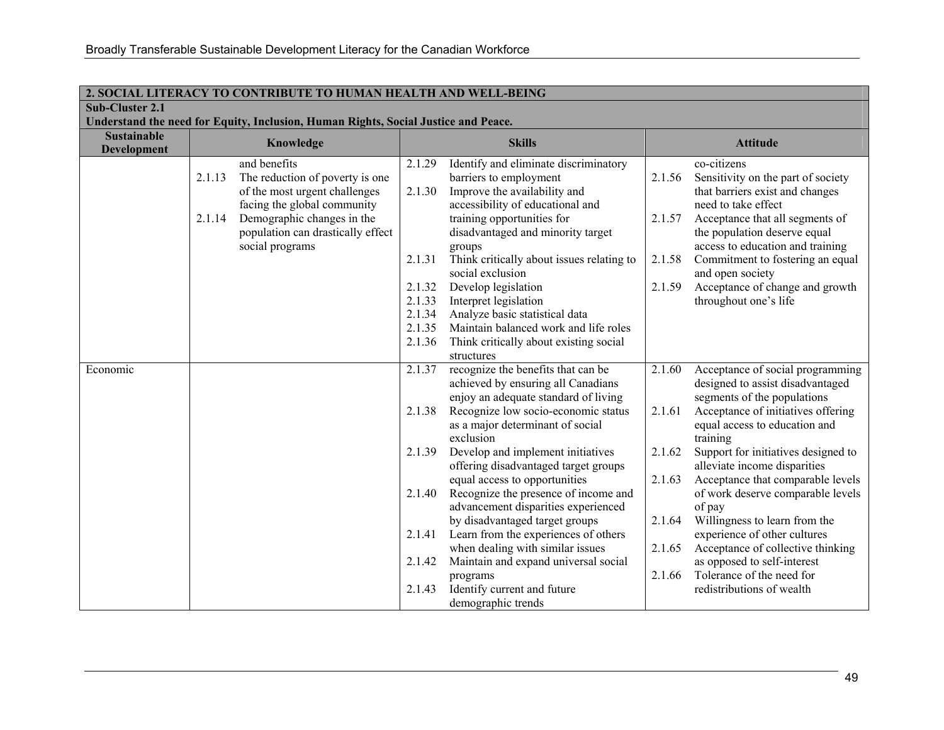| 2. SOCIAL LITERACY TO CONTRIBUTE TO HUMAN HEALTH AND WELL-BEING |        |                                                                                    |        |                                               |        |                                                 |  |  |  |
|-----------------------------------------------------------------|--------|------------------------------------------------------------------------------------|--------|-----------------------------------------------|--------|-------------------------------------------------|--|--|--|
| <b>Sub-Cluster 2.1</b>                                          |        |                                                                                    |        |                                               |        |                                                 |  |  |  |
|                                                                 |        | Understand the need for Equity, Inclusion, Human Rights, Social Justice and Peace. |        |                                               |        |                                                 |  |  |  |
| <b>Sustainable</b>                                              |        | Knowledge                                                                          |        | <b>Skills</b>                                 |        | <b>Attitude</b>                                 |  |  |  |
| <b>Development</b>                                              |        | and benefits                                                                       | 2.1.29 | Identify and eliminate discriminatory         |        | co-citizens                                     |  |  |  |
|                                                                 | 2.1.13 | The reduction of poverty is one                                                    |        | barriers to employment                        | 2.1.56 | Sensitivity on the part of society              |  |  |  |
|                                                                 |        | of the most urgent challenges                                                      | 2.1.30 | Improve the availability and                  |        | that barriers exist and changes                 |  |  |  |
|                                                                 |        | facing the global community                                                        |        | accessibility of educational and              |        | need to take effect                             |  |  |  |
|                                                                 | 2.1.14 | Demographic changes in the                                                         |        | training opportunities for                    | 2.1.57 | Acceptance that all segments of                 |  |  |  |
|                                                                 |        | population can drastically effect                                                  |        | disadvantaged and minority target             |        | the population deserve equal                    |  |  |  |
|                                                                 |        | social programs                                                                    |        | groups                                        |        | access to education and training                |  |  |  |
|                                                                 |        |                                                                                    | 2.1.31 | Think critically about issues relating to     | 2.1.58 | Commitment to fostering an equal                |  |  |  |
|                                                                 |        |                                                                                    |        | social exclusion                              |        | and open society                                |  |  |  |
|                                                                 |        |                                                                                    | 2.1.32 | Develop legislation                           | 2.1.59 | Acceptance of change and growth                 |  |  |  |
|                                                                 |        |                                                                                    | 2.1.33 | Interpret legislation                         |        | throughout one's life                           |  |  |  |
|                                                                 |        |                                                                                    |        | 2.1.34 Analyze basic statistical data         |        |                                                 |  |  |  |
|                                                                 |        |                                                                                    |        | 2.1.35 Maintain balanced work and life roles  |        |                                                 |  |  |  |
|                                                                 |        |                                                                                    | 2.1.36 | Think critically about existing social        |        |                                                 |  |  |  |
|                                                                 |        |                                                                                    |        | structures                                    |        |                                                 |  |  |  |
| Economic                                                        |        |                                                                                    | 2.1.37 | recognize the benefits that can be            | 2.1.60 | Acceptance of social programming                |  |  |  |
|                                                                 |        |                                                                                    |        | achieved by ensuring all Canadians            |        | designed to assist disadvantaged                |  |  |  |
|                                                                 |        |                                                                                    |        | enjoy an adequate standard of living          |        | segments of the populations                     |  |  |  |
|                                                                 |        |                                                                                    | 2.1.38 | Recognize low socio-economic status           | 2.1.61 | Acceptance of initiatives offering              |  |  |  |
|                                                                 |        |                                                                                    |        | as a major determinant of social<br>exclusion |        | equal access to education and                   |  |  |  |
|                                                                 |        |                                                                                    | 2.1.39 | Develop and implement initiatives             | 2.1.62 | training<br>Support for initiatives designed to |  |  |  |
|                                                                 |        |                                                                                    |        | offering disadvantaged target groups          |        | alleviate income disparities                    |  |  |  |
|                                                                 |        |                                                                                    |        | equal access to opportunities                 | 2.1.63 | Acceptance that comparable levels               |  |  |  |
|                                                                 |        |                                                                                    | 2.1.40 | Recognize the presence of income and          |        | of work deserve comparable levels               |  |  |  |
|                                                                 |        |                                                                                    |        | advancement disparities experienced           |        | of pay                                          |  |  |  |
|                                                                 |        |                                                                                    |        | by disadvantaged target groups                | 2.1.64 | Willingness to learn from the                   |  |  |  |
|                                                                 |        |                                                                                    | 2.1.41 | Learn from the experiences of others          |        | experience of other cultures                    |  |  |  |
|                                                                 |        |                                                                                    |        | when dealing with similar issues              | 2.1.65 | Acceptance of collective thinking               |  |  |  |
|                                                                 |        |                                                                                    | 2.1.42 | Maintain and expand universal social          |        | as opposed to self-interest                     |  |  |  |
|                                                                 |        |                                                                                    |        | programs                                      | 2.1.66 | Tolerance of the need for                       |  |  |  |
|                                                                 |        |                                                                                    | 2.1.43 | Identify current and future                   |        | redistributions of wealth                       |  |  |  |
|                                                                 |        |                                                                                    |        | demographic trends                            |        |                                                 |  |  |  |

49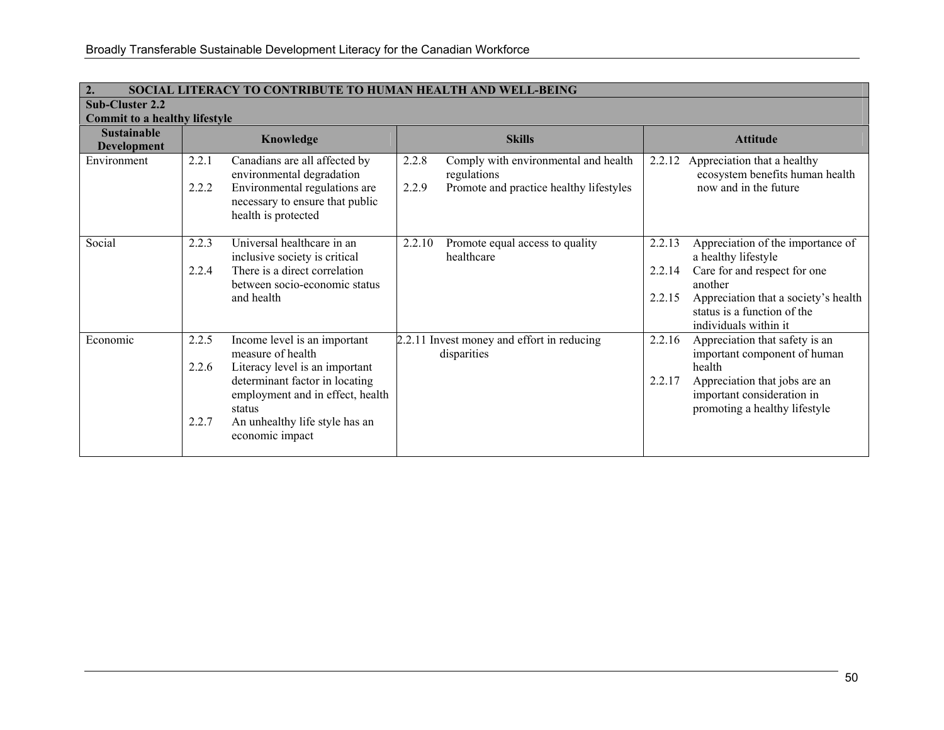| 2.<br>SOCIAL LITERACY TO CONTRIBUTE TO HUMAN HEALTH AND WELL-BEING |                         |                                                                                                                                                                                                                          |                |                                                                                                |                            |                                                                                                                                                                                                     |  |  |  |
|--------------------------------------------------------------------|-------------------------|--------------------------------------------------------------------------------------------------------------------------------------------------------------------------------------------------------------------------|----------------|------------------------------------------------------------------------------------------------|----------------------------|-----------------------------------------------------------------------------------------------------------------------------------------------------------------------------------------------------|--|--|--|
| <b>Sub-Cluster 2.2</b><br><b>Commit to a healthy lifestyle</b>     |                         |                                                                                                                                                                                                                          |                |                                                                                                |                            |                                                                                                                                                                                                     |  |  |  |
| <b>Sustainable</b><br><b>Development</b>                           |                         | Knowledge                                                                                                                                                                                                                |                | <b>Skills</b>                                                                                  |                            | <b>Attitude</b>                                                                                                                                                                                     |  |  |  |
| Environment                                                        | 2.2.1<br>2.2.2          | Canadians are all affected by<br>environmental degradation<br>Environmental regulations are<br>necessary to ensure that public<br>health is protected                                                                    | 2.2.8<br>2.2.9 | Comply with environmental and health<br>regulations<br>Promote and practice healthy lifestyles | 2.2.12                     | Appreciation that a healthy<br>ecosystem benefits human health<br>now and in the future                                                                                                             |  |  |  |
| Social                                                             | 2.2.3<br>2.2.4          | Universal healthcare in an<br>inclusive society is critical<br>There is a direct correlation<br>between socio-economic status<br>and health                                                                              | 2.2.10         | Promote equal access to quality<br>healthcare                                                  | 2.2.13<br>2.2.14<br>2.2.15 | Appreciation of the importance of<br>a healthy lifestyle<br>Care for and respect for one<br>another<br>Appreciation that a society's health<br>status is a function of the<br>individuals within it |  |  |  |
| Economic                                                           | 2.2.5<br>2.2.6<br>2.2.7 | Income level is an important<br>measure of health<br>Literacy level is an important<br>determinant factor in locating<br>employment and in effect, health<br>status<br>An unhealthy life style has an<br>economic impact |                | 2.2.11 Invest money and effort in reducing<br>disparities                                      | 2.2.16<br>2.2.17           | Appreciation that safety is an<br>important component of human<br>health<br>Appreciation that jobs are an<br>important consideration in<br>promoting a healthy lifestyle                            |  |  |  |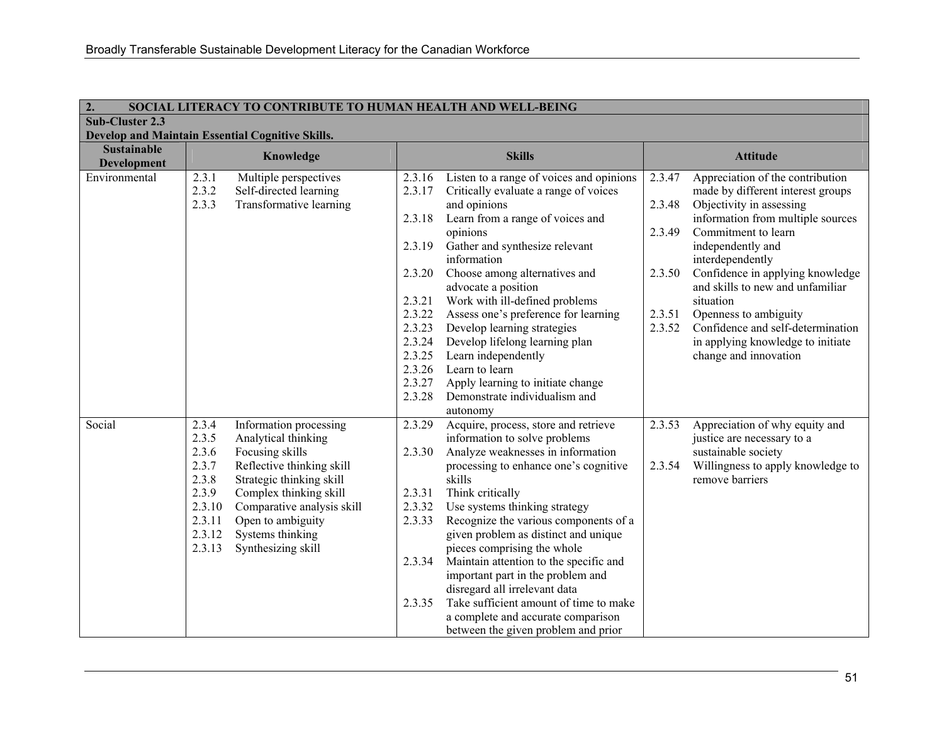| 2.                                       |                                                                                            | SOCIAL LITERACY TO CONTRIBUTE TO HUMAN HEALTH AND WELL-BEING                                                                                                                                                                                     |                                                                                                                                |                                                                                                                                                                                                                                                                                                                                                                                                                                                                                                                                                                           |                                                          |                                                                                                                                                                                                                                                                                                                                                                                                                         |
|------------------------------------------|--------------------------------------------------------------------------------------------|--------------------------------------------------------------------------------------------------------------------------------------------------------------------------------------------------------------------------------------------------|--------------------------------------------------------------------------------------------------------------------------------|---------------------------------------------------------------------------------------------------------------------------------------------------------------------------------------------------------------------------------------------------------------------------------------------------------------------------------------------------------------------------------------------------------------------------------------------------------------------------------------------------------------------------------------------------------------------------|----------------------------------------------------------|-------------------------------------------------------------------------------------------------------------------------------------------------------------------------------------------------------------------------------------------------------------------------------------------------------------------------------------------------------------------------------------------------------------------------|
| <b>Sub-Cluster 2.3</b>                   |                                                                                            | Develop and Maintain Essential Cognitive Skills.                                                                                                                                                                                                 |                                                                                                                                |                                                                                                                                                                                                                                                                                                                                                                                                                                                                                                                                                                           |                                                          |                                                                                                                                                                                                                                                                                                                                                                                                                         |
| <b>Sustainable</b><br><b>Development</b> |                                                                                            | Knowledge                                                                                                                                                                                                                                        |                                                                                                                                | <b>Skills</b>                                                                                                                                                                                                                                                                                                                                                                                                                                                                                                                                                             |                                                          | <b>Attitude</b>                                                                                                                                                                                                                                                                                                                                                                                                         |
| Environmental                            | 2.3.1<br>2.3.2<br>2.3.3                                                                    | Multiple perspectives<br>Self-directed learning<br>Transformative learning                                                                                                                                                                       | 2.3.16<br>2.3.17<br>2.3.18<br>2.3.19<br>2.3.20<br>2.3.21<br>2.3.22<br>2.3.23<br>2.3.24<br>2.3.25<br>2.3.26<br>2.3.27<br>2.3.28 | Listen to a range of voices and opinions<br>Critically evaluate a range of voices<br>and opinions<br>Learn from a range of voices and<br>opinions<br>Gather and synthesize relevant<br>information<br>Choose among alternatives and<br>advocate a position<br>Work with ill-defined problems<br>Assess one's preference for learning<br>Develop learning strategies<br>Develop lifelong learning plan<br>Learn independently<br>Learn to learn<br>Apply learning to initiate change<br>Demonstrate individualism and<br>autonomy                                          | 2.3.47<br>2.3.48<br>2.3.49<br>2.3.50<br>2.3.51<br>2.3.52 | Appreciation of the contribution<br>made by different interest groups<br>Objectivity in assessing<br>information from multiple sources<br>Commitment to learn<br>independently and<br>interdependently<br>Confidence in applying knowledge<br>and skills to new and unfamiliar<br>situation<br>Openness to ambiguity<br>Confidence and self-determination<br>in applying knowledge to initiate<br>change and innovation |
| Social                                   | 2.3.4<br>2.3.5<br>2.3.6<br>2.3.7<br>2.3.8<br>2.3.9<br>2.3.10<br>2.3.11<br>2.3.12<br>2.3.13 | Information processing<br>Analytical thinking<br>Focusing skills<br>Reflective thinking skill<br>Strategic thinking skill<br>Complex thinking skill<br>Comparative analysis skill<br>Open to ambiguity<br>Systems thinking<br>Synthesizing skill | 2.3.29<br>2.3.30<br>2.3.31<br>2.3.32<br>2.3.33<br>2.3.34<br>2.3.35                                                             | Acquire, process, store and retrieve<br>information to solve problems<br>Analyze weaknesses in information<br>processing to enhance one's cognitive<br>skills<br>Think critically<br>Use systems thinking strategy<br>Recognize the various components of a<br>given problem as distinct and unique<br>pieces comprising the whole<br>Maintain attention to the specific and<br>important part in the problem and<br>disregard all irrelevant data<br>Take sufficient amount of time to make<br>a complete and accurate comparison<br>between the given problem and prior | 2.3.53<br>2.3.54                                         | Appreciation of why equity and<br>justice are necessary to a<br>sustainable society<br>Willingness to apply knowledge to<br>remove barriers                                                                                                                                                                                                                                                                             |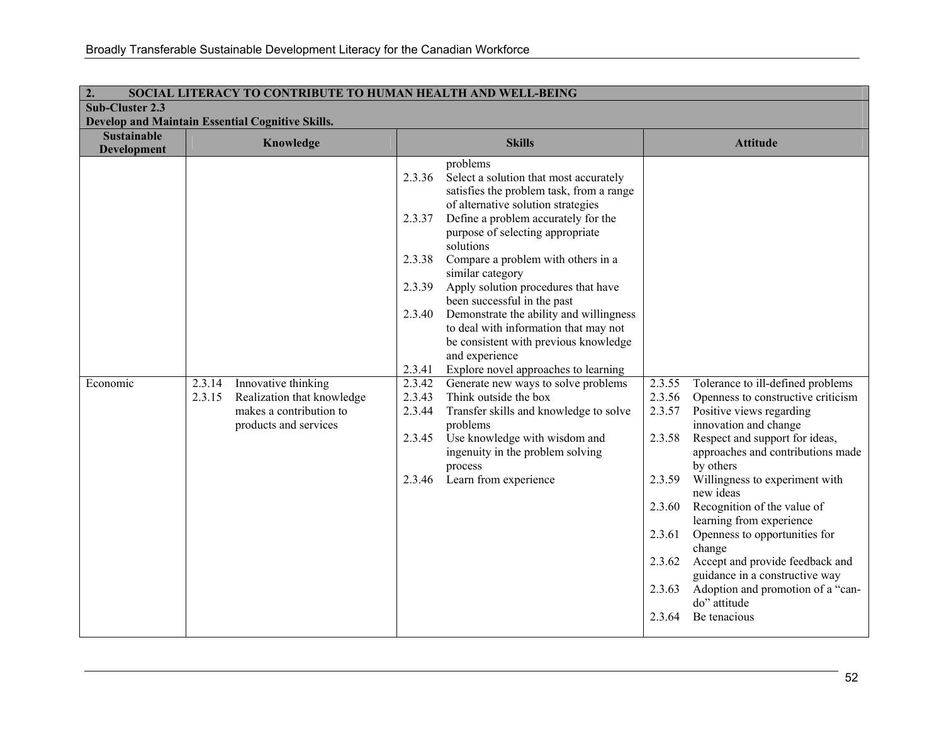| 2.<br>SOCIAL LITERACY TO CONTRIBUTE TO HUMAN HEALTH AND WELL-BEING |                                                                                                                           |                                                                                                                                                                                                                                                                                                                                                                                                                                                                                                                                                                                                                                                                                                                                                                                                                                                                                                  |                                                                                                                                                                                                                                                                                                                                                                                                                                                                                                                                                                                                                     |  |  |  |  |  |  |
|--------------------------------------------------------------------|---------------------------------------------------------------------------------------------------------------------------|--------------------------------------------------------------------------------------------------------------------------------------------------------------------------------------------------------------------------------------------------------------------------------------------------------------------------------------------------------------------------------------------------------------------------------------------------------------------------------------------------------------------------------------------------------------------------------------------------------------------------------------------------------------------------------------------------------------------------------------------------------------------------------------------------------------------------------------------------------------------------------------------------|---------------------------------------------------------------------------------------------------------------------------------------------------------------------------------------------------------------------------------------------------------------------------------------------------------------------------------------------------------------------------------------------------------------------------------------------------------------------------------------------------------------------------------------------------------------------------------------------------------------------|--|--|--|--|--|--|
| <b>Sub-Cluster 2.3</b>                                             |                                                                                                                           |                                                                                                                                                                                                                                                                                                                                                                                                                                                                                                                                                                                                                                                                                                                                                                                                                                                                                                  |                                                                                                                                                                                                                                                                                                                                                                                                                                                                                                                                                                                                                     |  |  |  |  |  |  |
| <b>Sustainable</b>                                                 | Develop and Maintain Essential Cognitive Skills.                                                                          |                                                                                                                                                                                                                                                                                                                                                                                                                                                                                                                                                                                                                                                                                                                                                                                                                                                                                                  |                                                                                                                                                                                                                                                                                                                                                                                                                                                                                                                                                                                                                     |  |  |  |  |  |  |
| Development                                                        | Knowledge                                                                                                                 | <b>Skills</b>                                                                                                                                                                                                                                                                                                                                                                                                                                                                                                                                                                                                                                                                                                                                                                                                                                                                                    | <b>Attitude</b>                                                                                                                                                                                                                                                                                                                                                                                                                                                                                                                                                                                                     |  |  |  |  |  |  |
| Economic                                                           | 2.3.14<br>Innovative thinking<br>2.3.15<br>Realization that knowledge<br>makes a contribution to<br>products and services | problems<br>2.3.36<br>Select a solution that most accurately<br>satisfies the problem task, from a range<br>of alternative solution strategies<br>Define a problem accurately for the<br>2.3.37<br>purpose of selecting appropriate<br>solutions<br>Compare a problem with others in a<br>2.3.38<br>similar category<br>Apply solution procedures that have<br>2.3.39<br>been successful in the past<br>2.3.40<br>Demonstrate the ability and willingness<br>to deal with information that may not<br>be consistent with previous knowledge<br>and experience<br>2.3.41<br>Explore novel approaches to learning<br>2.3.42<br>Generate new ways to solve problems<br>2.3.43<br>Think outside the box<br>2.3.44<br>Transfer skills and knowledge to solve<br>problems<br>Use knowledge with wisdom and<br>2.3.45<br>ingenuity in the problem solving<br>process<br>Learn from experience<br>2.3.46 | 2.3.55<br>Tolerance to ill-defined problems<br>2.3.56<br>Openness to constructive criticism<br>Positive views regarding<br>2.3.57<br>innovation and change<br>Respect and support for ideas,<br>2.3.58<br>approaches and contributions made<br>by others<br>Willingness to experiment with<br>2.3.59<br>new ideas<br>Recognition of the value of<br>2.3.60<br>learning from experience<br>Openness to opportunities for<br>2.3.61<br>change<br>Accept and provide feedback and<br>2.3.62<br>guidance in a constructive way<br>Adoption and promotion of a "can-<br>2.3.63<br>do" attitude<br>2.3.64<br>Be tenacious |  |  |  |  |  |  |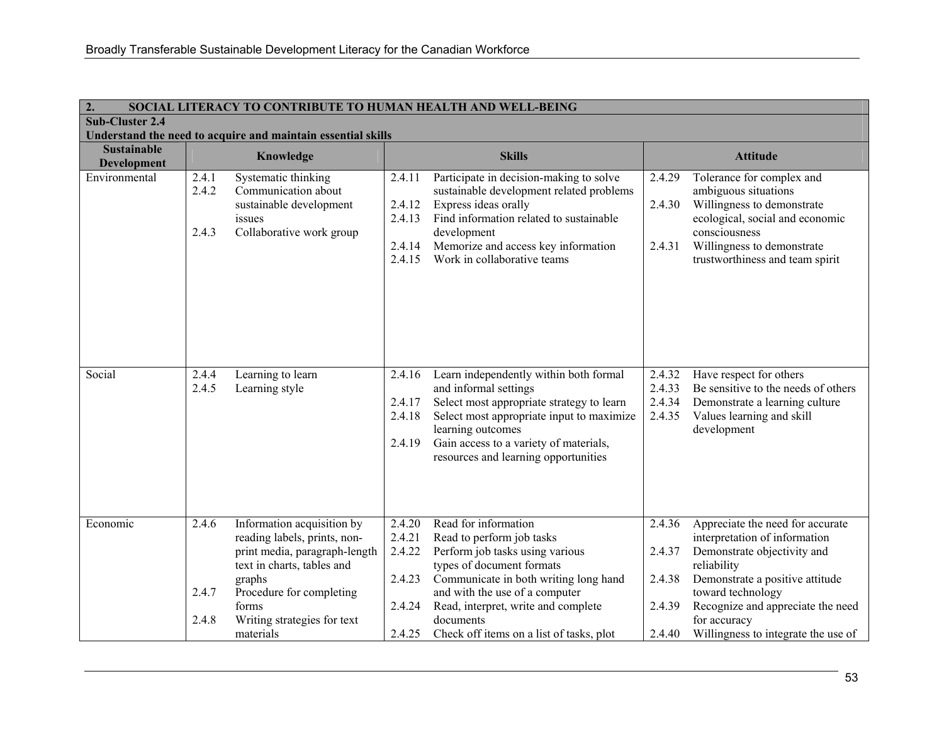| 2.<br>SOCIAL LITERACY TO CONTRIBUTE TO HUMAN HEALTH AND WELL-BEING |                                                              |                                                                                                                                                                                                                      |                                                          |                                                                                                                                                                                                                                                                                              |                                                |                                                                                                                                                                                                                                                                     |  |  |  |
|--------------------------------------------------------------------|--------------------------------------------------------------|----------------------------------------------------------------------------------------------------------------------------------------------------------------------------------------------------------------------|----------------------------------------------------------|----------------------------------------------------------------------------------------------------------------------------------------------------------------------------------------------------------------------------------------------------------------------------------------------|------------------------------------------------|---------------------------------------------------------------------------------------------------------------------------------------------------------------------------------------------------------------------------------------------------------------------|--|--|--|
| <b>Sub-Cluster 2.4</b>                                             | Understand the need to acquire and maintain essential skills |                                                                                                                                                                                                                      |                                                          |                                                                                                                                                                                                                                                                                              |                                                |                                                                                                                                                                                                                                                                     |  |  |  |
| <b>Sustainable</b><br><b>Development</b>                           |                                                              | Knowledge                                                                                                                                                                                                            |                                                          | <b>Skills</b>                                                                                                                                                                                                                                                                                |                                                | <b>Attitude</b>                                                                                                                                                                                                                                                     |  |  |  |
| Environmental                                                      | 2.4.1<br>2.4.2<br>2.4.3                                      | Systematic thinking<br>Communication about<br>sustainable development<br>issues<br>Collaborative work group                                                                                                          | 2.4.11<br>2.4.12<br>2.4.13<br>2.4.14<br>2.4.15           | Participate in decision-making to solve<br>sustainable development related problems<br>Express ideas orally<br>Find information related to sustainable<br>development<br>Memorize and access key information<br>Work in collaborative teams                                                  | 2.4.29<br>2.4.30<br>2.4.31                     | Tolerance for complex and<br>ambiguous situations<br>Willingness to demonstrate<br>ecological, social and economic<br>consciousness<br>Willingness to demonstrate<br>trustworthiness and team spirit                                                                |  |  |  |
| Social                                                             | 2.4.4<br>2.4.5                                               | Learning to learn<br>Learning style                                                                                                                                                                                  | 2.4.16<br>2.4.17<br>2.4.18<br>2.4.19                     | Learn independently within both formal<br>and informal settings<br>Select most appropriate strategy to learn<br>Select most appropriate input to maximize<br>learning outcomes<br>Gain access to a variety of materials,<br>resources and learning opportunities                             | 2.4.32<br>2.4.33<br>2.4.34<br>2.4.35           | Have respect for others<br>Be sensitive to the needs of others<br>Demonstrate a learning culture<br>Values learning and skill<br>development                                                                                                                        |  |  |  |
| Economic                                                           | 2.4.6<br>2.4.7<br>2.4.8                                      | Information acquisition by<br>reading labels, prints, non-<br>print media, paragraph-length<br>text in charts, tables and<br>graphs<br>Procedure for completing<br>forms<br>Writing strategies for text<br>materials | 2.4.20<br>2.4.21<br>2.4.22<br>2.4.23<br>2.4.24<br>2.4.25 | Read for information<br>Read to perform job tasks<br>Perform job tasks using various<br>types of document formats<br>Communicate in both writing long hand<br>and with the use of a computer<br>Read, interpret, write and complete<br>documents<br>Check off items on a list of tasks, plot | 2.4.36<br>2.4.37<br>2.4.38<br>2.4.39<br>2.4.40 | Appreciate the need for accurate<br>interpretation of information<br>Demonstrate objectivity and<br>reliability<br>Demonstrate a positive attitude<br>toward technology<br>Recognize and appreciate the need<br>for accuracy<br>Willingness to integrate the use of |  |  |  |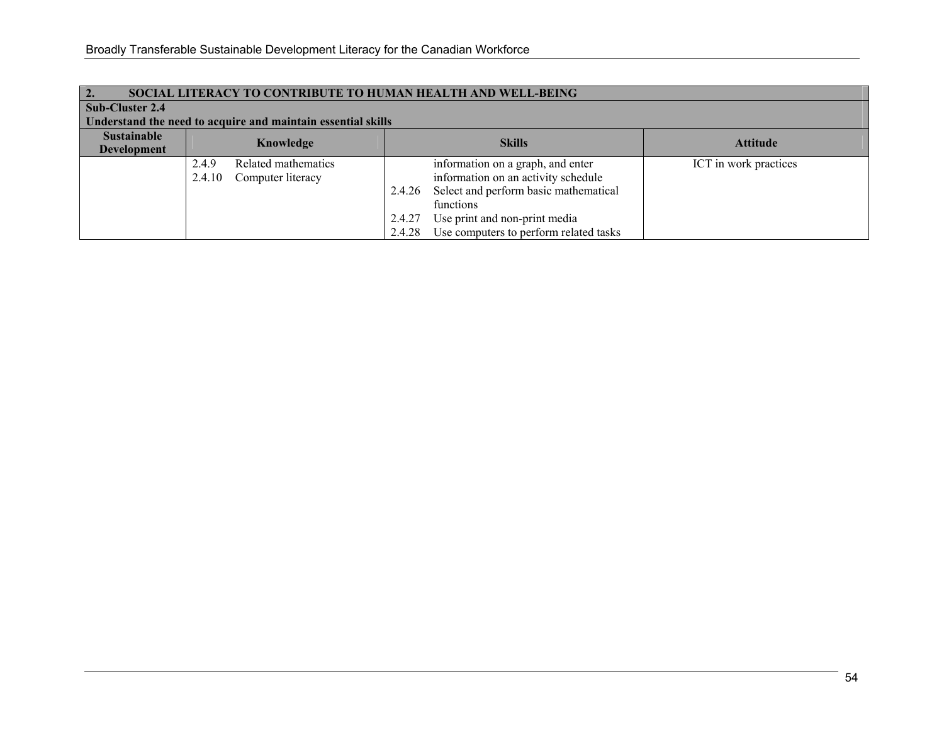| SOCIAL LITERACY TO CONTRIBUTE TO HUMAN HEALTH AND WELL-BEING |                              |                                                  |                       |  |  |  |  |  |  |
|--------------------------------------------------------------|------------------------------|--------------------------------------------------|-----------------------|--|--|--|--|--|--|
| <b>Sub-Cluster 2.4</b>                                       |                              |                                                  |                       |  |  |  |  |  |  |
| Understand the need to acquire and maintain essential skills |                              |                                                  |                       |  |  |  |  |  |  |
| <b>Sustainable</b>                                           |                              | <b>Skills</b>                                    | <b>Attitude</b>       |  |  |  |  |  |  |
| <b>Development</b>                                           | Knowledge                    |                                                  |                       |  |  |  |  |  |  |
|                                                              | Related mathematics<br>2.4.9 | information on a graph, and enter                | ICT in work practices |  |  |  |  |  |  |
|                                                              | Computer literacy<br>2.4.10  | information on an activity schedule              |                       |  |  |  |  |  |  |
|                                                              |                              | 2.4.26 Select and perform basic mathematical     |                       |  |  |  |  |  |  |
|                                                              |                              | functions                                        |                       |  |  |  |  |  |  |
|                                                              |                              | Use print and non-print media<br>2.4.27          |                       |  |  |  |  |  |  |
|                                                              |                              | Use computers to perform related tasks<br>2.4.28 |                       |  |  |  |  |  |  |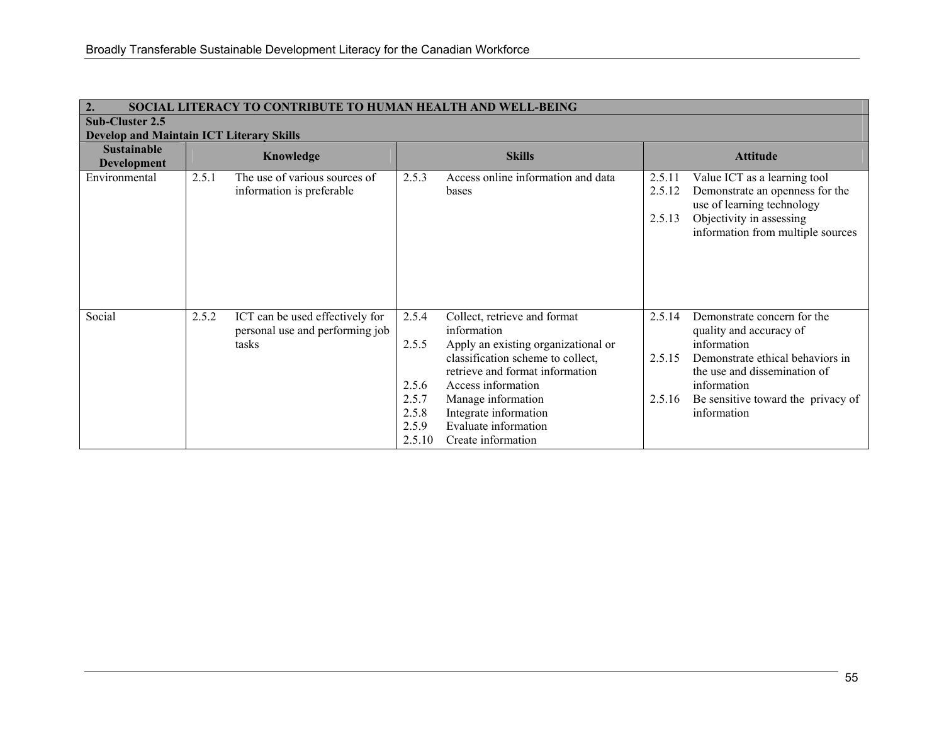| 2.<br>SOCIAL LITERACY TO CONTRIBUTE TO HUMAN HEALTH AND WELL-BEING |       |                                                                             |                                                              |                                                                                                                                                                                                                                                                               |                            |                                                                                                                                                                                                               |  |  |  |  |
|--------------------------------------------------------------------|-------|-----------------------------------------------------------------------------|--------------------------------------------------------------|-------------------------------------------------------------------------------------------------------------------------------------------------------------------------------------------------------------------------------------------------------------------------------|----------------------------|---------------------------------------------------------------------------------------------------------------------------------------------------------------------------------------------------------------|--|--|--|--|
| Sub-Cluster 2.5<br><b>Develop and Maintain ICT Literary Skills</b> |       |                                                                             |                                                              |                                                                                                                                                                                                                                                                               |                            |                                                                                                                                                                                                               |  |  |  |  |
| <b>Sustainable</b><br><b>Development</b>                           |       | Knowledge                                                                   |                                                              | <b>Skills</b>                                                                                                                                                                                                                                                                 |                            | <b>Attitude</b>                                                                                                                                                                                               |  |  |  |  |
| Environmental                                                      | 2.5.1 | The use of various sources of<br>information is preferable                  | 2.5.3                                                        | Access online information and data<br>bases                                                                                                                                                                                                                                   | 2.5.11<br>2.5.12<br>2.5.13 | Value ICT as a learning tool<br>Demonstrate an openness for the<br>use of learning technology<br>Objectivity in assessing<br>information from multiple sources                                                |  |  |  |  |
| Social                                                             | 2.5.2 | ICT can be used effectively for<br>personal use and performing job<br>tasks | 2.5.4<br>2.5.5<br>2.5.6<br>2.5.7<br>2.5.8<br>2.5.9<br>2.5.10 | Collect, retrieve and format<br>information<br>Apply an existing organizational or<br>classification scheme to collect,<br>retrieve and format information<br>Access information<br>Manage information<br>Integrate information<br>Evaluate information<br>Create information | 2.5.14<br>2.5.15<br>2.5.16 | Demonstrate concern for the<br>quality and accuracy of<br>information<br>Demonstrate ethical behaviors in<br>the use and dissemination of<br>information<br>Be sensitive toward the privacy of<br>information |  |  |  |  |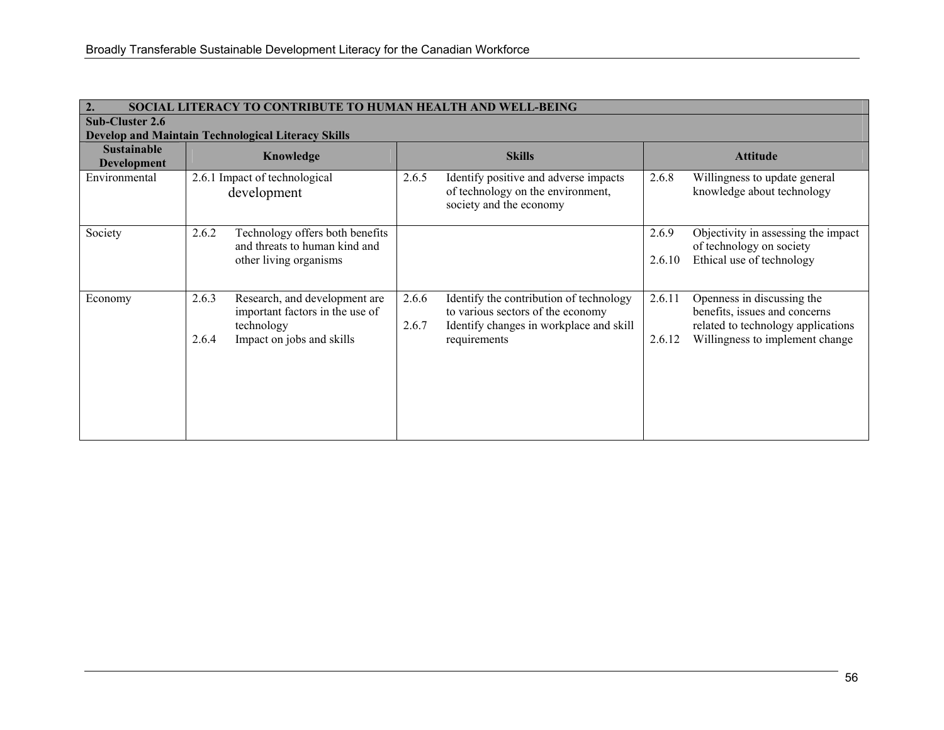| 2.                                                                           | SOCIAL LITERACY TO CONTRIBUTE TO HUMAN HEALTH AND WELL-BEING                                                                  |                                                                                                                                                           |                                                                                                                                                          |  |  |  |  |  |  |  |
|------------------------------------------------------------------------------|-------------------------------------------------------------------------------------------------------------------------------|-----------------------------------------------------------------------------------------------------------------------------------------------------------|----------------------------------------------------------------------------------------------------------------------------------------------------------|--|--|--|--|--|--|--|
| <b>Sub-Cluster 2.6</b><br>Develop and Maintain Technological Literacy Skills |                                                                                                                               |                                                                                                                                                           |                                                                                                                                                          |  |  |  |  |  |  |  |
| <b>Sustainable</b><br><b>Development</b>                                     | Knowledge                                                                                                                     | <b>Skills</b>                                                                                                                                             | <b>Attitude</b>                                                                                                                                          |  |  |  |  |  |  |  |
| Environmental                                                                | 2.6.1 Impact of technological<br>development                                                                                  | Identify positive and adverse impacts<br>2.6.5<br>of technology on the environment,<br>society and the economy                                            | 2.6.8<br>Willingness to update general<br>knowledge about technology                                                                                     |  |  |  |  |  |  |  |
| Society                                                                      | Technology offers both benefits<br>2.6.2<br>and threats to human kind and<br>other living organisms                           |                                                                                                                                                           | Objectivity in assessing the impact<br>2.6.9<br>of technology on society<br>Ethical use of technology<br>2.6.10                                          |  |  |  |  |  |  |  |
| Economy                                                                      | 2.6.3<br>Research, and development are<br>important factors in the use of<br>technology<br>Impact on jobs and skills<br>2.6.4 | 2.6.6<br>Identify the contribution of technology<br>to various sectors of the economy<br>Identify changes in workplace and skill<br>2.6.7<br>requirements | 2.6.11<br>Openness in discussing the<br>benefits, issues and concerns<br>related to technology applications<br>Willingness to implement change<br>2.6.12 |  |  |  |  |  |  |  |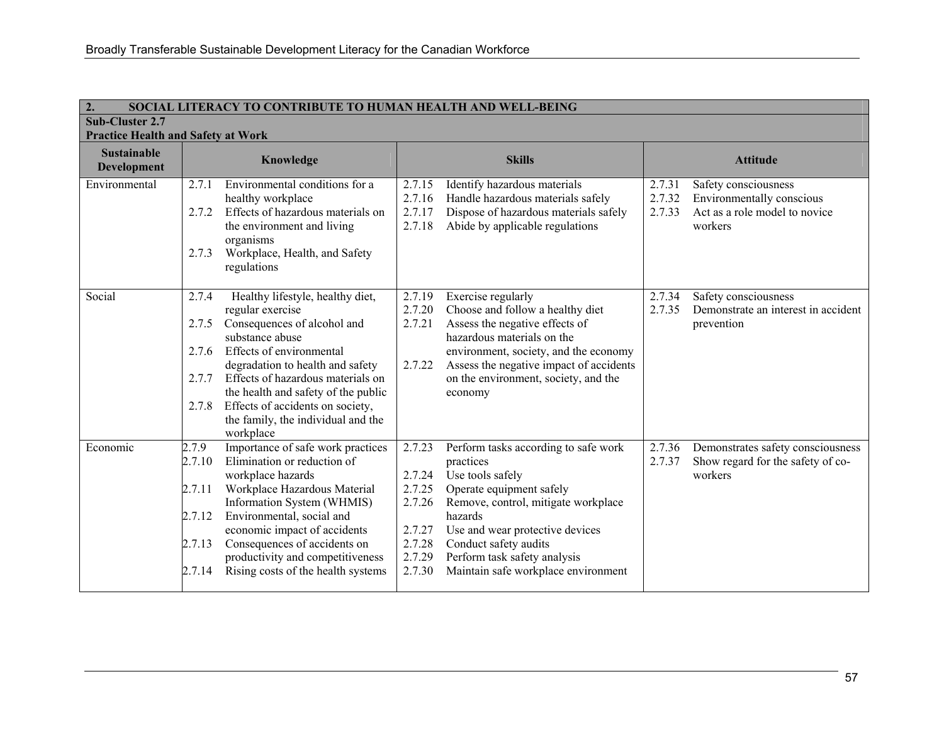| $\overline{2}$ .                          | SOCIAL LITERACY TO CONTRIBUTE TO HUMAN HEALTH AND WELL-BEING |                                                                                                                                                                                                                                                                                                                                           |                                                                              |                                                                                                                                                                                                                                                                                        |                            |                                                                                               |  |  |  |
|-------------------------------------------|--------------------------------------------------------------|-------------------------------------------------------------------------------------------------------------------------------------------------------------------------------------------------------------------------------------------------------------------------------------------------------------------------------------------|------------------------------------------------------------------------------|----------------------------------------------------------------------------------------------------------------------------------------------------------------------------------------------------------------------------------------------------------------------------------------|----------------------------|-----------------------------------------------------------------------------------------------|--|--|--|
| <b>Sub-Cluster 2.7</b>                    |                                                              |                                                                                                                                                                                                                                                                                                                                           |                                                                              |                                                                                                                                                                                                                                                                                        |                            |                                                                                               |  |  |  |
| <b>Practice Health and Safety at Work</b> |                                                              |                                                                                                                                                                                                                                                                                                                                           |                                                                              |                                                                                                                                                                                                                                                                                        |                            |                                                                                               |  |  |  |
| <b>Sustainable</b><br>Development         |                                                              | Knowledge                                                                                                                                                                                                                                                                                                                                 |                                                                              | <b>Skills</b>                                                                                                                                                                                                                                                                          | <b>Attitude</b>            |                                                                                               |  |  |  |
| Environmental                             | 2.7.1<br>2.7.2<br>2.7.3                                      | Environmental conditions for a<br>healthy workplace<br>Effects of hazardous materials on<br>the environment and living<br>organisms<br>Workplace, Health, and Safety<br>regulations                                                                                                                                                       | 2.7.15<br>2.7.16<br>2.7.17<br>2.7.18                                         | Identify hazardous materials<br>Handle hazardous materials safely<br>Dispose of hazardous materials safely<br>Abide by applicable regulations                                                                                                                                          | 2.7.31<br>2.7.32<br>2.7.33 | Safety consciousness<br>Environmentally conscious<br>Act as a role model to novice<br>workers |  |  |  |
| Social                                    | 2.7.4<br>2.7.5<br>2.7.6<br>2.7.7<br>2.7.8                    | Healthy lifestyle, healthy diet,<br>regular exercise<br>Consequences of alcohol and<br>substance abuse<br>Effects of environmental<br>degradation to health and safety<br>Effects of hazardous materials on<br>the health and safety of the public<br>Effects of accidents on society,<br>the family, the individual and the<br>workplace | 2.7.19<br>2.7.20<br>2.7.21<br>2.7.22                                         | Exercise regularly<br>Choose and follow a healthy diet<br>Assess the negative effects of<br>hazardous materials on the<br>environment, society, and the economy<br>Assess the negative impact of accidents<br>on the environment, society, and the<br>economy                          | 2.7.34<br>2.7.35           | Safety consciousness<br>Demonstrate an interest in accident<br>prevention                     |  |  |  |
| Economic                                  | 2.7.9<br>2.7.10<br>2.7.11<br>2.7.12<br>2.7.13<br>2.7.14      | Importance of safe work practices<br>Elimination or reduction of<br>workplace hazards<br>Workplace Hazardous Material<br>Information System (WHMIS)<br>Environmental, social and<br>economic impact of accidents<br>Consequences of accidents on<br>productivity and competitiveness<br>Rising costs of the health systems                | 2.7.23<br>2.7.24<br>2.7.25<br>2.7.26<br>2.7.27<br>2.7.28<br>2.7.29<br>2.7.30 | Perform tasks according to safe work<br>practices<br>Use tools safely<br>Operate equipment safely<br>Remove, control, mitigate workplace<br>hazards<br>Use and wear protective devices<br>Conduct safety audits<br>Perform task safety analysis<br>Maintain safe workplace environment | 2.7.36<br>2.7.37           | Demonstrates safety consciousness<br>Show regard for the safety of co-<br>workers             |  |  |  |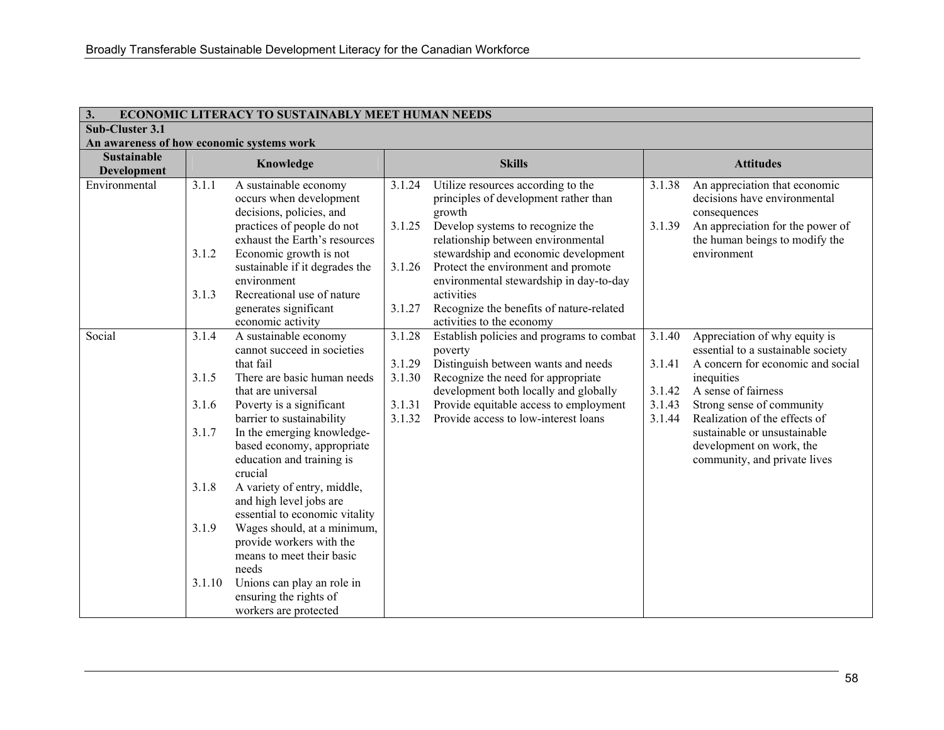| 3.<br>ECONOMIC LITERACY TO SUSTAINABLY MEET HUMAN NEEDS |        |                                                                                                            |                  |                                                                                                                                                              |                  |                                                                                                                   |  |  |  |
|---------------------------------------------------------|--------|------------------------------------------------------------------------------------------------------------|------------------|--------------------------------------------------------------------------------------------------------------------------------------------------------------|------------------|-------------------------------------------------------------------------------------------------------------------|--|--|--|
| Sub-Cluster 3.1                                         |        |                                                                                                            |                  |                                                                                                                                                              |                  |                                                                                                                   |  |  |  |
| An awareness of how economic systems work               |        |                                                                                                            |                  |                                                                                                                                                              |                  |                                                                                                                   |  |  |  |
| <b>Sustainable</b><br>Development                       |        | Knowledge                                                                                                  |                  | <b>Skills</b>                                                                                                                                                |                  | <b>Attitudes</b>                                                                                                  |  |  |  |
| Environmental                                           | 3.1.1  | A sustainable economy<br>occurs when development<br>decisions, policies, and<br>practices of people do not | 3.1.24<br>3.1.25 | Utilize resources according to the<br>principles of development rather than<br>growth<br>Develop systems to recognize the                                    | 3.1.38<br>3.1.39 | An appreciation that economic<br>decisions have environmental<br>consequences<br>An appreciation for the power of |  |  |  |
|                                                         | 3.1.2  | exhaust the Earth's resources<br>Economic growth is not<br>sustainable if it degrades the<br>environment   | 3.1.26           | relationship between environmental<br>stewardship and economic development<br>Protect the environment and promote<br>environmental stewardship in day-to-day |                  | the human beings to modify the<br>environment                                                                     |  |  |  |
|                                                         | 3.1.3  | Recreational use of nature<br>generates significant<br>economic activity                                   | 3.1.27           | activities<br>Recognize the benefits of nature-related<br>activities to the economy                                                                          |                  |                                                                                                                   |  |  |  |
| Social                                                  | 3.1.4  | A sustainable economy<br>cannot succeed in societies<br>that fail                                          | 3.1.28<br>3.1.29 | Establish policies and programs to combat<br>poverty<br>Distinguish between wants and needs                                                                  | 3.1.40<br>3.1.41 | Appreciation of why equity is<br>essential to a sustainable society<br>A concern for economic and social          |  |  |  |
|                                                         | 3.1.5  | There are basic human needs<br>that are universal                                                          | 3.1.30           | Recognize the need for appropriate<br>development both locally and globally                                                                                  | 3.1.42           | inequities<br>A sense of fairness                                                                                 |  |  |  |
|                                                         | 3.1.6  | Poverty is a significant<br>barrier to sustainability                                                      | 3.1.31<br>3.1.32 | Provide equitable access to employment<br>Provide access to low-interest loans                                                                               | 3.1.43<br>3.1.44 | Strong sense of community<br>Realization of the effects of                                                        |  |  |  |
|                                                         | 3.1.7  | In the emerging knowledge-<br>based economy, appropriate<br>education and training is<br>crucial           |                  |                                                                                                                                                              |                  | sustainable or unsustainable<br>development on work, the<br>community, and private lives                          |  |  |  |
|                                                         | 3.1.8  | A variety of entry, middle,<br>and high level jobs are<br>essential to economic vitality                   |                  |                                                                                                                                                              |                  |                                                                                                                   |  |  |  |
|                                                         | 3.1.9  | Wages should, at a minimum,<br>provide workers with the<br>means to meet their basic<br>needs              |                  |                                                                                                                                                              |                  |                                                                                                                   |  |  |  |
|                                                         | 3.1.10 | Unions can play an role in<br>ensuring the rights of<br>workers are protected                              |                  |                                                                                                                                                              |                  |                                                                                                                   |  |  |  |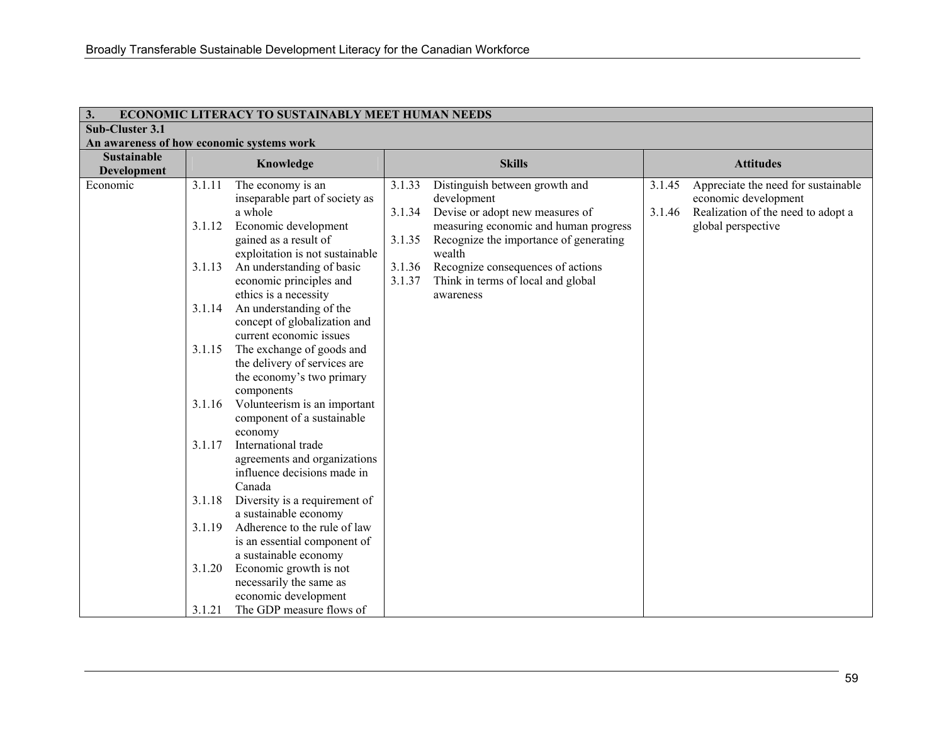| 3.<br>ECONOMIC LITERACY TO SUSTAINABLY MEET HUMAN NEEDS |           |                                            |               |                                        |        |                                     |  |  |
|---------------------------------------------------------|-----------|--------------------------------------------|---------------|----------------------------------------|--------|-------------------------------------|--|--|
| Sub-Cluster 3.1                                         |           |                                            |               |                                        |        |                                     |  |  |
| An awareness of how economic systems work               |           |                                            |               |                                        |        |                                     |  |  |
| <b>Sustainable</b><br>Development                       | Knowledge |                                            | <b>Skills</b> |                                        |        | <b>Attitudes</b>                    |  |  |
| Economic                                                | 3.1.11    | The economy is an                          | 3.1.33        | Distinguish between growth and         | 3.1.45 | Appreciate the need for sustainable |  |  |
|                                                         |           | inseparable part of society as             |               | development                            |        | economic development                |  |  |
|                                                         |           | a whole                                    | 3.1.34        | Devise or adopt new measures of        | 3.1.46 | Realization of the need to adopt a  |  |  |
|                                                         | 3.1.12    | Economic development                       |               | measuring economic and human progress  |        | global perspective                  |  |  |
|                                                         |           | gained as a result of                      | 3.1.35        | Recognize the importance of generating |        |                                     |  |  |
|                                                         |           | exploitation is not sustainable            |               | wealth                                 |        |                                     |  |  |
|                                                         | 3.1.13    | An understanding of basic                  | 3.1.36        | Recognize consequences of actions      |        |                                     |  |  |
|                                                         |           | economic principles and                    | 3.1.37        | Think in terms of local and global     |        |                                     |  |  |
|                                                         |           | ethics is a necessity                      |               | awareness                              |        |                                     |  |  |
|                                                         | 3.1.14    | An understanding of the                    |               |                                        |        |                                     |  |  |
|                                                         |           | concept of globalization and               |               |                                        |        |                                     |  |  |
|                                                         |           | current economic issues                    |               |                                        |        |                                     |  |  |
|                                                         | 3.1.15    | The exchange of goods and                  |               |                                        |        |                                     |  |  |
|                                                         |           | the delivery of services are               |               |                                        |        |                                     |  |  |
|                                                         |           | the economy's two primary                  |               |                                        |        |                                     |  |  |
|                                                         | 3.1.16    | components<br>Volunteerism is an important |               |                                        |        |                                     |  |  |
|                                                         |           | component of a sustainable                 |               |                                        |        |                                     |  |  |
|                                                         |           | economy                                    |               |                                        |        |                                     |  |  |
|                                                         | 3.1.17    | International trade                        |               |                                        |        |                                     |  |  |
|                                                         |           | agreements and organizations               |               |                                        |        |                                     |  |  |
|                                                         |           | influence decisions made in                |               |                                        |        |                                     |  |  |
|                                                         |           | Canada                                     |               |                                        |        |                                     |  |  |
|                                                         | 3.1.18    | Diversity is a requirement of              |               |                                        |        |                                     |  |  |
|                                                         |           | a sustainable economy                      |               |                                        |        |                                     |  |  |
|                                                         | 3.1.19    | Adherence to the rule of law               |               |                                        |        |                                     |  |  |
|                                                         |           | is an essential component of               |               |                                        |        |                                     |  |  |
|                                                         |           | a sustainable economy                      |               |                                        |        |                                     |  |  |
|                                                         | 3.1.20    | Economic growth is not                     |               |                                        |        |                                     |  |  |
|                                                         |           | necessarily the same as                    |               |                                        |        |                                     |  |  |
|                                                         |           | economic development                       |               |                                        |        |                                     |  |  |
|                                                         | 3.1.21    | The GDP measure flows of                   |               |                                        |        |                                     |  |  |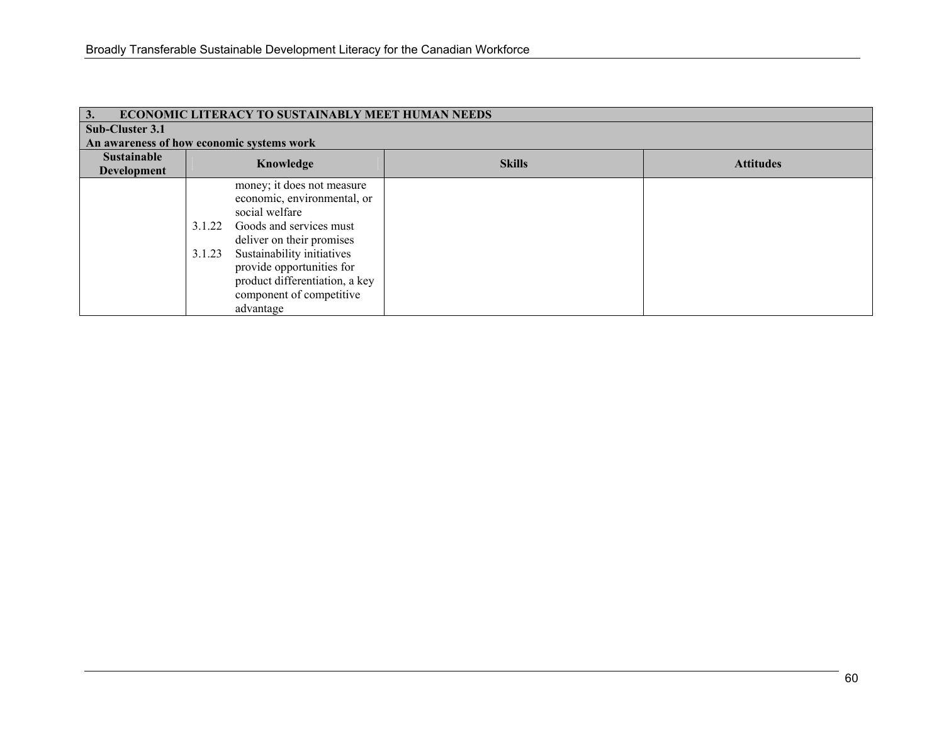| ECONOMIC LITERACY TO SUSTAINABLY MEET HUMAN NEEDS<br>3. |                  |                                                                                                                                                                                                                                                                           |               |                  |  |  |  |  |  |
|---------------------------------------------------------|------------------|---------------------------------------------------------------------------------------------------------------------------------------------------------------------------------------------------------------------------------------------------------------------------|---------------|------------------|--|--|--|--|--|
| Sub-Cluster 3.1                                         |                  |                                                                                                                                                                                                                                                                           |               |                  |  |  |  |  |  |
| An awareness of how economic systems work               |                  |                                                                                                                                                                                                                                                                           |               |                  |  |  |  |  |  |
| Sustainable<br><b>Development</b>                       |                  | Knowledge                                                                                                                                                                                                                                                                 | <b>Skills</b> | <b>Attitudes</b> |  |  |  |  |  |
|                                                         | 3.1.22<br>3.1.23 | money; it does not measure<br>economic, environmental, or<br>social welfare<br>Goods and services must<br>deliver on their promises<br>Sustainability initiatives<br>provide opportunities for<br>product differentiation, a key<br>component of competitive<br>advantage |               |                  |  |  |  |  |  |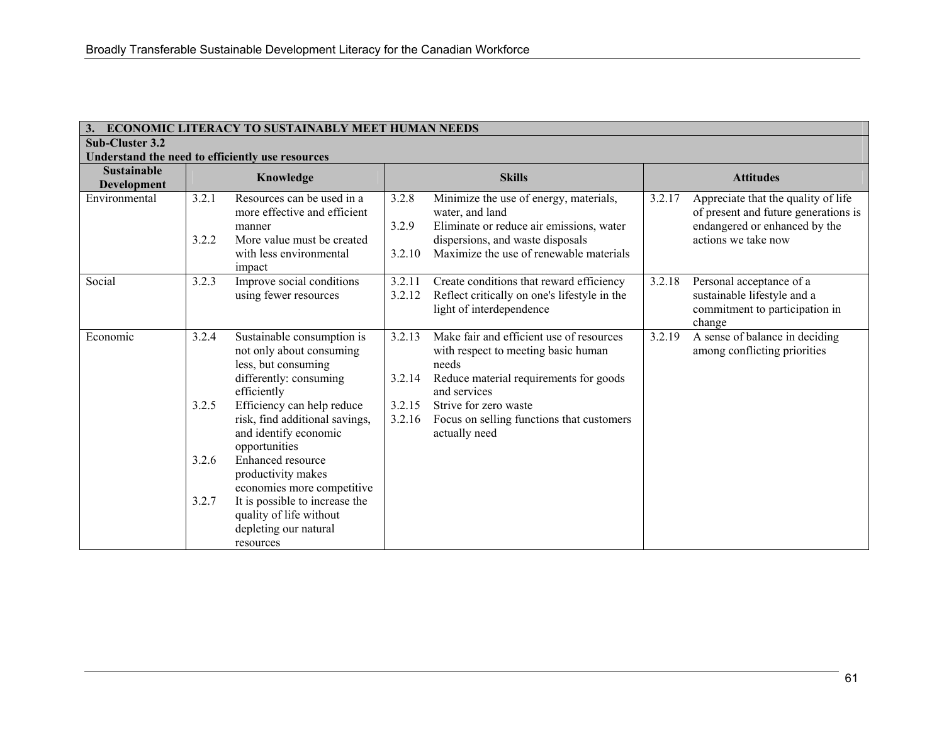#### **3. ECONOMIC LITERACY TO SUSTAINABLY MEET HUMAN NEEDS**

#### **Sub-Cluster 3.2**

**Understand the need to efficiently use resources** 

| Understand the need to emerginy use resources |                |                                                                                                                        |                  |                                                                                                                                                    |        |                                                                                                                                     |  |
|-----------------------------------------------|----------------|------------------------------------------------------------------------------------------------------------------------|------------------|----------------------------------------------------------------------------------------------------------------------------------------------------|--------|-------------------------------------------------------------------------------------------------------------------------------------|--|
| <b>Sustainable</b><br><b>Development</b>      |                | Knowledge                                                                                                              |                  | <b>Skills</b>                                                                                                                                      |        | <b>Attitudes</b>                                                                                                                    |  |
| Environmental                                 | 3.2.1<br>3.2.2 | Resources can be used in a<br>more effective and efficient<br>manner<br>More value must be created                     | 3.2.8<br>3.2.9   | Minimize the use of energy, materials,<br>water, and land<br>Eliminate or reduce air emissions, water<br>dispersions, and waste disposals          | 3.2.17 | Appreciate that the quality of life<br>of present and future generations is<br>endangered or enhanced by the<br>actions we take now |  |
|                                               |                | with less environmental<br>impact                                                                                      | 3.2.10           | Maximize the use of renewable materials                                                                                                            |        |                                                                                                                                     |  |
| Social                                        | 3.2.3          | Improve social conditions<br>using fewer resources                                                                     | 3.2.11<br>3.2.12 | Create conditions that reward efficiency<br>Reflect critically on one's lifestyle in the<br>light of interdependence                               | 3.2.18 | Personal acceptance of a<br>sustainable lifestyle and a<br>commitment to participation in<br>change                                 |  |
| Economic                                      | 3.2.4          | Sustainable consumption is<br>not only about consuming<br>less, but consuming<br>differently: consuming<br>efficiently | 3.2.13<br>3.2.14 | Make fair and efficient use of resources<br>with respect to meeting basic human<br>needs<br>Reduce material requirements for goods<br>and services | 3.2.19 | A sense of balance in deciding<br>among conflicting priorities                                                                      |  |
|                                               | 3.2.5          | Efficiency can help reduce<br>risk, find additional savings,<br>and identify economic<br>opportunities                 | 3.2.15<br>3.2.16 | Strive for zero waste<br>Focus on selling functions that customers<br>actually need                                                                |        |                                                                                                                                     |  |
|                                               | 3.2.6          | Enhanced resource<br>productivity makes<br>economies more competitive                                                  |                  |                                                                                                                                                    |        |                                                                                                                                     |  |
|                                               | 3.2.7          | It is possible to increase the<br>quality of life without<br>depleting our natural<br>resources                        |                  |                                                                                                                                                    |        |                                                                                                                                     |  |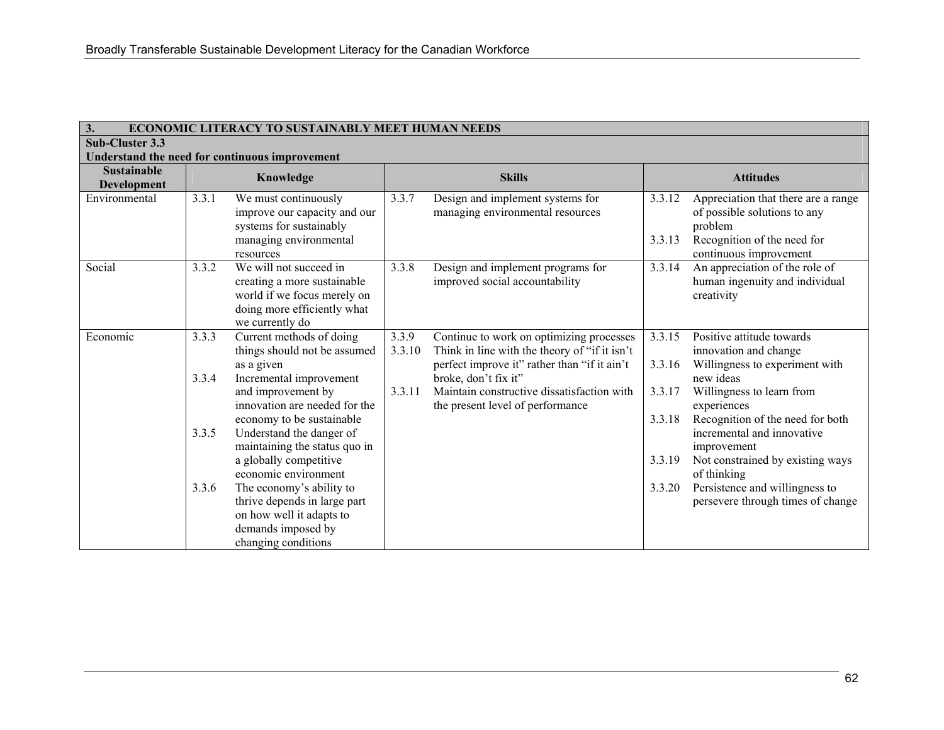| 3.<br>ECONOMIC LITERACY TO SUSTAINABLY MEET HUMAN NEEDS |           |                                                                                                                                        |                 |                                                                                                                                           |                  |                                                                                                               |  |  |
|---------------------------------------------------------|-----------|----------------------------------------------------------------------------------------------------------------------------------------|-----------------|-------------------------------------------------------------------------------------------------------------------------------------------|------------------|---------------------------------------------------------------------------------------------------------------|--|--|
| Sub-Cluster 3.3                                         |           |                                                                                                                                        |                 |                                                                                                                                           |                  |                                                                                                               |  |  |
| Understand the need for continuous improvement          |           |                                                                                                                                        |                 |                                                                                                                                           |                  |                                                                                                               |  |  |
| <b>Sustainable</b>                                      | Knowledge |                                                                                                                                        | <b>Skills</b>   |                                                                                                                                           | <b>Attitudes</b> |                                                                                                               |  |  |
| Development                                             |           |                                                                                                                                        |                 |                                                                                                                                           |                  |                                                                                                               |  |  |
| Environmental                                           | 3.3.1     | We must continuously<br>improve our capacity and our<br>systems for sustainably<br>managing environmental                              | 3.3.7           | Design and implement systems for<br>managing environmental resources                                                                      | 3.3.12<br>3.3.13 | Appreciation that there are a range<br>of possible solutions to any<br>problem<br>Recognition of the need for |  |  |
|                                                         |           | resources                                                                                                                              |                 |                                                                                                                                           |                  | continuous improvement                                                                                        |  |  |
| Social                                                  | 3.3.2     | We will not succeed in<br>creating a more sustainable<br>world if we focus merely on<br>doing more efficiently what<br>we currently do | 3.3.8           | Design and implement programs for<br>improved social accountability                                                                       | 3.3.14           | An appreciation of the role of<br>human ingenuity and individual<br>creativity                                |  |  |
| Economic                                                | 3.3.3     | Current methods of doing<br>things should not be assumed<br>as a given                                                                 | 3.3.9<br>3.3.10 | Continue to work on optimizing processes<br>Think in line with the theory of "if it isn't<br>perfect improve it" rather than "if it ain't | 3.3.15<br>3.3.16 | Positive attitude towards<br>innovation and change<br>Willingness to experiment with                          |  |  |
|                                                         | 3.3.4     | Incremental improvement<br>and improvement by<br>innovation are needed for the<br>economy to be sustainable                            | 3.3.11          | broke, don't fix it"<br>Maintain constructive dissatisfaction with<br>the present level of performance                                    | 3.3.17<br>3.3.18 | new ideas<br>Willingness to learn from<br>experiences<br>Recognition of the need for both                     |  |  |
|                                                         | 3.3.5     | Understand the danger of<br>maintaining the status quo in<br>a globally competitive<br>economic environment                            |                 |                                                                                                                                           | 3.3.19           | incremental and innovative<br>improvement<br>Not constrained by existing ways<br>of thinking                  |  |  |
|                                                         | 3.3.6     | The economy's ability to<br>thrive depends in large part<br>on how well it adapts to<br>demands imposed by<br>changing conditions      |                 |                                                                                                                                           | 3.3.20           | Persistence and willingness to<br>persevere through times of change                                           |  |  |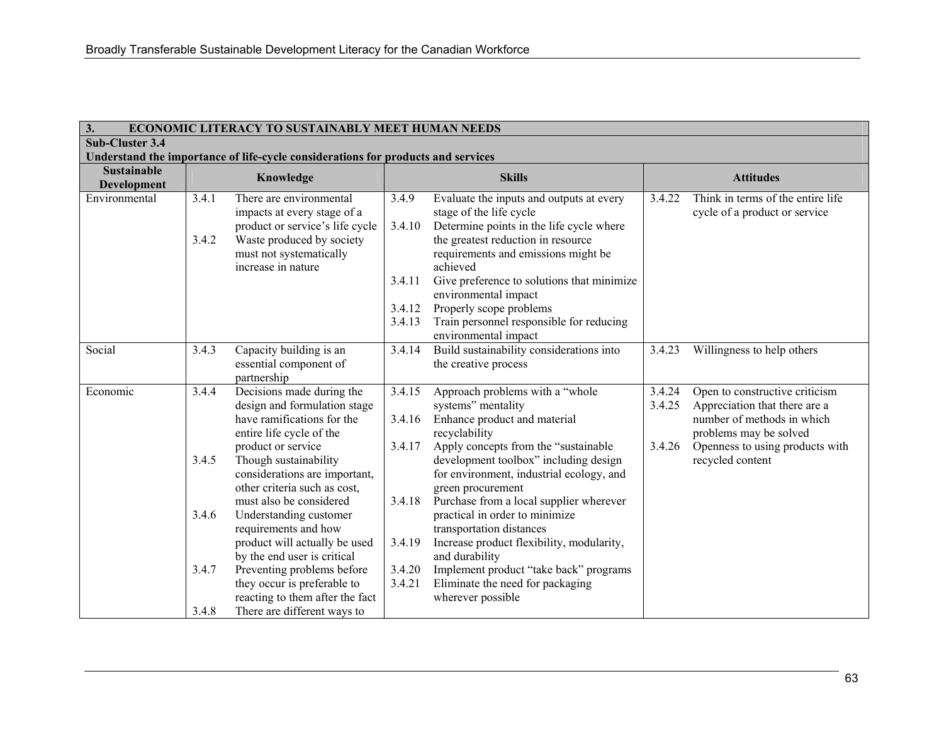| 3.<br>ECONOMIC LITERACY TO SUSTAINABLY MEET HUMAN NEEDS                          |           |                                 |        |                                                                    |        |                                   |  |
|----------------------------------------------------------------------------------|-----------|---------------------------------|--------|--------------------------------------------------------------------|--------|-----------------------------------|--|
| Sub-Cluster 3.4                                                                  |           |                                 |        |                                                                    |        |                                   |  |
| Understand the importance of life-cycle considerations for products and services |           |                                 |        |                                                                    |        |                                   |  |
| <b>Sustainable</b>                                                               | Knowledge |                                 |        | <b>Skills</b>                                                      |        | <b>Attitudes</b>                  |  |
| Development                                                                      |           |                                 |        |                                                                    |        |                                   |  |
| Environmental                                                                    | 3.4.1     | There are environmental         | 3.4.9  | Evaluate the inputs and outputs at every                           | 3.4.22 | Think in terms of the entire life |  |
|                                                                                  |           | impacts at every stage of a     |        | stage of the life cycle                                            |        | cycle of a product or service     |  |
|                                                                                  |           | product or service's life cycle | 3.4.10 | Determine points in the life cycle where                           |        |                                   |  |
|                                                                                  | 3.4.2     | Waste produced by society       |        | the greatest reduction in resource                                 |        |                                   |  |
|                                                                                  |           | must not systematically         |        | requirements and emissions might be                                |        |                                   |  |
|                                                                                  |           | increase in nature              |        | achieved                                                           |        |                                   |  |
|                                                                                  |           |                                 | 3.4.11 | Give preference to solutions that minimize<br>environmental impact |        |                                   |  |
|                                                                                  |           |                                 | 3.4.12 | Properly scope problems                                            |        |                                   |  |
|                                                                                  |           |                                 | 3.4.13 | Train personnel responsible for reducing                           |        |                                   |  |
|                                                                                  |           |                                 |        | environmental impact                                               |        |                                   |  |
| Social                                                                           | 3.4.3     | Capacity building is an         | 3.4.14 | Build sustainability considerations into                           | 3.4.23 | Willingness to help others        |  |
|                                                                                  |           | essential component of          |        | the creative process                                               |        |                                   |  |
|                                                                                  |           | partnership                     |        |                                                                    |        |                                   |  |
| Economic                                                                         | 3.4.4     | Decisions made during the       | 3.4.15 | Approach problems with a "whole                                    | 3.4.24 | Open to constructive criticism    |  |
|                                                                                  |           | design and formulation stage    |        | systems" mentality                                                 | 3.4.25 | Appreciation that there are a     |  |
|                                                                                  |           | have ramifications for the      | 3.4.16 | Enhance product and material                                       |        | number of methods in which        |  |
|                                                                                  |           | entire life cycle of the        |        | recyclability                                                      |        | problems may be solved            |  |
|                                                                                  |           | product or service              | 3.4.17 | Apply concepts from the "sustainable"                              | 3.4.26 | Openness to using products with   |  |
|                                                                                  | 3.4.5     | Though sustainability           |        | development toolbox" including design                              |        | recycled content                  |  |
|                                                                                  |           | considerations are important,   |        | for environment, industrial ecology, and                           |        |                                   |  |
|                                                                                  |           | other criteria such as cost,    |        | green procurement                                                  |        |                                   |  |
|                                                                                  |           | must also be considered         | 3.4.18 | Purchase from a local supplier wherever                            |        |                                   |  |
|                                                                                  | 3.4.6     | Understanding customer          |        | practical in order to minimize                                     |        |                                   |  |
|                                                                                  |           | requirements and how            |        | transportation distances                                           |        |                                   |  |
|                                                                                  |           | product will actually be used   | 3.4.19 | Increase product flexibility, modularity,                          |        |                                   |  |
|                                                                                  |           | by the end user is critical     |        | and durability                                                     |        |                                   |  |
|                                                                                  | 3.4.7     | Preventing problems before      | 3.4.20 | Implement product "take back" programs                             |        |                                   |  |
|                                                                                  |           | they occur is preferable to     | 3.4.21 | Eliminate the need for packaging                                   |        |                                   |  |
|                                                                                  |           | reacting to them after the fact |        | wherever possible                                                  |        |                                   |  |
|                                                                                  | 3.4.8     | There are different ways to     |        |                                                                    |        |                                   |  |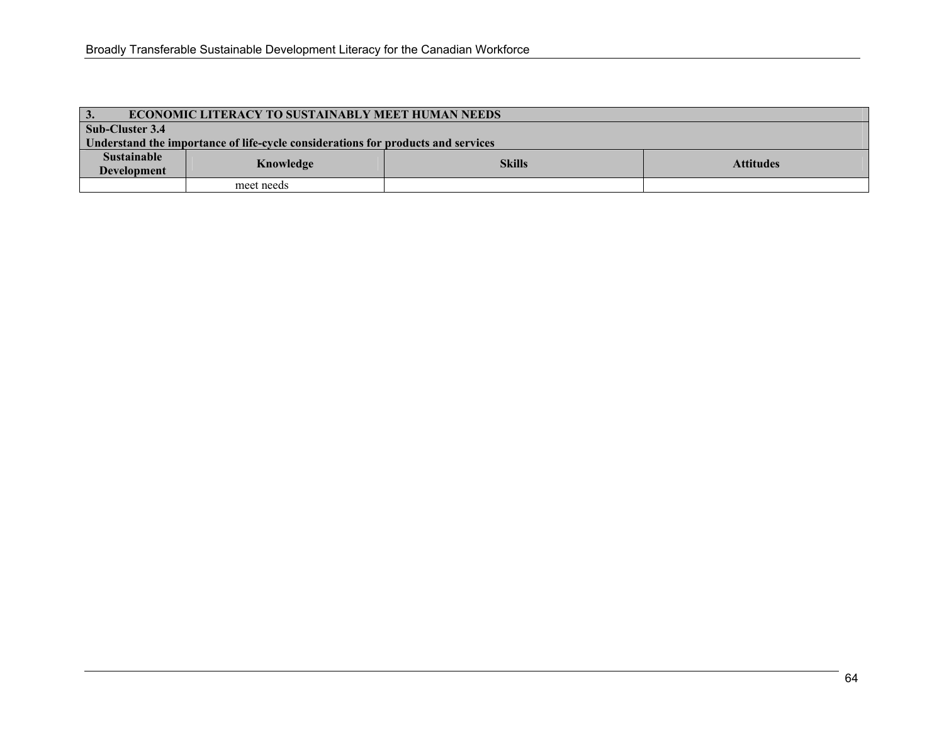| 3.<br><b>ECONOMIC LITERACY TO SUSTAINABLY MEET HUMAN NEEDS</b>                   |            |               |                  |  |  |  |  |  |  |
|----------------------------------------------------------------------------------|------------|---------------|------------------|--|--|--|--|--|--|
| Sub-Cluster 3.4                                                                  |            |               |                  |  |  |  |  |  |  |
| Understand the importance of life-cycle considerations for products and services |            |               |                  |  |  |  |  |  |  |
| <b>Sustainable</b>                                                               |            | <b>Skills</b> | <b>Attitudes</b> |  |  |  |  |  |  |
| <b>Development</b>                                                               | Knowledge  |               |                  |  |  |  |  |  |  |
|                                                                                  | meet needs |               |                  |  |  |  |  |  |  |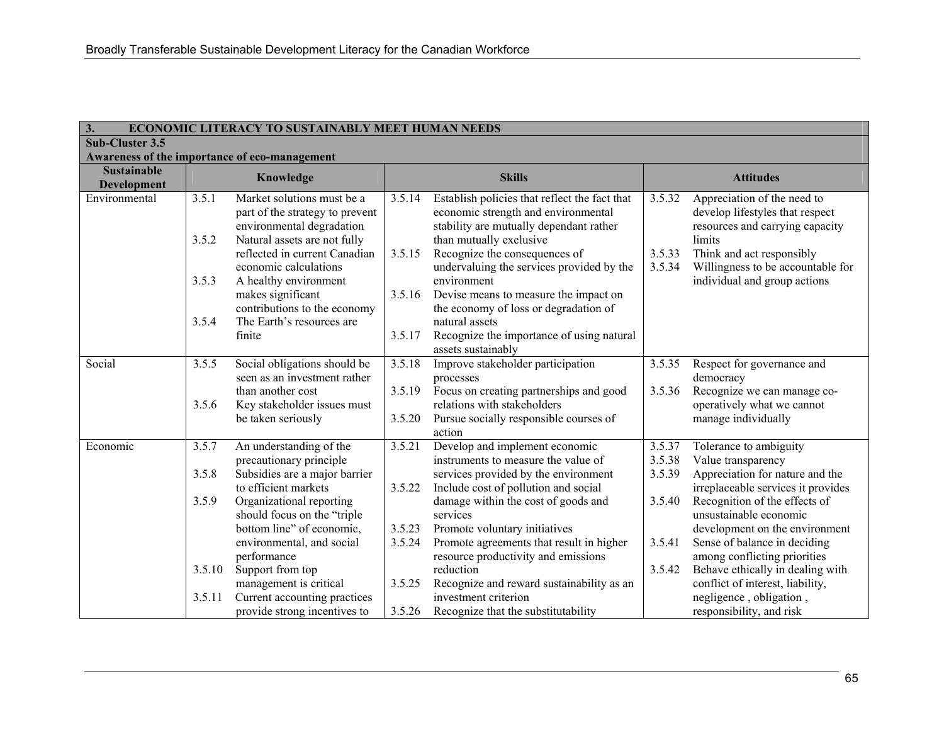| ECONOMIC LITERACY TO SUSTAINABLY MEET HUMAN NEEDS<br>3. |        |                                                           |               |                                                                    |        |                                                                |  |  |
|---------------------------------------------------------|--------|-----------------------------------------------------------|---------------|--------------------------------------------------------------------|--------|----------------------------------------------------------------|--|--|
| Sub-Cluster 3.5                                         |        |                                                           |               |                                                                    |        |                                                                |  |  |
| Awareness of the importance of eco-management           |        |                                                           |               |                                                                    |        |                                                                |  |  |
| <b>Sustainable</b>                                      |        | Knowledge                                                 | <b>Skills</b> |                                                                    |        | <b>Attitudes</b>                                               |  |  |
| Development                                             |        |                                                           |               |                                                                    |        |                                                                |  |  |
| Environmental                                           | 3.5.1  | Market solutions must be a                                | 3.5.14        | Establish policies that reflect the fact that                      | 3.5.32 | Appreciation of the need to                                    |  |  |
|                                                         |        | part of the strategy to prevent                           |               | economic strength and environmental                                |        | develop lifestyles that respect                                |  |  |
|                                                         | 3.5.2  | environmental degradation<br>Natural assets are not fully |               | stability are mutually dependant rather<br>than mutually exclusive |        | resources and carrying capacity<br>limits                      |  |  |
|                                                         |        | reflected in current Canadian                             |               | Recognize the consequences of                                      | 3.5.33 |                                                                |  |  |
|                                                         |        | economic calculations                                     | 3.5.15        |                                                                    | 3.5.34 | Think and act responsibly<br>Willingness to be accountable for |  |  |
|                                                         | 3.5.3  | A healthy environment                                     |               | undervaluing the services provided by the<br>environment           |        | individual and group actions                                   |  |  |
|                                                         |        | makes significant                                         | 3.5.16        | Devise means to measure the impact on                              |        |                                                                |  |  |
|                                                         |        | contributions to the economy                              |               | the economy of loss or degradation of                              |        |                                                                |  |  |
|                                                         | 3.5.4  | The Earth's resources are                                 |               | natural assets                                                     |        |                                                                |  |  |
|                                                         |        | finite                                                    | 3.5.17        | Recognize the importance of using natural                          |        |                                                                |  |  |
|                                                         |        |                                                           |               | assets sustainably                                                 |        |                                                                |  |  |
| Social                                                  | 3.5.5  | Social obligations should be                              | 3.5.18        | Improve stakeholder participation                                  | 3.5.35 | Respect for governance and                                     |  |  |
|                                                         |        | seen as an investment rather                              |               | processes                                                          |        | democracy                                                      |  |  |
|                                                         |        | than another cost                                         | 3.5.19        | Focus on creating partnerships and good                            | 3.5.36 | Recognize we can manage co-                                    |  |  |
|                                                         | 3.5.6  | Key stakeholder issues must                               |               | relations with stakeholders                                        |        | operatively what we cannot                                     |  |  |
|                                                         |        | be taken seriously                                        | 3.5.20        | Pursue socially responsible courses of                             |        | manage individually                                            |  |  |
|                                                         |        |                                                           |               | action                                                             |        |                                                                |  |  |
| Economic                                                | 3.5.7  | An understanding of the                                   | 3.5.21        | Develop and implement economic                                     | 3.5.37 | Tolerance to ambiguity                                         |  |  |
|                                                         |        | precautionary principle                                   |               | instruments to measure the value of                                | 3.5.38 | Value transparency                                             |  |  |
|                                                         | 3.5.8  | Subsidies are a major barrier                             |               | services provided by the environment                               | 3.5.39 | Appreciation for nature and the                                |  |  |
|                                                         |        | to efficient markets                                      | 3.5.22        | Include cost of pollution and social                               |        | irreplaceable services it provides                             |  |  |
|                                                         | 3.5.9  | Organizational reporting                                  |               | damage within the cost of goods and                                | 3.5.40 | Recognition of the effects of                                  |  |  |
|                                                         |        | should focus on the "triple                               |               | services                                                           |        | unsustainable economic                                         |  |  |
|                                                         |        | bottom line" of economic,                                 | 3.5.23        | Promote voluntary initiatives                                      |        | development on the environment                                 |  |  |
|                                                         |        | environmental, and social                                 | 3.5.24        | Promote agreements that result in higher                           | 3.5.41 | Sense of balance in deciding                                   |  |  |
|                                                         |        | performance                                               |               | resource productivity and emissions                                |        | among conflicting priorities                                   |  |  |
|                                                         | 3.5.10 | Support from top                                          |               | reduction                                                          | 3.5.42 | Behave ethically in dealing with                               |  |  |
|                                                         |        | management is critical                                    | 3.5.25        | Recognize and reward sustainability as an                          |        | conflict of interest, liability,                               |  |  |
|                                                         | 3.5.11 | Current accounting practices                              |               | investment criterion                                               |        | negligence, obligation,                                        |  |  |
|                                                         |        | provide strong incentives to                              | 3.5.26        | Recognize that the substitutability                                |        | responsibility, and risk                                       |  |  |